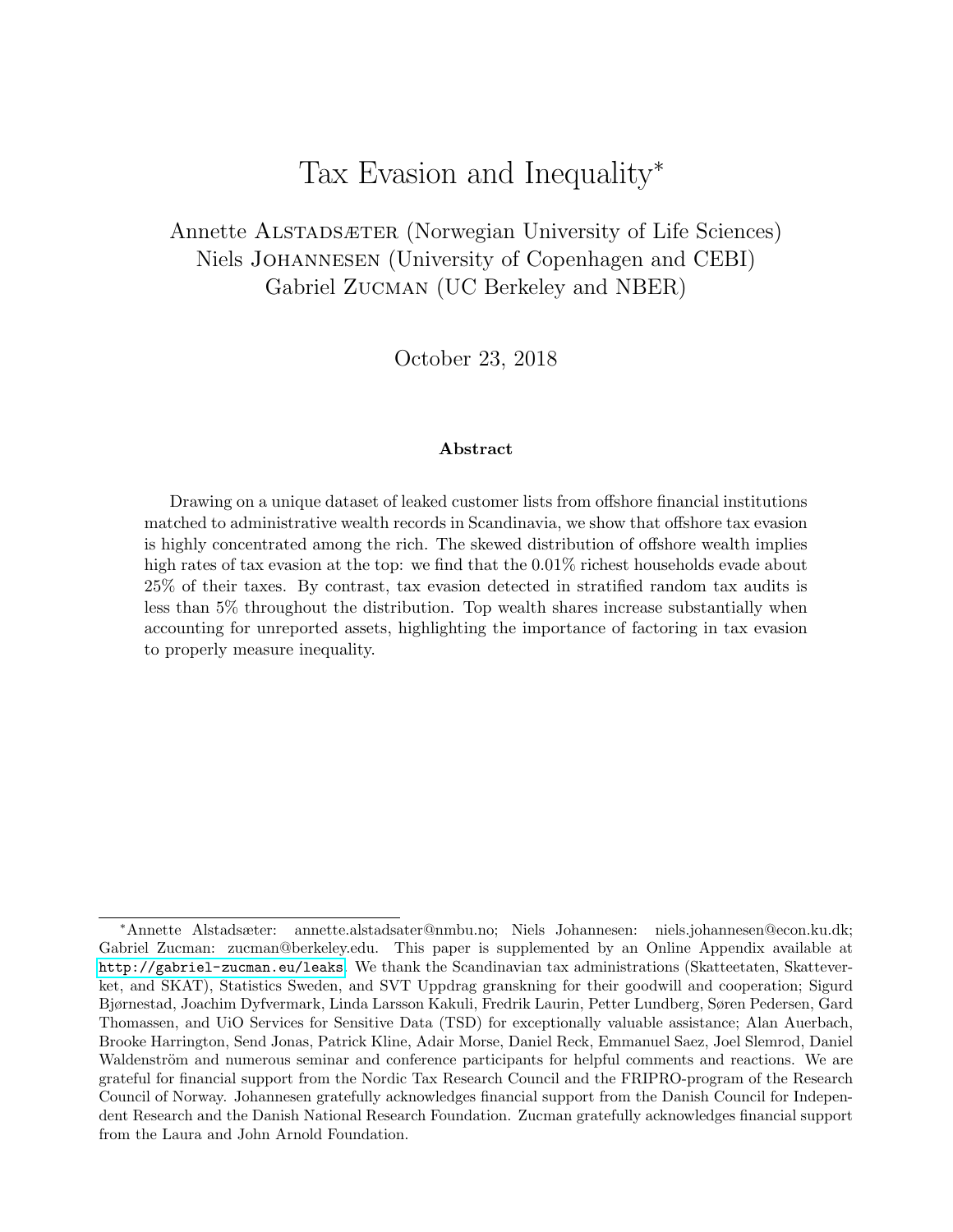# Tax Evasion and Inequality<sup>∗</sup>

Annette ALSTADSÆTER (Norwegian University of Life Sciences) Niels Johannesen (University of Copenhagen and CEBI) Gabriel Zucman (UC Berkeley and NBER)

October 23, 2018

#### Abstract

Drawing on a unique dataset of leaked customer lists from offshore financial institutions matched to administrative wealth records in Scandinavia, we show that offshore tax evasion is highly concentrated among the rich. The skewed distribution of offshore wealth implies high rates of tax evasion at the top: we find that the  $0.01\%$  richest households evade about 25% of their taxes. By contrast, tax evasion detected in stratified random tax audits is less than 5% throughout the distribution. Top wealth shares increase substantially when accounting for unreported assets, highlighting the importance of factoring in tax evasion to properly measure inequality.

<sup>∗</sup>Annette Alstadsæter: annette.alstadsater@nmbu.no; Niels Johannesen: niels.johannesen@econ.ku.dk; Gabriel Zucman: zucman@berkeley.edu. This paper is supplemented by an Online Appendix available at <http://gabriel-zucman.eu/leaks>. We thank the Scandinavian tax administrations (Skatteetaten, Skatteverket, and SKAT), Statistics Sweden, and SVT Uppdrag granskning for their goodwill and cooperation; Sigurd Bjørnestad, Joachim Dyfvermark, Linda Larsson Kakuli, Fredrik Laurin, Petter Lundberg, Søren Pedersen, Gard Thomassen, and UiO Services for Sensitive Data (TSD) for exceptionally valuable assistance; Alan Auerbach, Brooke Harrington, Send Jonas, Patrick Kline, Adair Morse, Daniel Reck, Emmanuel Saez, Joel Slemrod, Daniel Waldenström and numerous seminar and conference participants for helpful comments and reactions. We are grateful for financial support from the Nordic Tax Research Council and the FRIPRO-program of the Research Council of Norway. Johannesen gratefully acknowledges financial support from the Danish Council for Independent Research and the Danish National Research Foundation. Zucman gratefully acknowledges financial support from the Laura and John Arnold Foundation.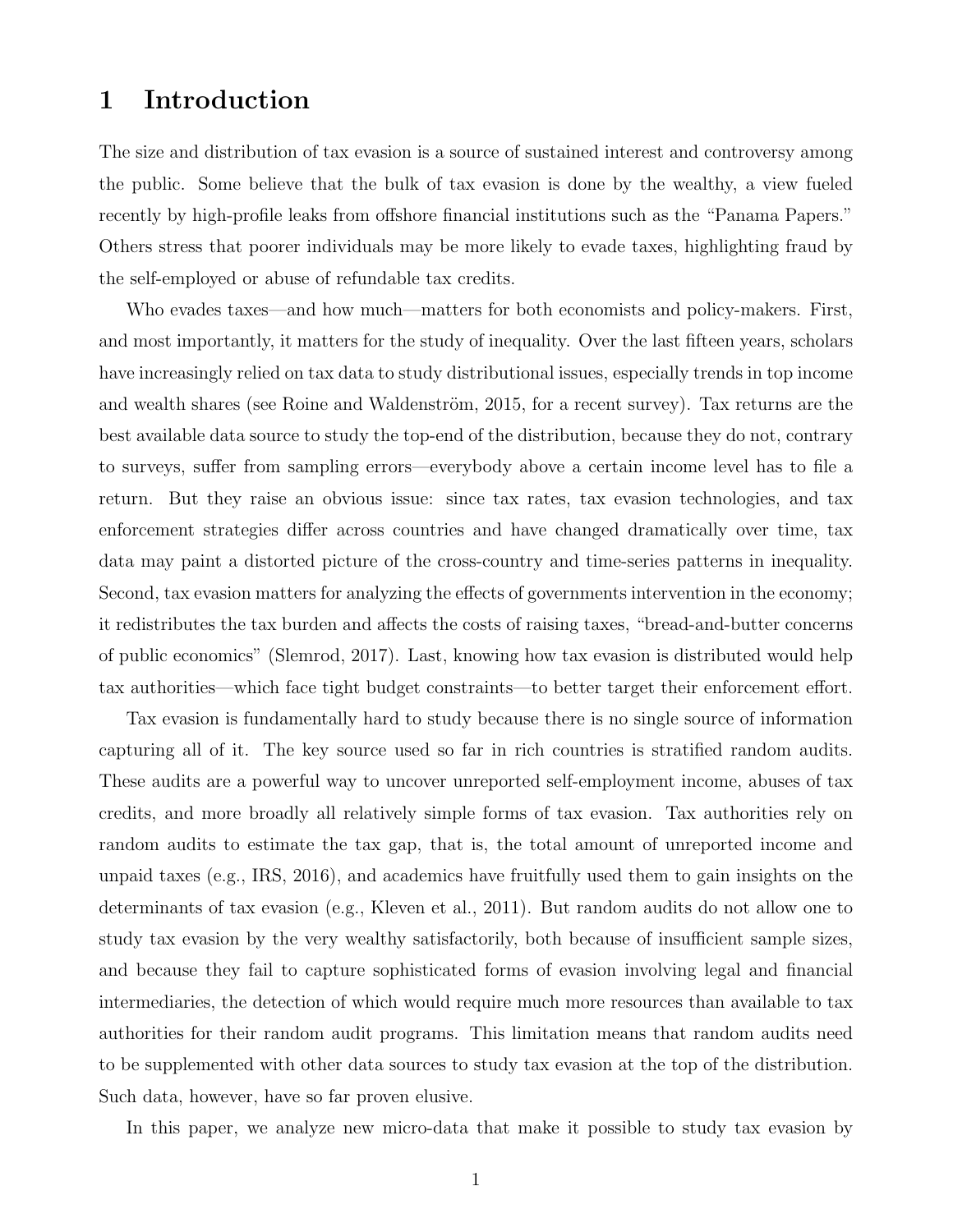### 1 Introduction

The size and distribution of tax evasion is a source of sustained interest and controversy among the public. Some believe that the bulk of tax evasion is done by the wealthy, a view fueled recently by high-profile leaks from offshore financial institutions such as the "Panama Papers." Others stress that poorer individuals may be more likely to evade taxes, highlighting fraud by the self-employed or abuse of refundable tax credits.

Who evades taxes—and how much—matters for both economists and policy-makers. First, and most importantly, it matters for the study of inequality. Over the last fifteen years, scholars have increasingly relied on tax data to study distributional issues, especially trends in top income and wealth shares (see Roine and Waldenström, 2015, for a recent survey). Tax returns are the best available data source to study the top-end of the distribution, because they do not, contrary to surveys, suffer from sampling errors—everybody above a certain income level has to file a return. But they raise an obvious issue: since tax rates, tax evasion technologies, and tax enforcement strategies differ across countries and have changed dramatically over time, tax data may paint a distorted picture of the cross-country and time-series patterns in inequality. Second, tax evasion matters for analyzing the effects of governments intervention in the economy; it redistributes the tax burden and affects the costs of raising taxes, "bread-and-butter concerns of public economics" (Slemrod, 2017). Last, knowing how tax evasion is distributed would help tax authorities—which face tight budget constraints—to better target their enforcement effort.

Tax evasion is fundamentally hard to study because there is no single source of information capturing all of it. The key source used so far in rich countries is stratified random audits. These audits are a powerful way to uncover unreported self-employment income, abuses of tax credits, and more broadly all relatively simple forms of tax evasion. Tax authorities rely on random audits to estimate the tax gap, that is, the total amount of unreported income and unpaid taxes (e.g., IRS, 2016), and academics have fruitfully used them to gain insights on the determinants of tax evasion (e.g., Kleven et al., 2011). But random audits do not allow one to study tax evasion by the very wealthy satisfactorily, both because of insufficient sample sizes, and because they fail to capture sophisticated forms of evasion involving legal and financial intermediaries, the detection of which would require much more resources than available to tax authorities for their random audit programs. This limitation means that random audits need to be supplemented with other data sources to study tax evasion at the top of the distribution. Such data, however, have so far proven elusive.

In this paper, we analyze new micro-data that make it possible to study tax evasion by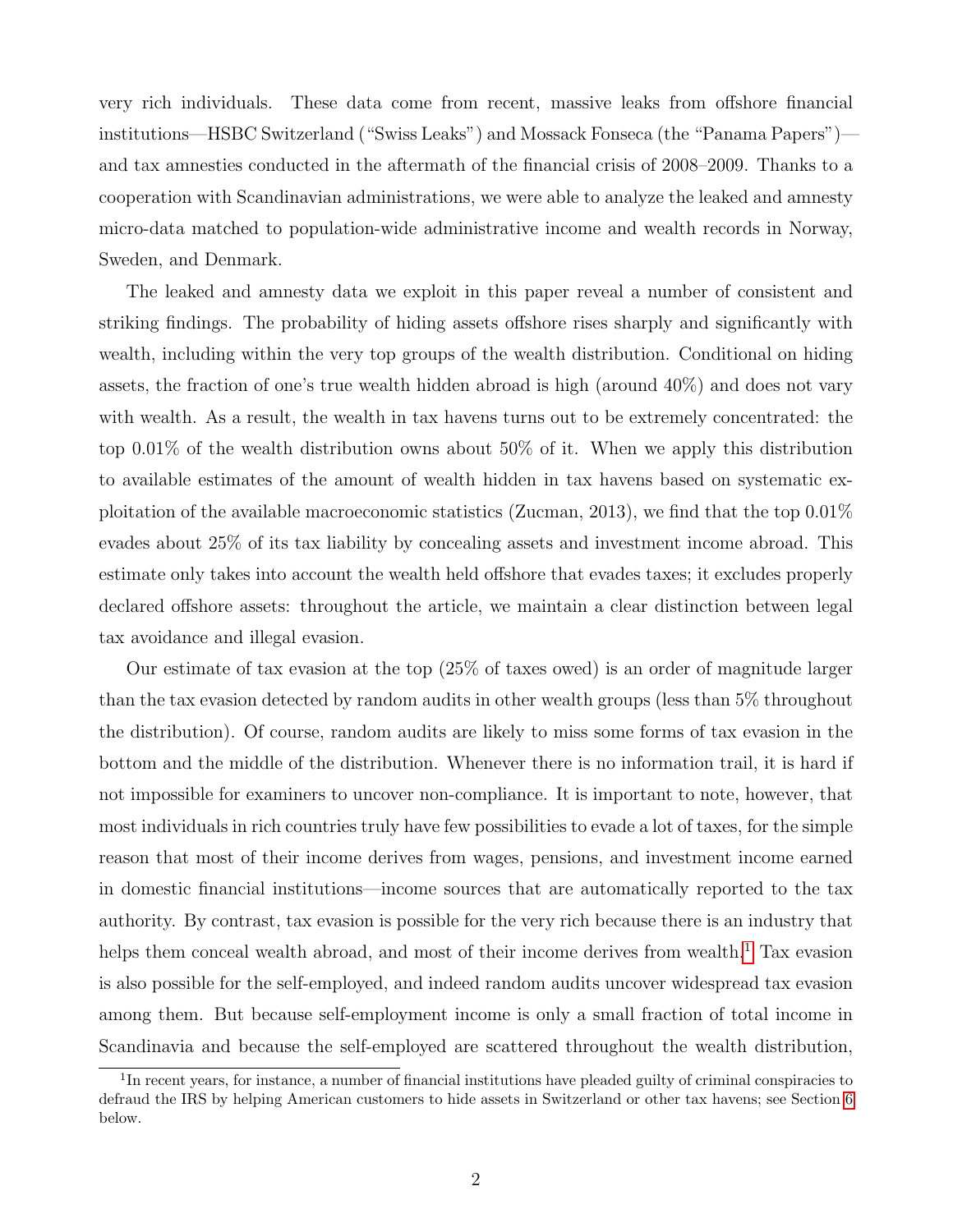very rich individuals. These data come from recent, massive leaks from offshore financial institutions—HSBC Switzerland ("Swiss Leaks") and Mossack Fonseca (the "Panama Papers") and tax amnesties conducted in the aftermath of the financial crisis of 2008–2009. Thanks to a cooperation with Scandinavian administrations, we were able to analyze the leaked and amnesty micro-data matched to population-wide administrative income and wealth records in Norway, Sweden, and Denmark.

The leaked and amnesty data we exploit in this paper reveal a number of consistent and striking findings. The probability of hiding assets offshore rises sharply and significantly with wealth, including within the very top groups of the wealth distribution. Conditional on hiding assets, the fraction of one's true wealth hidden abroad is high (around 40%) and does not vary with wealth. As a result, the wealth in tax havens turns out to be extremely concentrated: the top 0.01% of the wealth distribution owns about 50% of it. When we apply this distribution to available estimates of the amount of wealth hidden in tax havens based on systematic exploitation of the available macroeconomic statistics (Zucman, 2013), we find that the top  $0.01\%$ evades about 25% of its tax liability by concealing assets and investment income abroad. This estimate only takes into account the wealth held offshore that evades taxes; it excludes properly declared offshore assets: throughout the article, we maintain a clear distinction between legal tax avoidance and illegal evasion.

Our estimate of tax evasion at the top (25% of taxes owed) is an order of magnitude larger than the tax evasion detected by random audits in other wealth groups (less than 5% throughout the distribution). Of course, random audits are likely to miss some forms of tax evasion in the bottom and the middle of the distribution. Whenever there is no information trail, it is hard if not impossible for examiners to uncover non-compliance. It is important to note, however, that most individuals in rich countries truly have few possibilities to evade a lot of taxes, for the simple reason that most of their income derives from wages, pensions, and investment income earned in domestic financial institutions—income sources that are automatically reported to the tax authority. By contrast, tax evasion is possible for the very rich because there is an industry that helps them conceal wealth abroad, and most of their income derives from wealth.<sup>[1](#page-2-0)</sup> Tax evasion is also possible for the self-employed, and indeed random audits uncover widespread tax evasion among them. But because self-employment income is only a small fraction of total income in Scandinavia and because the self-employed are scattered throughout the wealth distribution,

<span id="page-2-0"></span><sup>&</sup>lt;sup>1</sup>In recent years, for instance, a number of financial institutions have pleaded guilty of criminal conspiracies to defraud the IRS by helping American customers to hide assets in Switzerland or other tax havens; see Section [6](#page-23-0) below.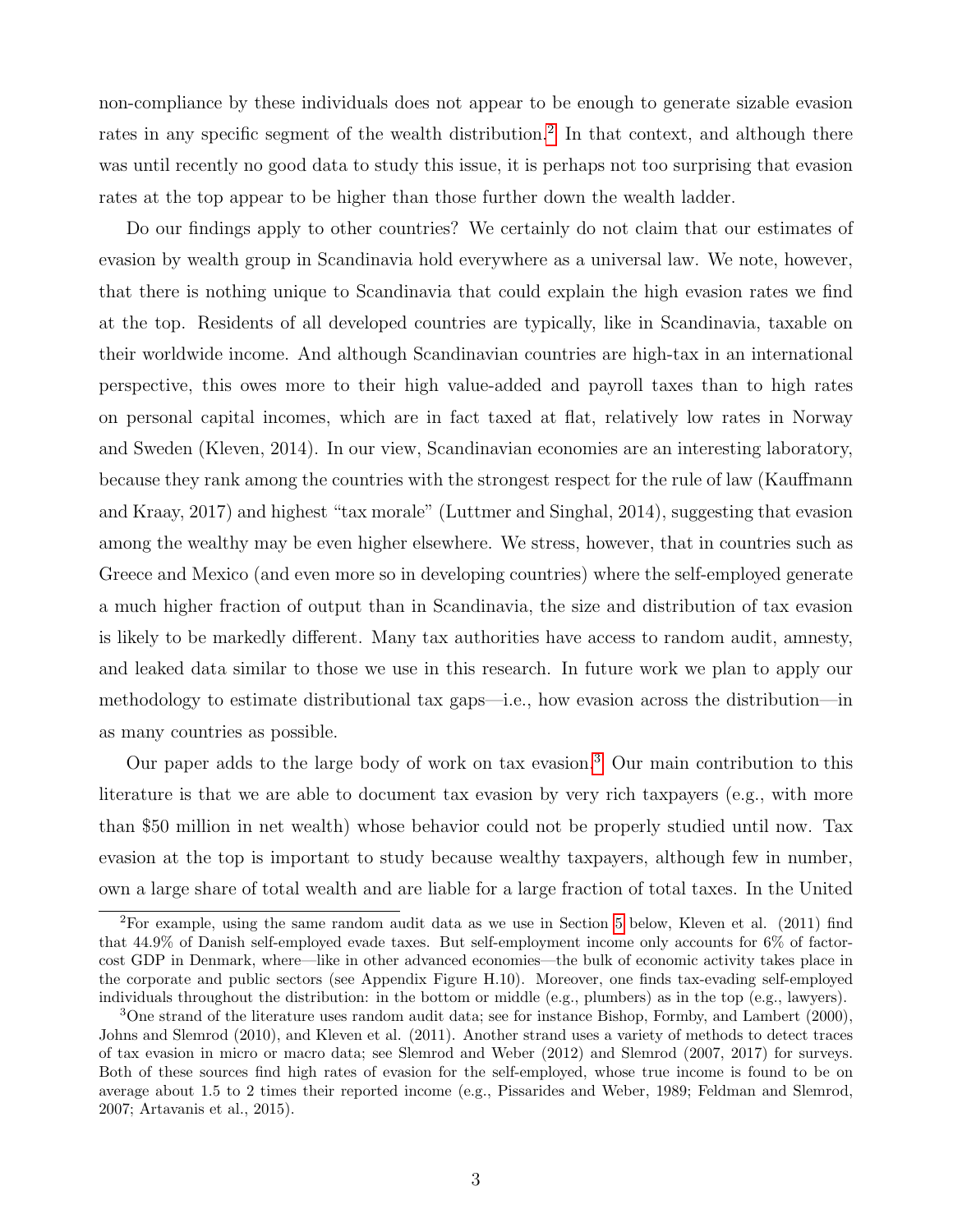non-compliance by these individuals does not appear to be enough to generate sizable evasion rates in any specific segment of the wealth distribution.<sup>[2](#page-3-0)</sup> In that context, and although there was until recently no good data to study this issue, it is perhaps not too surprising that evasion rates at the top appear to be higher than those further down the wealth ladder.

Do our findings apply to other countries? We certainly do not claim that our estimates of evasion by wealth group in Scandinavia hold everywhere as a universal law. We note, however, that there is nothing unique to Scandinavia that could explain the high evasion rates we find at the top. Residents of all developed countries are typically, like in Scandinavia, taxable on their worldwide income. And although Scandinavian countries are high-tax in an international perspective, this owes more to their high value-added and payroll taxes than to high rates on personal capital incomes, which are in fact taxed at flat, relatively low rates in Norway and Sweden (Kleven, 2014). In our view, Scandinavian economies are an interesting laboratory, because they rank among the countries with the strongest respect for the rule of law (Kauffmann and Kraay, 2017) and highest "tax morale" (Luttmer and Singhal, 2014), suggesting that evasion among the wealthy may be even higher elsewhere. We stress, however, that in countries such as Greece and Mexico (and even more so in developing countries) where the self-employed generate a much higher fraction of output than in Scandinavia, the size and distribution of tax evasion is likely to be markedly different. Many tax authorities have access to random audit, amnesty, and leaked data similar to those we use in this research. In future work we plan to apply our methodology to estimate distributional tax gaps—i.e., how evasion across the distribution—in as many countries as possible.

Our paper adds to the large body of work on tax evasion.[3](#page-3-1) Our main contribution to this literature is that we are able to document tax evasion by very rich taxpayers (e.g., with more than \$50 million in net wealth) whose behavior could not be properly studied until now. Tax evasion at the top is important to study because wealthy taxpayers, although few in number, own a large share of total wealth and are liable for a large fraction of total taxes. In the United

<span id="page-3-0"></span><sup>2</sup>For example, using the same random audit data as we use in Section [5](#page-20-0) below, Kleven et al. (2011) find that 44.9% of Danish self-employed evade taxes. But self-employment income only accounts for 6% of factorcost GDP in Denmark, where—like in other advanced economies—the bulk of economic activity takes place in the corporate and public sectors (see Appendix Figure H.10). Moreover, one finds tax-evading self-employed individuals throughout the distribution: in the bottom or middle (e.g., plumbers) as in the top (e.g., lawyers).

<span id="page-3-1"></span><sup>&</sup>lt;sup>3</sup>One strand of the literature uses random audit data; see for instance Bishop, Formby, and Lambert (2000), Johns and Slemrod (2010), and Kleven et al. (2011). Another strand uses a variety of methods to detect traces of tax evasion in micro or macro data; see Slemrod and Weber (2012) and Slemrod (2007, 2017) for surveys. Both of these sources find high rates of evasion for the self-employed, whose true income is found to be on average about 1.5 to 2 times their reported income (e.g., Pissarides and Weber, 1989; Feldman and Slemrod, 2007; Artavanis et al., 2015).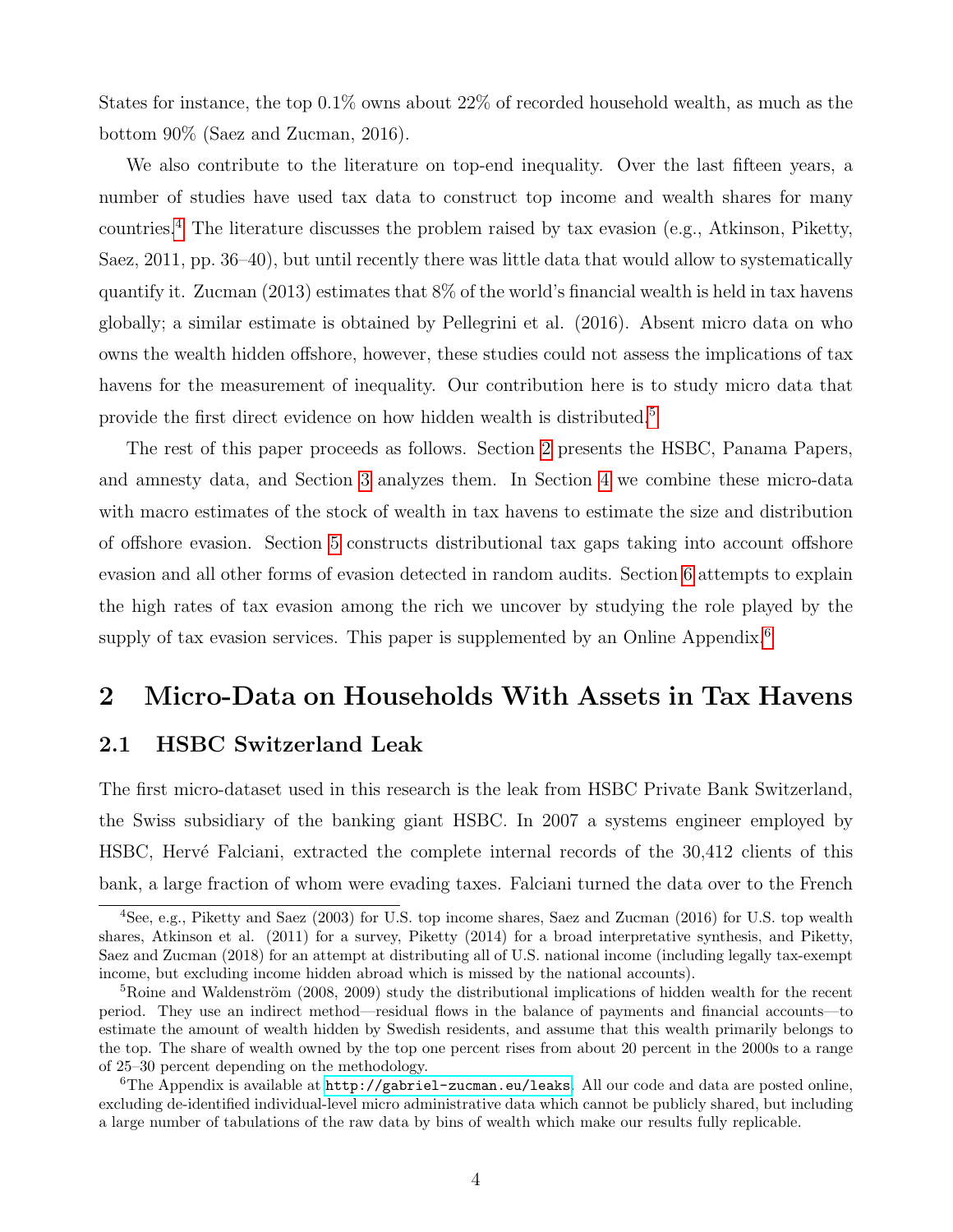States for instance, the top 0.1% owns about 22% of recorded household wealth, as much as the bottom 90% (Saez and Zucman, 2016).

We also contribute to the literature on top-end inequality. Over the last fifteen years, a number of studies have used tax data to construct top income and wealth shares for many countries.[4](#page-4-0) The literature discusses the problem raised by tax evasion (e.g., Atkinson, Piketty, Saez, 2011, pp. 36–40), but until recently there was little data that would allow to systematically quantify it. Zucman (2013) estimates that 8% of the world's financial wealth is held in tax havens globally; a similar estimate is obtained by Pellegrini et al. (2016). Absent micro data on who owns the wealth hidden offshore, however, these studies could not assess the implications of tax havens for the measurement of inequality. Our contribution here is to study micro data that provide the first direct evidence on how hidden wealth is distributed.[5](#page-4-1)

The rest of this paper proceeds as follows. Section [2](#page-4-2) presents the HSBC, Panama Papers, and amnesty data, and Section [3](#page-9-0) analyzes them. In Section [4](#page-14-0) we combine these micro-data with macro estimates of the stock of wealth in tax havens to estimate the size and distribution of offshore evasion. Section [5](#page-20-0) constructs distributional tax gaps taking into account offshore evasion and all other forms of evasion detected in random audits. Section [6](#page-23-0) attempts to explain the high rates of tax evasion among the rich we uncover by studying the role played by the supply of tax evasion services. This paper is supplemented by an Online Appendix.<sup>[6](#page-4-3)</sup>

### <span id="page-4-2"></span>2 Micro-Data on Households With Assets in Tax Havens

#### 2.1 HSBC Switzerland Leak

The first micro-dataset used in this research is the leak from HSBC Private Bank Switzerland, the Swiss subsidiary of the banking giant HSBC. In 2007 a systems engineer employed by HSBC, Hervé Falciani, extracted the complete internal records of the 30,412 clients of this bank, a large fraction of whom were evading taxes. Falciani turned the data over to the French

<span id="page-4-0"></span><sup>4</sup>See, e.g., Piketty and Saez (2003) for U.S. top income shares, Saez and Zucman (2016) for U.S. top wealth shares, Atkinson et al. (2011) for a survey, Piketty (2014) for a broad interpretative synthesis, and Piketty, Saez and Zucman (2018) for an attempt at distributing all of U.S. national income (including legally tax-exempt income, but excluding income hidden abroad which is missed by the national accounts).

<span id="page-4-1"></span> $5R\text{o}$  and Waldenström (2008, 2009) study the distributional implications of hidden wealth for the recent period. They use an indirect method—residual flows in the balance of payments and financial accounts—to estimate the amount of wealth hidden by Swedish residents, and assume that this wealth primarily belongs to the top. The share of wealth owned by the top one percent rises from about 20 percent in the 2000s to a range of 25–30 percent depending on the methodology.

<span id="page-4-3"></span><sup>6</sup>The Appendix is available at <http://gabriel-zucman.eu/leaks>. All our code and data are posted online, excluding de-identified individual-level micro administrative data which cannot be publicly shared, but including a large number of tabulations of the raw data by bins of wealth which make our results fully replicable.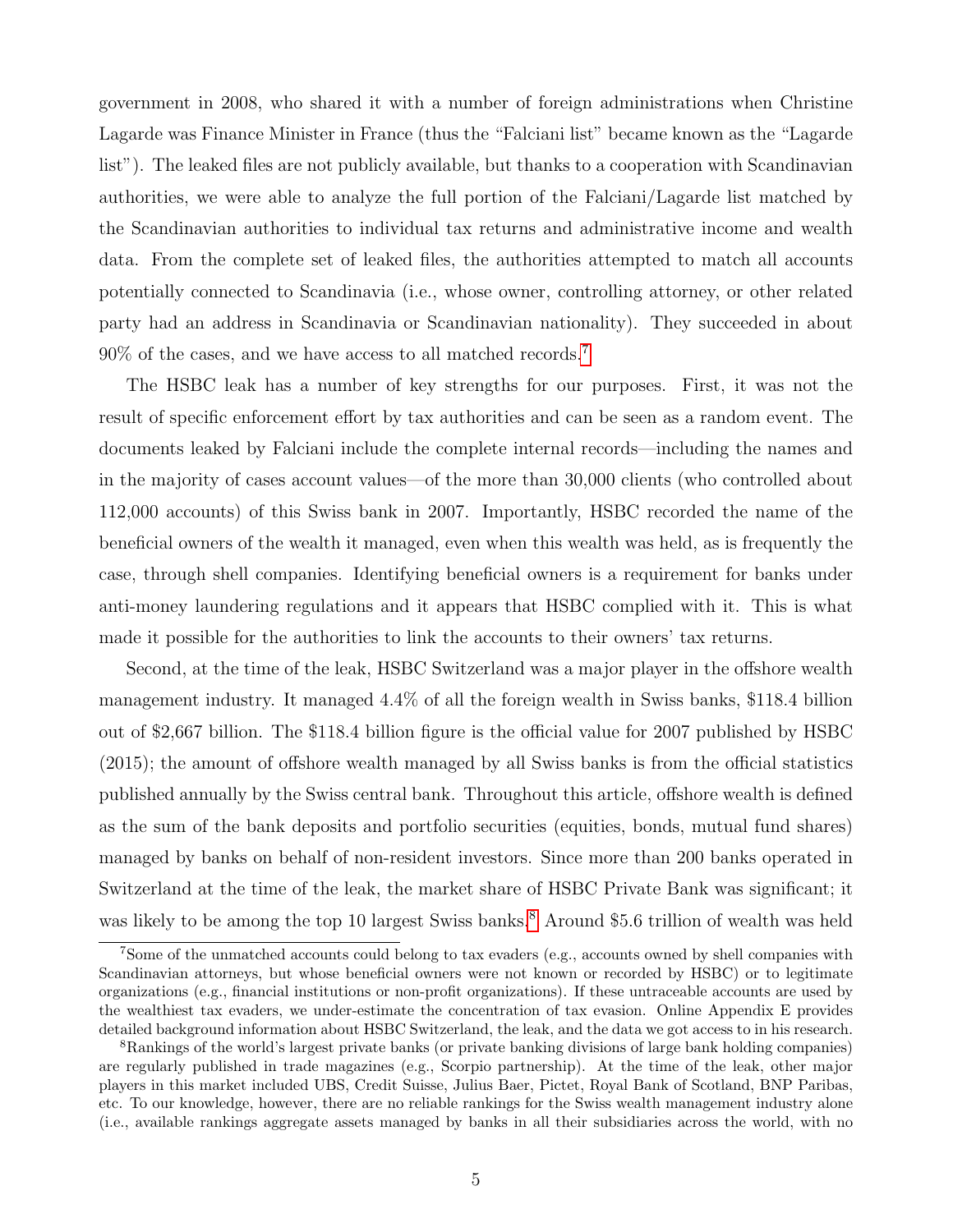government in 2008, who shared it with a number of foreign administrations when Christine Lagarde was Finance Minister in France (thus the "Falciani list" became known as the "Lagarde list"). The leaked files are not publicly available, but thanks to a cooperation with Scandinavian authorities, we were able to analyze the full portion of the Falciani/Lagarde list matched by the Scandinavian authorities to individual tax returns and administrative income and wealth data. From the complete set of leaked files, the authorities attempted to match all accounts potentially connected to Scandinavia (i.e., whose owner, controlling attorney, or other related party had an address in Scandinavia or Scandinavian nationality). They succeeded in about  $90\%$  of the cases, and we have access to all matched records.<sup>[7](#page-5-0)</sup>

The HSBC leak has a number of key strengths for our purposes. First, it was not the result of specific enforcement effort by tax authorities and can be seen as a random event. The documents leaked by Falciani include the complete internal records—including the names and in the majority of cases account values—of the more than 30,000 clients (who controlled about 112,000 accounts) of this Swiss bank in 2007. Importantly, HSBC recorded the name of the beneficial owners of the wealth it managed, even when this wealth was held, as is frequently the case, through shell companies. Identifying beneficial owners is a requirement for banks under anti-money laundering regulations and it appears that HSBC complied with it. This is what made it possible for the authorities to link the accounts to their owners' tax returns.

Second, at the time of the leak, HSBC Switzerland was a major player in the offshore wealth management industry. It managed 4.4% of all the foreign wealth in Swiss banks, \$118.4 billion out of \$2,667 billion. The \$118.4 billion figure is the official value for 2007 published by HSBC (2015); the amount of offshore wealth managed by all Swiss banks is from the official statistics published annually by the Swiss central bank. Throughout this article, offshore wealth is defined as the sum of the bank deposits and portfolio securities (equities, bonds, mutual fund shares) managed by banks on behalf of non-resident investors. Since more than 200 banks operated in Switzerland at the time of the leak, the market share of HSBC Private Bank was significant; it was likely to be among the top 10 largest Swiss banks.<sup>[8](#page-5-1)</sup> Around \$5.6 trillion of wealth was held

<span id="page-5-0"></span><sup>7</sup>Some of the unmatched accounts could belong to tax evaders (e.g., accounts owned by shell companies with Scandinavian attorneys, but whose beneficial owners were not known or recorded by HSBC) or to legitimate organizations (e.g., financial institutions or non-profit organizations). If these untraceable accounts are used by the wealthiest tax evaders, we under-estimate the concentration of tax evasion. Online Appendix E provides detailed background information about HSBC Switzerland, the leak, and the data we got access to in his research.

<span id="page-5-1"></span><sup>8</sup>Rankings of the world's largest private banks (or private banking divisions of large bank holding companies) are regularly published in trade magazines (e.g., Scorpio partnership). At the time of the leak, other major players in this market included UBS, Credit Suisse, Julius Baer, Pictet, Royal Bank of Scotland, BNP Paribas, etc. To our knowledge, however, there are no reliable rankings for the Swiss wealth management industry alone (i.e., available rankings aggregate assets managed by banks in all their subsidiaries across the world, with no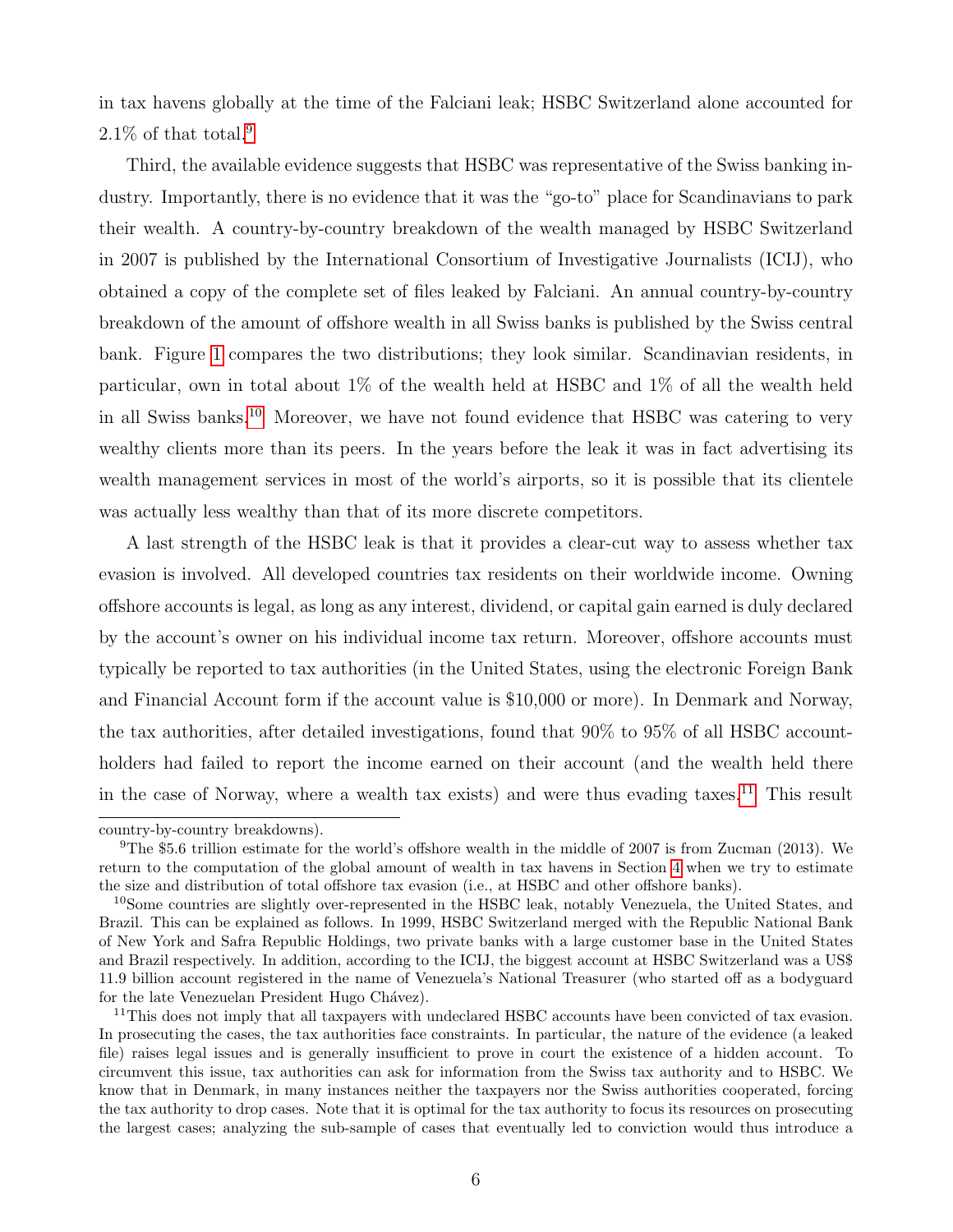in tax havens globally at the time of the Falciani leak; HSBC Switzerland alone accounted for  $2.1\%$  of that total.<sup>[9](#page-6-0)</sup>

Third, the available evidence suggests that HSBC was representative of the Swiss banking industry. Importantly, there is no evidence that it was the "go-to" place for Scandinavians to park their wealth. A country-by-country breakdown of the wealth managed by HSBC Switzerland in 2007 is published by the International Consortium of Investigative Journalists (ICIJ), who obtained a copy of the complete set of files leaked by Falciani. An annual country-by-country breakdown of the amount of offshore wealth in all Swiss banks is published by the Swiss central bank. Figure [1](#page-32-0) compares the two distributions; they look similar. Scandinavian residents, in particular, own in total about 1% of the wealth held at HSBC and 1% of all the wealth held in all Swiss banks.[10](#page-6-1) Moreover, we have not found evidence that HSBC was catering to very wealthy clients more than its peers. In the years before the leak it was in fact advertising its wealth management services in most of the world's airports, so it is possible that its clientele was actually less wealthy than that of its more discrete competitors.

A last strength of the HSBC leak is that it provides a clear-cut way to assess whether tax evasion is involved. All developed countries tax residents on their worldwide income. Owning offshore accounts is legal, as long as any interest, dividend, or capital gain earned is duly declared by the account's owner on his individual income tax return. Moreover, offshore accounts must typically be reported to tax authorities (in the United States, using the electronic Foreign Bank and Financial Account form if the account value is \$10,000 or more). In Denmark and Norway, the tax authorities, after detailed investigations, found that 90% to 95% of all HSBC accountholders had failed to report the income earned on their account (and the wealth held there in the case of Norway, where a wealth tax exists) and were thus evading taxes.<sup>[11](#page-6-2)</sup> This result

country-by-country breakdowns).

<span id="page-6-0"></span><sup>9</sup>The \$5.6 trillion estimate for the world's offshore wealth in the middle of 2007 is from Zucman (2013). We return to the computation of the global amount of wealth in tax havens in Section [4](#page-14-0) when we try to estimate the size and distribution of total offshore tax evasion (i.e., at HSBC and other offshore banks).

<span id="page-6-1"></span><sup>&</sup>lt;sup>10</sup>Some countries are slightly over-represented in the HSBC leak, notably Venezuela, the United States, and Brazil. This can be explained as follows. In 1999, HSBC Switzerland merged with the Republic National Bank of New York and Safra Republic Holdings, two private banks with a large customer base in the United States and Brazil respectively. In addition, according to the ICIJ, the biggest account at HSBC Switzerland was a US\$ 11.9 billion account registered in the name of Venezuela's National Treasurer (who started off as a bodyguard for the late Venezuelan President Hugo Chávez).

<span id="page-6-2"></span><sup>&</sup>lt;sup>11</sup>This does not imply that all taxpayers with undeclared HSBC accounts have been convicted of tax evasion. In prosecuting the cases, the tax authorities face constraints. In particular, the nature of the evidence (a leaked file) raises legal issues and is generally insufficient to prove in court the existence of a hidden account. To circumvent this issue, tax authorities can ask for information from the Swiss tax authority and to HSBC. We know that in Denmark, in many instances neither the taxpayers nor the Swiss authorities cooperated, forcing the tax authority to drop cases. Note that it is optimal for the tax authority to focus its resources on prosecuting the largest cases; analyzing the sub-sample of cases that eventually led to conviction would thus introduce a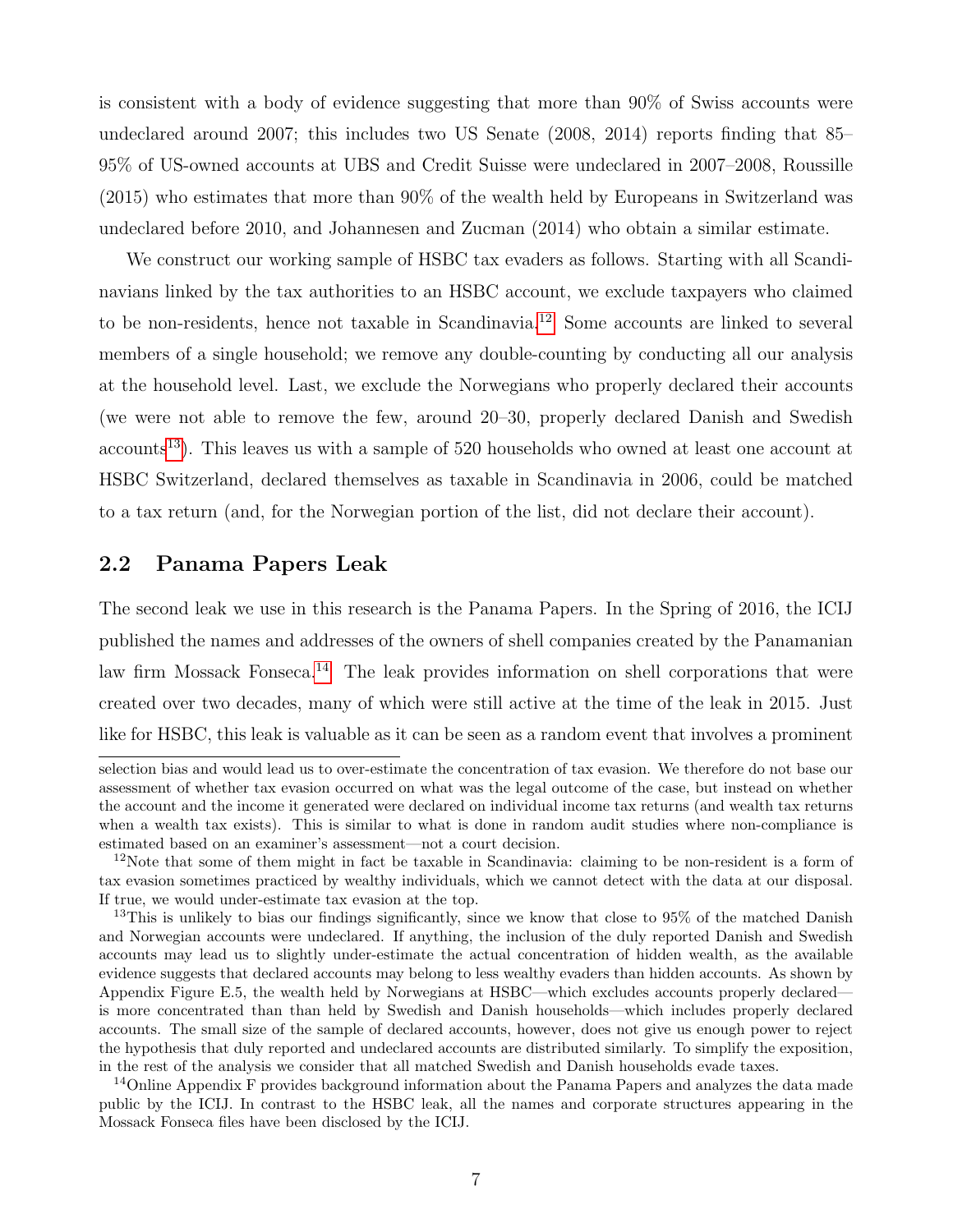is consistent with a body of evidence suggesting that more than 90% of Swiss accounts were undeclared around 2007; this includes two US Senate (2008, 2014) reports finding that 85– 95% of US-owned accounts at UBS and Credit Suisse were undeclared in 2007–2008, Roussille (2015) who estimates that more than 90% of the wealth held by Europeans in Switzerland was undeclared before 2010, and Johannesen and Zucman (2014) who obtain a similar estimate.

We construct our working sample of HSBC tax evaders as follows. Starting with all Scandinavians linked by the tax authorities to an HSBC account, we exclude taxpayers who claimed to be non-residents, hence not taxable in Scandinavia.[12](#page-7-0) Some accounts are linked to several members of a single household; we remove any double-counting by conducting all our analysis at the household level. Last, we exclude the Norwegians who properly declared their accounts (we were not able to remove the few, around 20–30, properly declared Danish and Swedish accounts<sup>[13](#page-7-1)</sup>). This leaves us with a sample of 520 households who owned at least one account at HSBC Switzerland, declared themselves as taxable in Scandinavia in 2006, could be matched to a tax return (and, for the Norwegian portion of the list, did not declare their account).

#### 2.2 Panama Papers Leak

The second leak we use in this research is the Panama Papers. In the Spring of 2016, the ICIJ published the names and addresses of the owners of shell companies created by the Panamanian law firm Mossack Fonseca.<sup>[14](#page-7-2)</sup> The leak provides information on shell corporations that were created over two decades, many of which were still active at the time of the leak in 2015. Just like for HSBC, this leak is valuable as it can be seen as a random event that involves a prominent

selection bias and would lead us to over-estimate the concentration of tax evasion. We therefore do not base our assessment of whether tax evasion occurred on what was the legal outcome of the case, but instead on whether the account and the income it generated were declared on individual income tax returns (and wealth tax returns when a wealth tax exists). This is similar to what is done in random audit studies where non-compliance is estimated based on an examiner's assessment—not a court decision.

<span id="page-7-0"></span> $12$ Note that some of them might in fact be taxable in Scandinavia: claiming to be non-resident is a form of tax evasion sometimes practiced by wealthy individuals, which we cannot detect with the data at our disposal. If true, we would under-estimate tax evasion at the top.

<span id="page-7-1"></span><sup>&</sup>lt;sup>13</sup>This is unlikely to bias our findings significantly, since we know that close to 95% of the matched Danish and Norwegian accounts were undeclared. If anything, the inclusion of the duly reported Danish and Swedish accounts may lead us to slightly under-estimate the actual concentration of hidden wealth, as the available evidence suggests that declared accounts may belong to less wealthy evaders than hidden accounts. As shown by Appendix Figure E.5, the wealth held by Norwegians at HSBC—which excludes accounts properly declared is more concentrated than than held by Swedish and Danish households—which includes properly declared accounts. The small size of the sample of declared accounts, however, does not give us enough power to reject the hypothesis that duly reported and undeclared accounts are distributed similarly. To simplify the exposition, in the rest of the analysis we consider that all matched Swedish and Danish households evade taxes.

<span id="page-7-2"></span><sup>&</sup>lt;sup>14</sup>Online Appendix F provides background information about the Panama Papers and analyzes the data made public by the ICIJ. In contrast to the HSBC leak, all the names and corporate structures appearing in the Mossack Fonseca files have been disclosed by the ICIJ.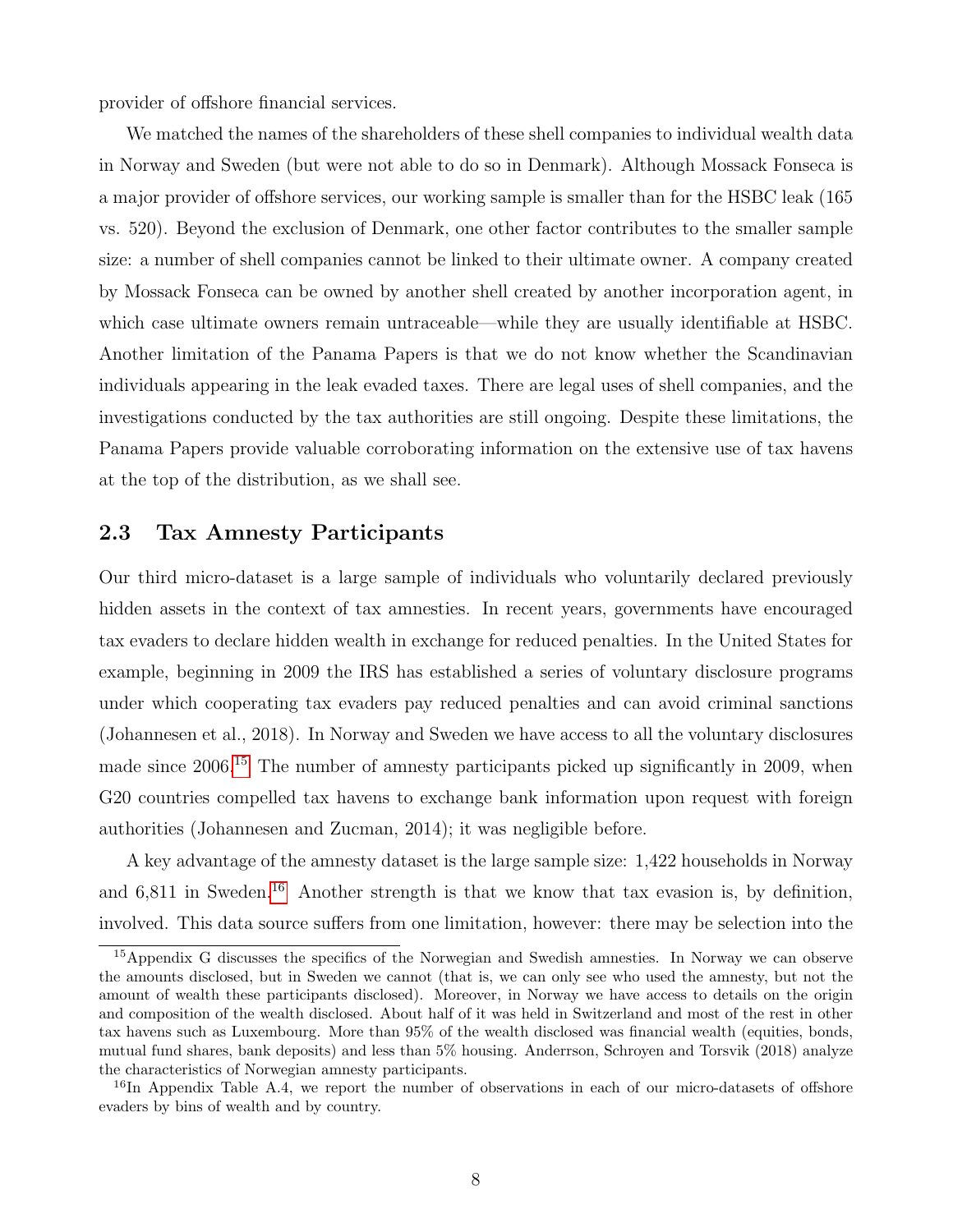provider of offshore financial services.

We matched the names of the shareholders of these shell companies to individual wealth data in Norway and Sweden (but were not able to do so in Denmark). Although Mossack Fonseca is a major provider of offshore services, our working sample is smaller than for the HSBC leak (165 vs. 520). Beyond the exclusion of Denmark, one other factor contributes to the smaller sample size: a number of shell companies cannot be linked to their ultimate owner. A company created by Mossack Fonseca can be owned by another shell created by another incorporation agent, in which case ultimate owners remain untraceable—while they are usually identifiable at HSBC. Another limitation of the Panama Papers is that we do not know whether the Scandinavian individuals appearing in the leak evaded taxes. There are legal uses of shell companies, and the investigations conducted by the tax authorities are still ongoing. Despite these limitations, the Panama Papers provide valuable corroborating information on the extensive use of tax havens at the top of the distribution, as we shall see.

#### 2.3 Tax Amnesty Participants

Our third micro-dataset is a large sample of individuals who voluntarily declared previously hidden assets in the context of tax amnesties. In recent years, governments have encouraged tax evaders to declare hidden wealth in exchange for reduced penalties. In the United States for example, beginning in 2009 the IRS has established a series of voluntary disclosure programs under which cooperating tax evaders pay reduced penalties and can avoid criminal sanctions (Johannesen et al., 2018). In Norway and Sweden we have access to all the voluntary disclosures made since 2006.[15](#page-8-0) The number of amnesty participants picked up significantly in 2009, when G20 countries compelled tax havens to exchange bank information upon request with foreign authorities (Johannesen and Zucman, 2014); it was negligible before.

A key advantage of the amnesty dataset is the large sample size: 1,422 households in Norway and  $6,811$  in Sweden.<sup>[16](#page-8-1)</sup> Another strength is that we know that tax evasion is, by definition, involved. This data source suffers from one limitation, however: there may be selection into the

<span id="page-8-0"></span><sup>15</sup>Appendix G discusses the specifics of the Norwegian and Swedish amnesties. In Norway we can observe the amounts disclosed, but in Sweden we cannot (that is, we can only see who used the amnesty, but not the amount of wealth these participants disclosed). Moreover, in Norway we have access to details on the origin and composition of the wealth disclosed. About half of it was held in Switzerland and most of the rest in other tax havens such as Luxembourg. More than 95% of the wealth disclosed was financial wealth (equities, bonds, mutual fund shares, bank deposits) and less than 5% housing. Anderrson, Schroyen and Torsvik (2018) analyze the characteristics of Norwegian amnesty participants.

<span id="page-8-1"></span><sup>&</sup>lt;sup>16</sup>In Appendix Table A.4, we report the number of observations in each of our micro-datasets of offshore evaders by bins of wealth and by country.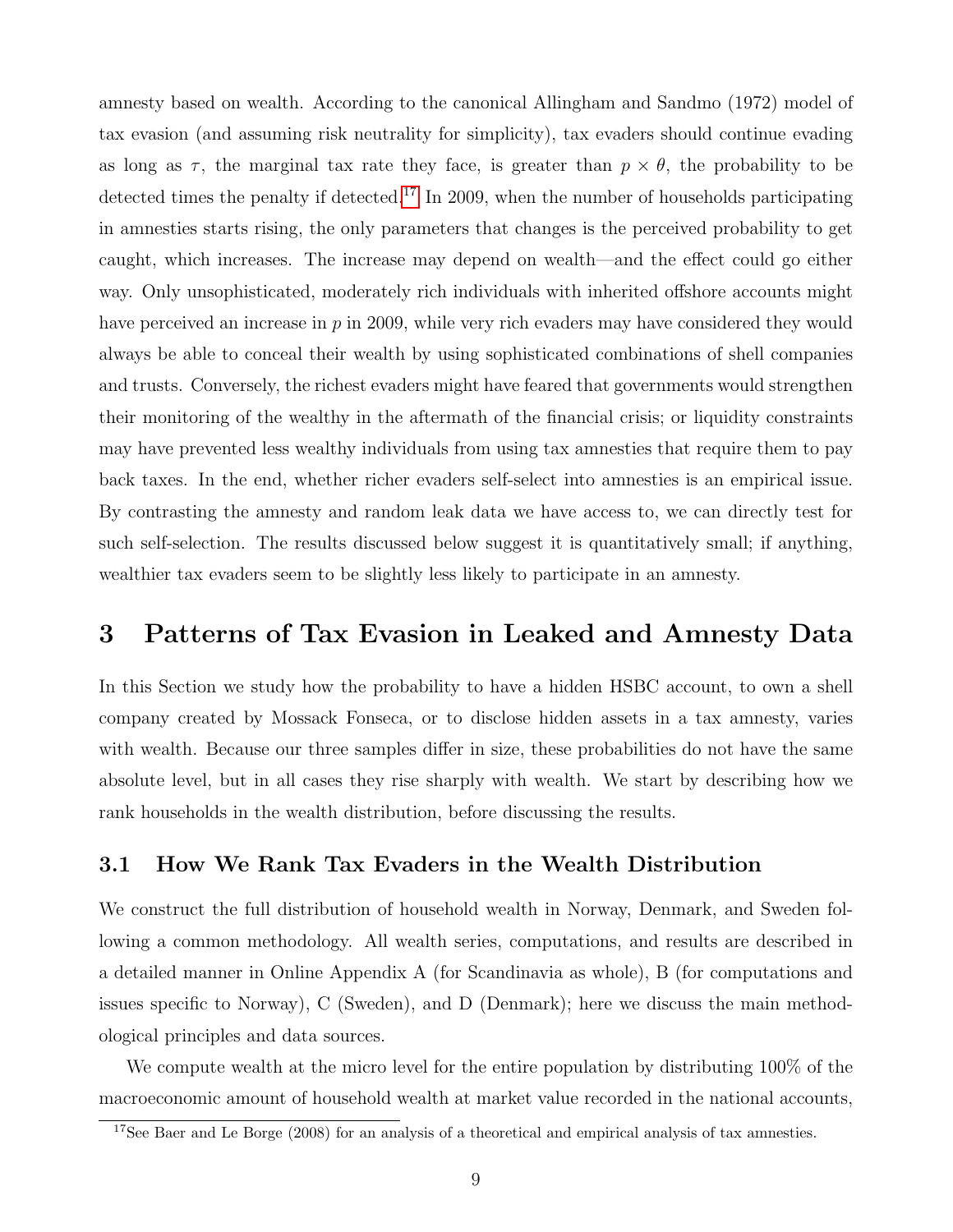amnesty based on wealth. According to the canonical Allingham and Sandmo (1972) model of tax evasion (and assuming risk neutrality for simplicity), tax evaders should continue evading as long as  $\tau$ , the marginal tax rate they face, is greater than  $p \times \theta$ , the probability to be detected times the penalty if detected.<sup>[17](#page-9-1)</sup> In 2009, when the number of households participating in amnesties starts rising, the only parameters that changes is the perceived probability to get caught, which increases. The increase may depend on wealth—and the effect could go either way. Only unsophisticated, moderately rich individuals with inherited offshore accounts might have perceived an increase in  $p$  in 2009, while very rich evaders may have considered they would always be able to conceal their wealth by using sophisticated combinations of shell companies and trusts. Conversely, the richest evaders might have feared that governments would strengthen their monitoring of the wealthy in the aftermath of the financial crisis; or liquidity constraints may have prevented less wealthy individuals from using tax amnesties that require them to pay back taxes. In the end, whether richer evaders self-select into amnesties is an empirical issue. By contrasting the amnesty and random leak data we have access to, we can directly test for such self-selection. The results discussed below suggest it is quantitatively small; if anything, wealthier tax evaders seem to be slightly less likely to participate in an amnesty.

### <span id="page-9-0"></span>3 Patterns of Tax Evasion in Leaked and Amnesty Data

In this Section we study how the probability to have a hidden HSBC account, to own a shell company created by Mossack Fonseca, or to disclose hidden assets in a tax amnesty, varies with wealth. Because our three samples differ in size, these probabilities do not have the same absolute level, but in all cases they rise sharply with wealth. We start by describing how we rank households in the wealth distribution, before discussing the results.

#### 3.1 How We Rank Tax Evaders in the Wealth Distribution

We construct the full distribution of household wealth in Norway, Denmark, and Sweden following a common methodology. All wealth series, computations, and results are described in a detailed manner in Online Appendix A (for Scandinavia as whole), B (for computations and issues specific to Norway), C (Sweden), and D (Denmark); here we discuss the main methodological principles and data sources.

We compute wealth at the micro level for the entire population by distributing 100% of the macroeconomic amount of household wealth at market value recorded in the national accounts,

<span id="page-9-1"></span><sup>&</sup>lt;sup>17</sup>See Baer and Le Borge  $(2008)$  for an analysis of a theoretical and empirical analysis of tax amnesties.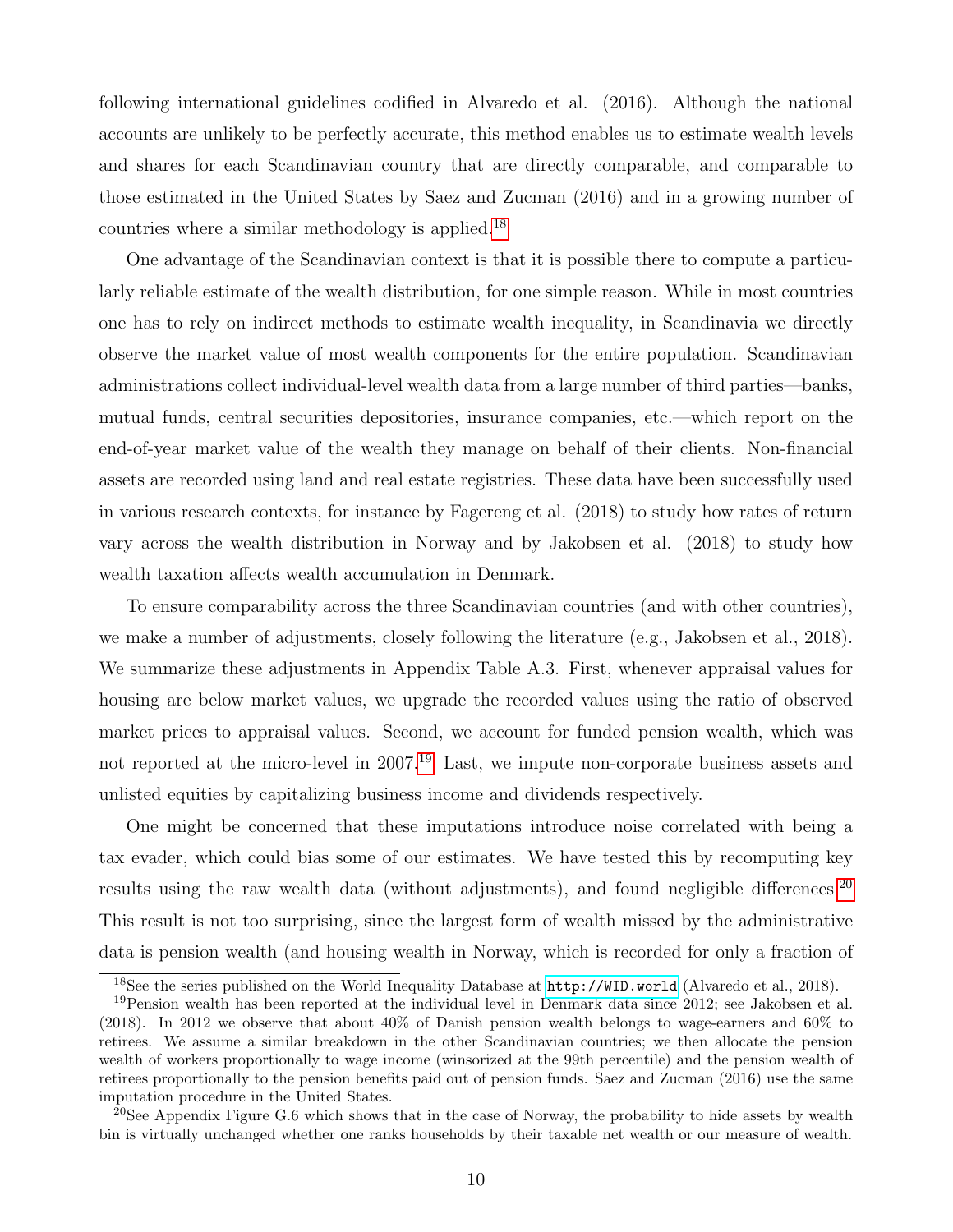following international guidelines codified in Alvaredo et al. (2016). Although the national accounts are unlikely to be perfectly accurate, this method enables us to estimate wealth levels and shares for each Scandinavian country that are directly comparable, and comparable to those estimated in the United States by Saez and Zucman (2016) and in a growing number of countries where a similar methodology is applied.[18](#page-10-0)

One advantage of the Scandinavian context is that it is possible there to compute a particularly reliable estimate of the wealth distribution, for one simple reason. While in most countries one has to rely on indirect methods to estimate wealth inequality, in Scandinavia we directly observe the market value of most wealth components for the entire population. Scandinavian administrations collect individual-level wealth data from a large number of third parties—banks, mutual funds, central securities depositories, insurance companies, etc.—which report on the end-of-year market value of the wealth they manage on behalf of their clients. Non-financial assets are recorded using land and real estate registries. These data have been successfully used in various research contexts, for instance by Fagereng et al. (2018) to study how rates of return vary across the wealth distribution in Norway and by Jakobsen et al. (2018) to study how wealth taxation affects wealth accumulation in Denmark.

To ensure comparability across the three Scandinavian countries (and with other countries), we make a number of adjustments, closely following the literature (e.g., Jakobsen et al., 2018). We summarize these adjustments in Appendix Table A.3. First, whenever appraisal values for housing are below market values, we upgrade the recorded values using the ratio of observed market prices to appraisal values. Second, we account for funded pension wealth, which was not reported at the micro-level in 2007.<sup>[19](#page-10-1)</sup> Last, we impute non-corporate business assets and unlisted equities by capitalizing business income and dividends respectively.

One might be concerned that these imputations introduce noise correlated with being a tax evader, which could bias some of our estimates. We have tested this by recomputing key results using the raw wealth data (without adjustments), and found negligible differences.<sup>[20](#page-10-2)</sup> This result is not too surprising, since the largest form of wealth missed by the administrative data is pension wealth (and housing wealth in Norway, which is recorded for only a fraction of

<span id="page-10-1"></span><span id="page-10-0"></span><sup>18</sup>See the series published on the World Inequality Database at <http://WID.world> (Alvaredo et al., 2018).

<sup>19</sup>Pension wealth has been reported at the individual level in Denmark data since 2012; see Jakobsen et al. (2018). In 2012 we observe that about 40% of Danish pension wealth belongs to wage-earners and 60% to retirees. We assume a similar breakdown in the other Scandinavian countries; we then allocate the pension wealth of workers proportionally to wage income (winsorized at the 99th percentile) and the pension wealth of retirees proportionally to the pension benefits paid out of pension funds. Saez and Zucman (2016) use the same imputation procedure in the United States.

<span id="page-10-2"></span><sup>&</sup>lt;sup>20</sup>See Appendix Figure G.6 which shows that in the case of Norway, the probability to hide assets by wealth bin is virtually unchanged whether one ranks households by their taxable net wealth or our measure of wealth.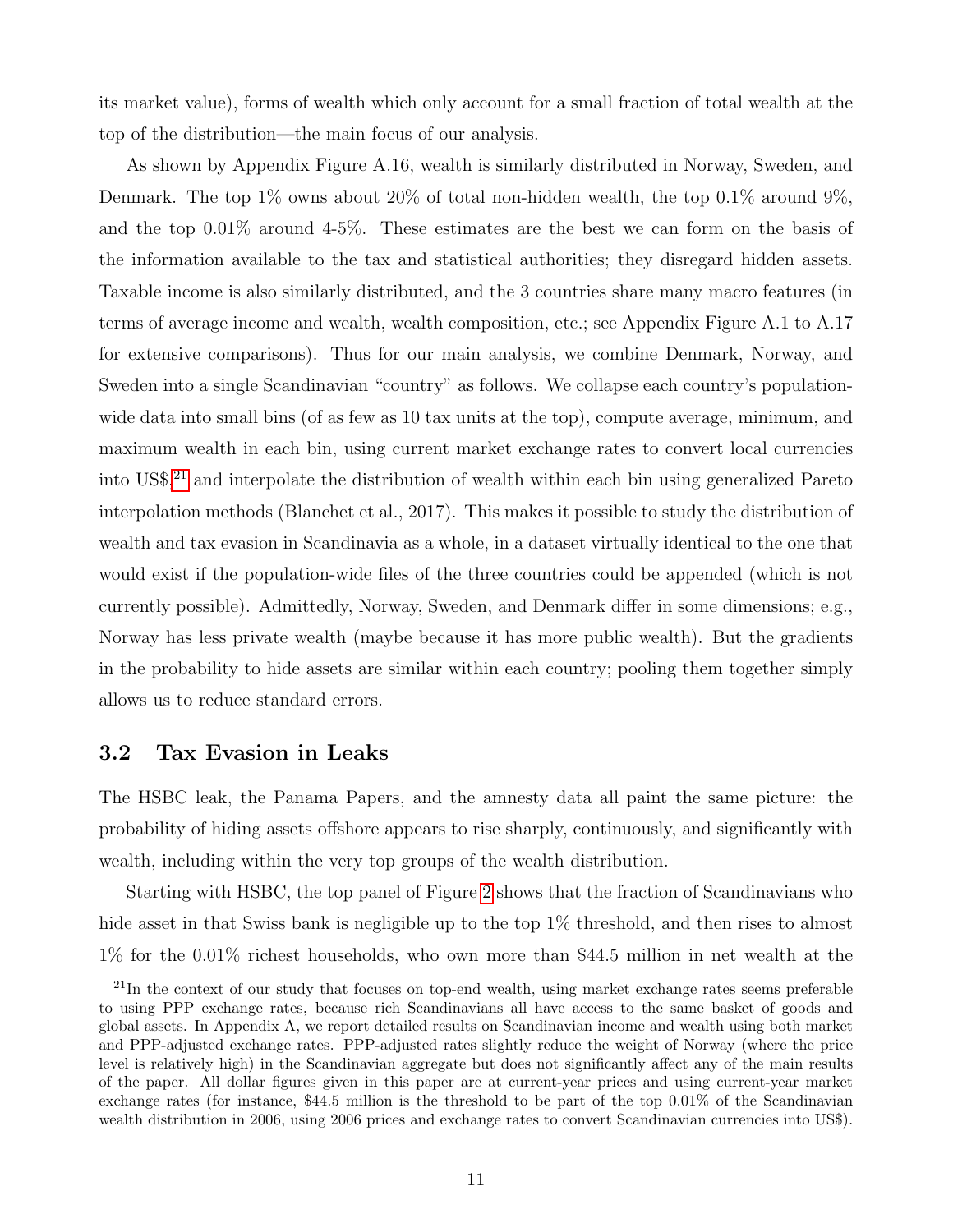its market value), forms of wealth which only account for a small fraction of total wealth at the top of the distribution—the main focus of our analysis.

As shown by Appendix Figure A.16, wealth is similarly distributed in Norway, Sweden, and Denmark. The top 1% owns about 20% of total non-hidden wealth, the top 0.1% around 9%, and the top 0.01% around 4-5%. These estimates are the best we can form on the basis of the information available to the tax and statistical authorities; they disregard hidden assets. Taxable income is also similarly distributed, and the 3 countries share many macro features (in terms of average income and wealth, wealth composition, etc.; see Appendix Figure A.1 to A.17 for extensive comparisons). Thus for our main analysis, we combine Denmark, Norway, and Sweden into a single Scandinavian "country" as follows. We collapse each country's populationwide data into small bins (of as few as 10 tax units at the top), compute average, minimum, and maximum wealth in each bin, using current market exchange rates to convert local currencies into US\$,[21](#page-11-0) and interpolate the distribution of wealth within each bin using generalized Pareto interpolation methods (Blanchet et al., 2017). This makes it possible to study the distribution of wealth and tax evasion in Scandinavia as a whole, in a dataset virtually identical to the one that would exist if the population-wide files of the three countries could be appended (which is not currently possible). Admittedly, Norway, Sweden, and Denmark differ in some dimensions; e.g., Norway has less private wealth (maybe because it has more public wealth). But the gradients in the probability to hide assets are similar within each country; pooling them together simply allows us to reduce standard errors.

#### 3.2 Tax Evasion in Leaks

The HSBC leak, the Panama Papers, and the amnesty data all paint the same picture: the probability of hiding assets offshore appears to rise sharply, continuously, and significantly with wealth, including within the very top groups of the wealth distribution.

Starting with HSBC, the top panel of Figure [2](#page-33-0) shows that the fraction of Scandinavians who hide asset in that Swiss bank is negligible up to the top 1% threshold, and then rises to almost 1% for the 0.01% richest households, who own more than \$44.5 million in net wealth at the

<span id="page-11-0"></span> $^{21}$ In the context of our study that focuses on top-end wealth, using market exchange rates seems preferable to using PPP exchange rates, because rich Scandinavians all have access to the same basket of goods and global assets. In Appendix A, we report detailed results on Scandinavian income and wealth using both market and PPP-adjusted exchange rates. PPP-adjusted rates slightly reduce the weight of Norway (where the price level is relatively high) in the Scandinavian aggregate but does not significantly affect any of the main results of the paper. All dollar figures given in this paper are at current-year prices and using current-year market exchange rates (for instance, \$44.5 million is the threshold to be part of the top 0.01% of the Scandinavian wealth distribution in 2006, using 2006 prices and exchange rates to convert Scandinavian currencies into US\$).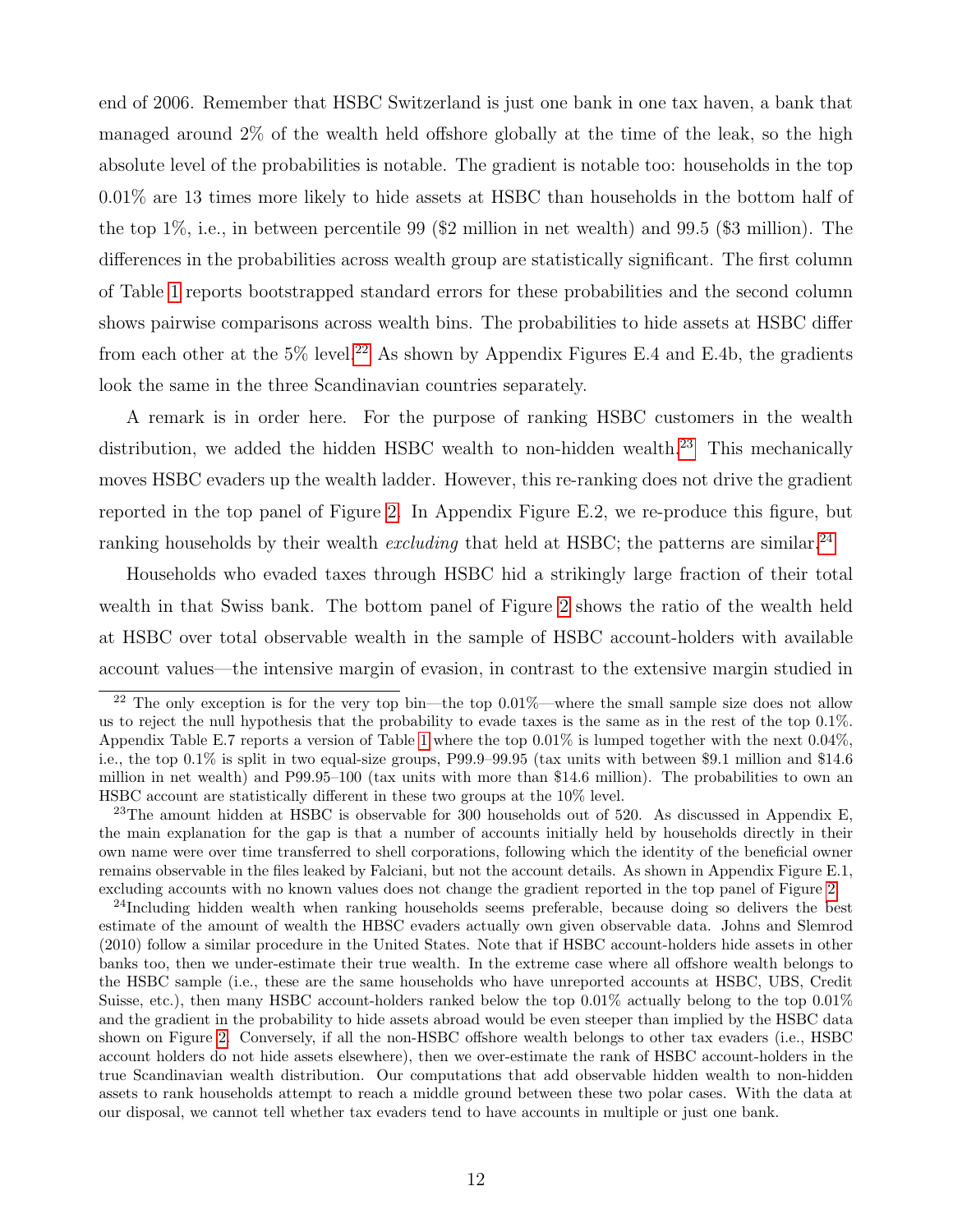end of 2006. Remember that HSBC Switzerland is just one bank in one tax haven, a bank that managed around 2% of the wealth held offshore globally at the time of the leak, so the high absolute level of the probabilities is notable. The gradient is notable too: households in the top 0.01% are 13 times more likely to hide assets at HSBC than households in the bottom half of the top 1%, i.e., in between percentile 99 (\$2 million in net wealth) and 99.5 (\$3 million). The differences in the probabilities across wealth group are statistically significant. The first column of Table [1](#page-30-0) reports bootstrapped standard errors for these probabilities and the second column shows pairwise comparisons across wealth bins. The probabilities to hide assets at HSBC differ from each other at the  $5\%$  level.<sup>[22](#page-12-0)</sup> As shown by Appendix Figures E.4 and E.4b, the gradients look the same in the three Scandinavian countries separately.

A remark is in order here. For the purpose of ranking HSBC customers in the wealth distribution, we added the hidden HSBC wealth to non-hidden wealth.<sup>[23](#page-12-1)</sup> This mechanically moves HSBC evaders up the wealth ladder. However, this re-ranking does not drive the gradient reported in the top panel of Figure [2.](#page-33-0) In Appendix Figure E.2, we re-produce this figure, but ranking households by their wealth *excluding* that held at HSBC; the patterns are similar.<sup>[24](#page-12-2)</sup>

Households who evaded taxes through HSBC hid a strikingly large fraction of their total wealth in that Swiss bank. The bottom panel of Figure [2](#page-33-0) shows the ratio of the wealth held at HSBC over total observable wealth in the sample of HSBC account-holders with available account values—the intensive margin of evasion, in contrast to the extensive margin studied in

<span id="page-12-2"></span><sup>24</sup>Including hidden wealth when ranking households seems preferable, because doing so delivers the best estimate of the amount of wealth the HBSC evaders actually own given observable data. Johns and Slemrod (2010) follow a similar procedure in the United States. Note that if HSBC account-holders hide assets in other banks too, then we under-estimate their true wealth. In the extreme case where all offshore wealth belongs to the HSBC sample (i.e., these are the same households who have unreported accounts at HSBC, UBS, Credit Suisse, etc.), then many HSBC account-holders ranked below the top 0.01% actually belong to the top 0.01% and the gradient in the probability to hide assets abroad would be even steeper than implied by the HSBC data shown on Figure [2.](#page-33-0) Conversely, if all the non-HSBC offshore wealth belongs to other tax evaders (i.e., HSBC account holders do not hide assets elsewhere), then we over-estimate the rank of HSBC account-holders in the true Scandinavian wealth distribution. Our computations that add observable hidden wealth to non-hidden assets to rank households attempt to reach a middle ground between these two polar cases. With the data at our disposal, we cannot tell whether tax evaders tend to have accounts in multiple or just one bank.

<span id="page-12-0"></span> $22$  The only exception is for the very top bin—the top 0.01%—where the small sample size does not allow us to reject the null hypothesis that the probability to evade taxes is the same as in the rest of the top 0.1%. Appendix Table E.7 reports a version of Table [1](#page-30-0) where the top 0.01% is lumped together with the next 0.04%, i.e., the top 0.1% is split in two equal-size groups, P99.9–99.95 (tax units with between \$9.1 million and \$14.6 million in net wealth) and P99.95–100 (tax units with more than \$14.6 million). The probabilities to own an HSBC account are statistically different in these two groups at the 10% level.

<span id="page-12-1"></span><sup>&</sup>lt;sup>23</sup>The amount hidden at HSBC is observable for 300 households out of 520. As discussed in Appendix E, the main explanation for the gap is that a number of accounts initially held by households directly in their own name were over time transferred to shell corporations, following which the identity of the beneficial owner remains observable in the files leaked by Falciani, but not the account details. As shown in Appendix Figure E.1, excluding accounts with no known values does not change the gradient reported in the top panel of Figure [2.](#page-33-0)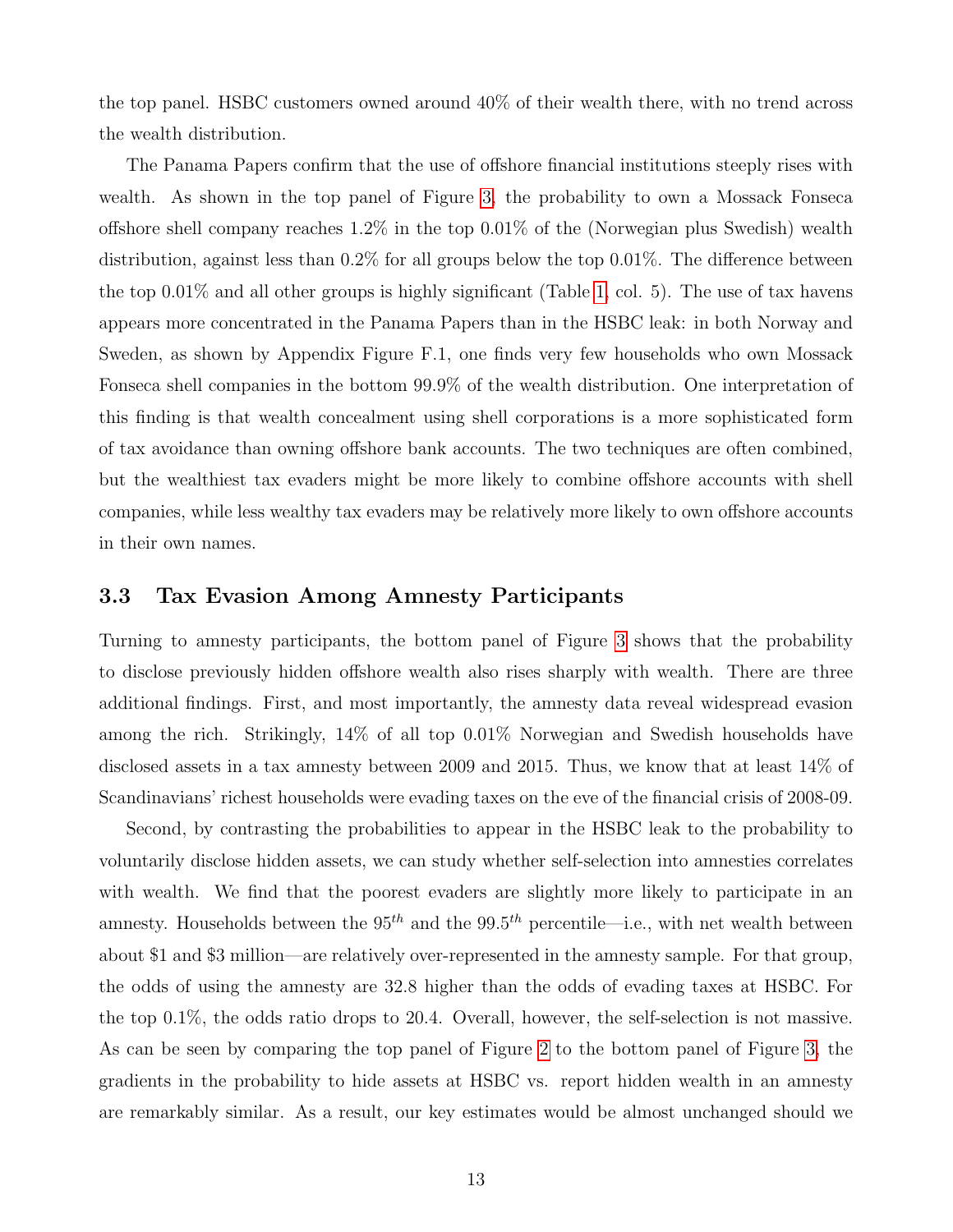the top panel. HSBC customers owned around 40% of their wealth there, with no trend across the wealth distribution.

The Panama Papers confirm that the use of offshore financial institutions steeply rises with wealth. As shown in the top panel of Figure [3,](#page-34-0) the probability to own a Mossack Fonseca offshore shell company reaches 1.2% in the top 0.01% of the (Norwegian plus Swedish) wealth distribution, against less than 0.2% for all groups below the top 0.01%. The difference between the top  $0.01\%$  and all other groups is highly significant (Table [1,](#page-30-0) col. 5). The use of tax havens appears more concentrated in the Panama Papers than in the HSBC leak: in both Norway and Sweden, as shown by Appendix Figure F.1, one finds very few households who own Mossack Fonseca shell companies in the bottom 99.9% of the wealth distribution. One interpretation of this finding is that wealth concealment using shell corporations is a more sophisticated form of tax avoidance than owning offshore bank accounts. The two techniques are often combined, but the wealthiest tax evaders might be more likely to combine offshore accounts with shell companies, while less wealthy tax evaders may be relatively more likely to own offshore accounts in their own names.

#### 3.3 Tax Evasion Among Amnesty Participants

Turning to amnesty participants, the bottom panel of Figure [3](#page-34-0) shows that the probability to disclose previously hidden offshore wealth also rises sharply with wealth. There are three additional findings. First, and most importantly, the amnesty data reveal widespread evasion among the rich. Strikingly, 14% of all top 0.01% Norwegian and Swedish households have disclosed assets in a tax amnesty between 2009 and 2015. Thus, we know that at least 14% of Scandinavians' richest households were evading taxes on the eve of the financial crisis of 2008-09.

Second, by contrasting the probabilities to appear in the HSBC leak to the probability to voluntarily disclose hidden assets, we can study whether self-selection into amnesties correlates with wealth. We find that the poorest evaders are slightly more likely to participate in an amnesty. Households between the  $95<sup>th</sup>$  and the  $99.5<sup>th</sup>$  percentile—i.e., with net wealth between about \$1 and \$3 million—are relatively over-represented in the amnesty sample. For that group, the odds of using the amnesty are 32.8 higher than the odds of evading taxes at HSBC. For the top 0.1%, the odds ratio drops to 20.4. Overall, however, the self-selection is not massive. As can be seen by comparing the top panel of Figure [2](#page-33-0) to the bottom panel of Figure [3,](#page-34-0) the gradients in the probability to hide assets at HSBC vs. report hidden wealth in an amnesty are remarkably similar. As a result, our key estimates would be almost unchanged should we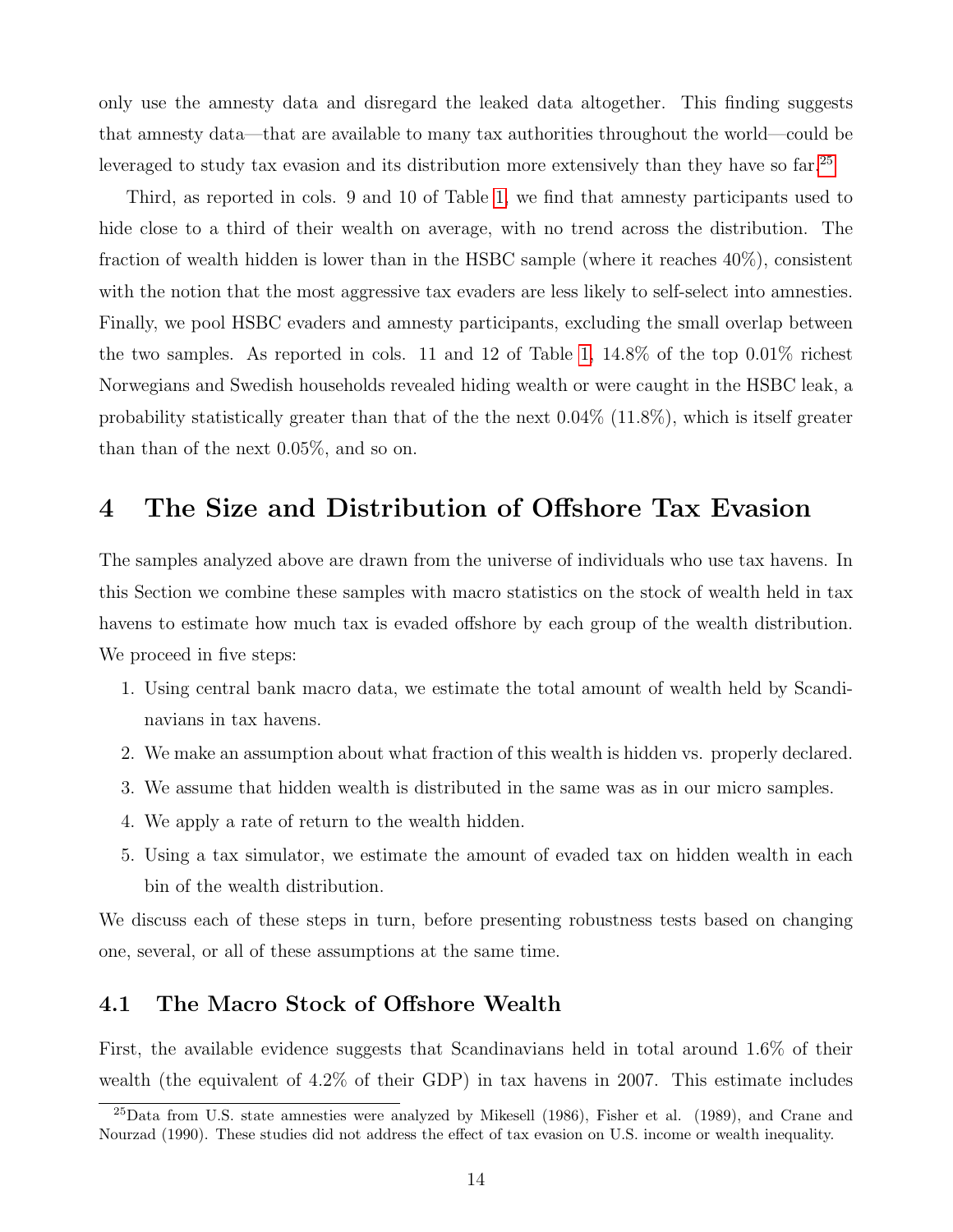only use the amnesty data and disregard the leaked data altogether. This finding suggests that amnesty data—that are available to many tax authorities throughout the world—could be leveraged to study tax evasion and its distribution more extensively than they have so far.<sup>[25](#page-14-1)</sup>

Third, as reported in cols. 9 and 10 of Table [1,](#page-30-0) we find that amnesty participants used to hide close to a third of their wealth on average, with no trend across the distribution. The fraction of wealth hidden is lower than in the HSBC sample (where it reaches 40%), consistent with the notion that the most aggressive tax evaders are less likely to self-select into amnesties. Finally, we pool HSBC evaders and amnesty participants, excluding the small overlap between the two samples. As reported in cols. 11 and 12 of Table [1,](#page-30-0) 14.8% of the top 0.01% richest Norwegians and Swedish households revealed hiding wealth or were caught in the HSBC leak, a probability statistically greater than that of the the next 0.04% (11.8%), which is itself greater than than of the next 0.05%, and so on.

## <span id="page-14-0"></span>4 The Size and Distribution of Offshore Tax Evasion

The samples analyzed above are drawn from the universe of individuals who use tax havens. In this Section we combine these samples with macro statistics on the stock of wealth held in tax havens to estimate how much tax is evaded offshore by each group of the wealth distribution. We proceed in five steps:

- 1. Using central bank macro data, we estimate the total amount of wealth held by Scandinavians in tax havens.
- 2. We make an assumption about what fraction of this wealth is hidden vs. properly declared.
- 3. We assume that hidden wealth is distributed in the same was as in our micro samples.
- 4. We apply a rate of return to the wealth hidden.
- 5. Using a tax simulator, we estimate the amount of evaded tax on hidden wealth in each bin of the wealth distribution.

We discuss each of these steps in turn, before presenting robustness tests based on changing one, several, or all of these assumptions at the same time.

#### 4.1 The Macro Stock of Offshore Wealth

First, the available evidence suggests that Scandinavians held in total around 1.6% of their wealth (the equivalent of 4.2% of their GDP) in tax havens in 2007. This estimate includes

<span id="page-14-1"></span><sup>25</sup>Data from U.S. state amnesties were analyzed by Mikesell (1986), Fisher et al. (1989), and Crane and Nourzad (1990). These studies did not address the effect of tax evasion on U.S. income or wealth inequality.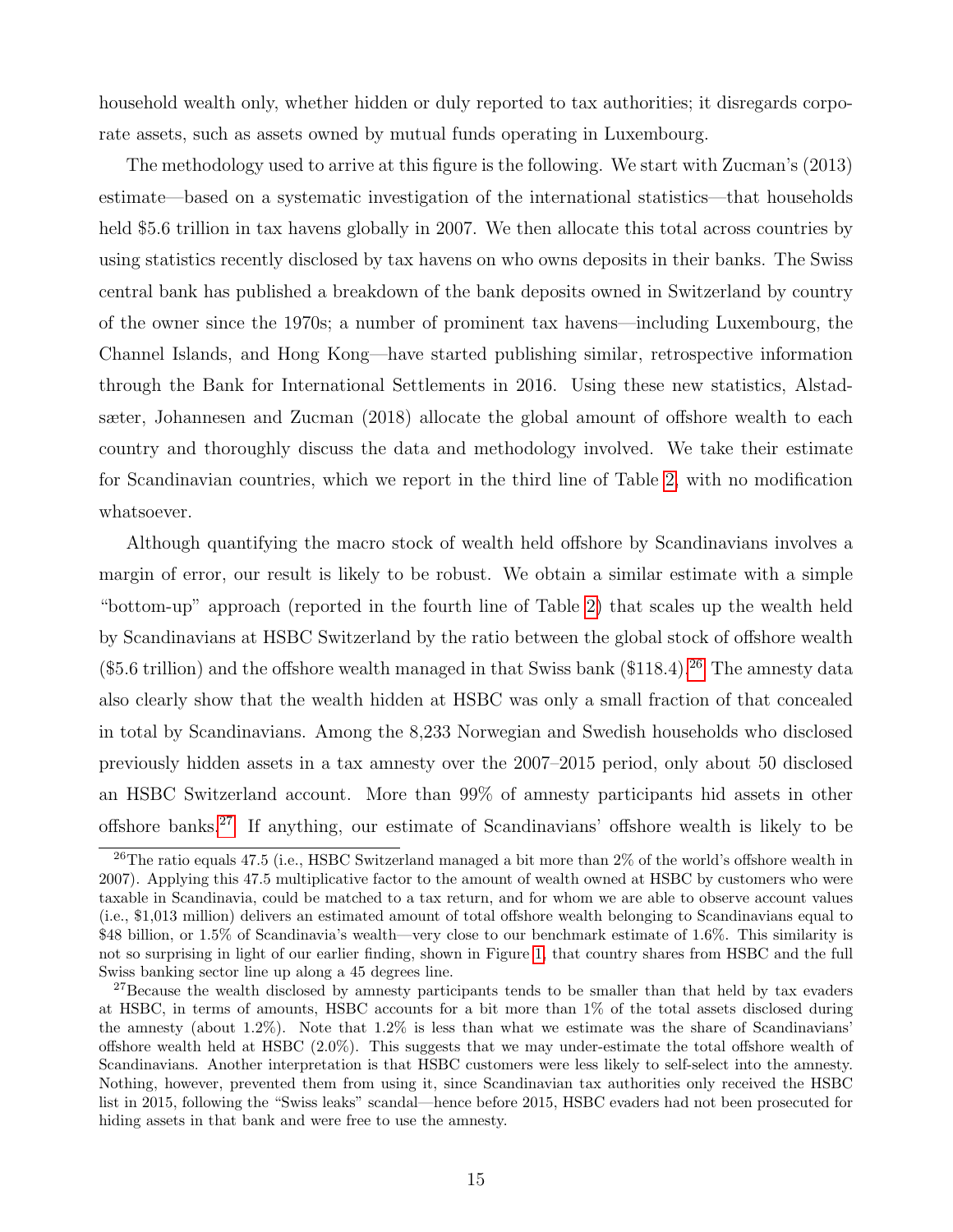household wealth only, whether hidden or duly reported to tax authorities; it disregards corporate assets, such as assets owned by mutual funds operating in Luxembourg.

The methodology used to arrive at this figure is the following. We start with Zucman's (2013) estimate—based on a systematic investigation of the international statistics—that households held \$5.6 trillion in tax havens globally in 2007. We then allocate this total across countries by using statistics recently disclosed by tax havens on who owns deposits in their banks. The Swiss central bank has published a breakdown of the bank deposits owned in Switzerland by country of the owner since the 1970s; a number of prominent tax havens—including Luxembourg, the Channel Islands, and Hong Kong—have started publishing similar, retrospective information through the Bank for International Settlements in 2016. Using these new statistics, Alstadsæter, Johannesen and Zucman (2018) allocate the global amount of offshore wealth to each country and thoroughly discuss the data and methodology involved. We take their estimate for Scandinavian countries, which we report in the third line of Table [2,](#page-31-0) with no modification whatsoever.

Although quantifying the macro stock of wealth held offshore by Scandinavians involves a margin of error, our result is likely to be robust. We obtain a similar estimate with a simple "bottom-up" approach (reported in the fourth line of Table [2\)](#page-31-0) that scales up the wealth held by Scandinavians at HSBC Switzerland by the ratio between the global stock of offshore wealth  $(\$5.6 trillion)$  and the offshore wealth managed in that Swiss bank  $(\$118.4).^{26}$  $(\$118.4).^{26}$  $(\$118.4).^{26}$  The amnesty data also clearly show that the wealth hidden at HSBC was only a small fraction of that concealed in total by Scandinavians. Among the 8,233 Norwegian and Swedish households who disclosed previously hidden assets in a tax amnesty over the 2007–2015 period, only about 50 disclosed an HSBC Switzerland account. More than 99% of amnesty participants hid assets in other offshore banks.[27](#page-15-1) If anything, our estimate of Scandinavians' offshore wealth is likely to be

<span id="page-15-0"></span> $^{26}$ The ratio equals 47.5 (i.e., HSBC Switzerland managed a bit more than  $2\%$  of the world's offshore wealth in 2007). Applying this 47.5 multiplicative factor to the amount of wealth owned at HSBC by customers who were taxable in Scandinavia, could be matched to a tax return, and for whom we are able to observe account values (i.e., \$1,013 million) delivers an estimated amount of total offshore wealth belonging to Scandinavians equal to \$48 billion, or 1.5% of Scandinavia's wealth—very close to our benchmark estimate of 1.6%. This similarity is not so surprising in light of our earlier finding, shown in Figure [1,](#page-32-0) that country shares from HSBC and the full Swiss banking sector line up along a 45 degrees line.

<span id="page-15-1"></span><sup>&</sup>lt;sup>27</sup>Because the wealth disclosed by amnesty participants tends to be smaller than that held by tax evaders at HSBC, in terms of amounts, HSBC accounts for a bit more than 1% of the total assets disclosed during the amnesty (about  $1.2\%$ ). Note that  $1.2\%$  is less than what we estimate was the share of Scandinavians' offshore wealth held at HSBC (2.0%). This suggests that we may under-estimate the total offshore wealth of Scandinavians. Another interpretation is that HSBC customers were less likely to self-select into the amnesty. Nothing, however, prevented them from using it, since Scandinavian tax authorities only received the HSBC list in 2015, following the "Swiss leaks" scandal—hence before 2015, HSBC evaders had not been prosecuted for hiding assets in that bank and were free to use the amnesty.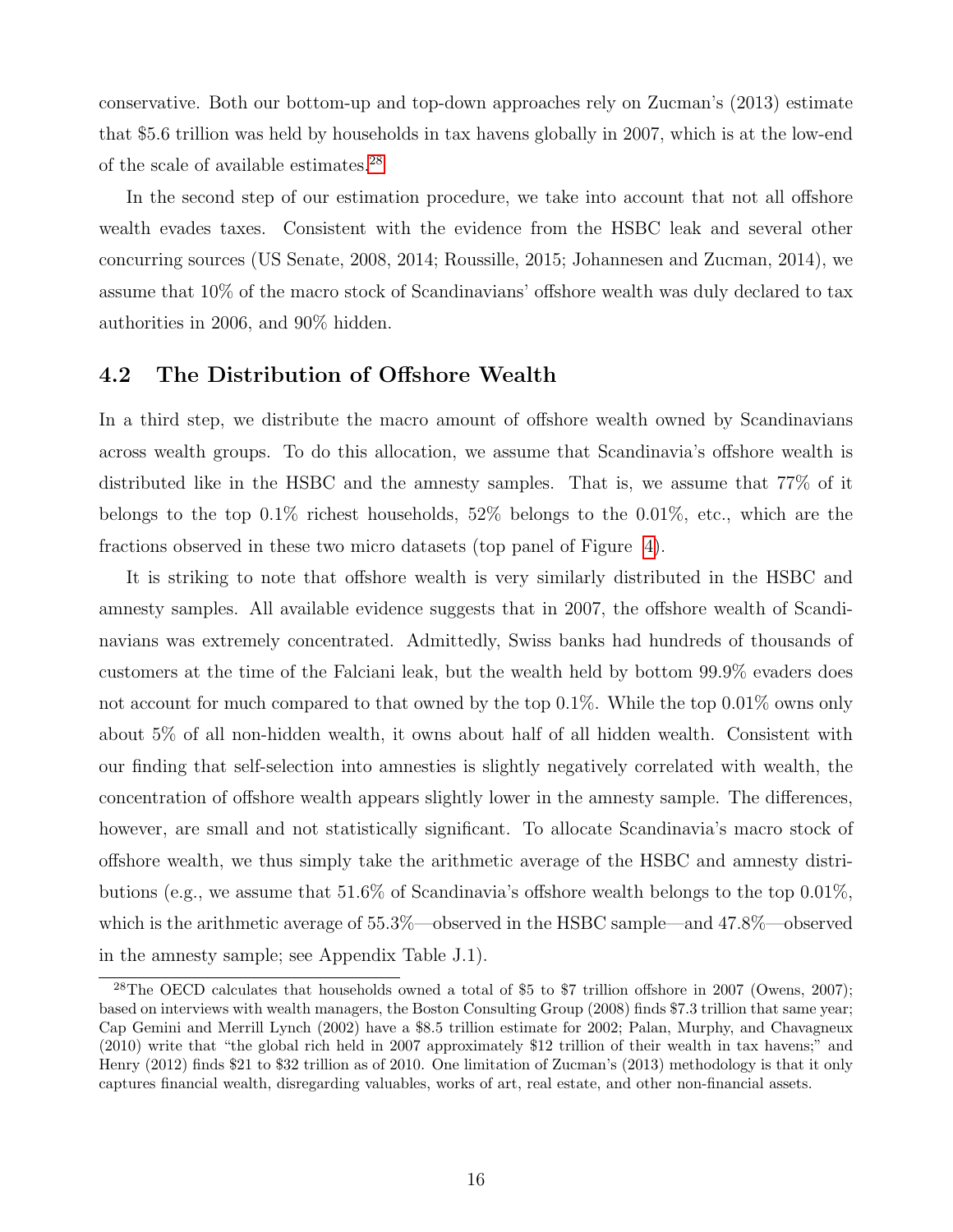conservative. Both our bottom-up and top-down approaches rely on Zucman's (2013) estimate that \$5.6 trillion was held by households in tax havens globally in 2007, which is at the low-end of the scale of available estimates.[28](#page-16-0)

In the second step of our estimation procedure, we take into account that not all offshore wealth evades taxes. Consistent with the evidence from the HSBC leak and several other concurring sources (US Senate, 2008, 2014; Roussille, 2015; Johannesen and Zucman, 2014), we assume that 10% of the macro stock of Scandinavians' offshore wealth was duly declared to tax authorities in 2006, and 90% hidden.

#### 4.2 The Distribution of Offshore Wealth

In a third step, we distribute the macro amount of offshore wealth owned by Scandinavians across wealth groups. To do this allocation, we assume that Scandinavia's offshore wealth is distributed like in the HSBC and the amnesty samples. That is, we assume that 77% of it belongs to the top 0.1% richest households, 52% belongs to the 0.01%, etc., which are the fractions observed in these two micro datasets (top panel of Figure [4\)](#page-35-0).

It is striking to note that offshore wealth is very similarly distributed in the HSBC and amnesty samples. All available evidence suggests that in 2007, the offshore wealth of Scandinavians was extremely concentrated. Admittedly, Swiss banks had hundreds of thousands of customers at the time of the Falciani leak, but the wealth held by bottom 99.9% evaders does not account for much compared to that owned by the top 0.1%. While the top 0.01% owns only about 5% of all non-hidden wealth, it owns about half of all hidden wealth. Consistent with our finding that self-selection into amnesties is slightly negatively correlated with wealth, the concentration of offshore wealth appears slightly lower in the amnesty sample. The differences, however, are small and not statistically significant. To allocate Scandinavia's macro stock of offshore wealth, we thus simply take the arithmetic average of the HSBC and amnesty distributions (e.g., we assume that 51.6% of Scandinavia's offshore wealth belongs to the top 0.01%, which is the arithmetic average of 55.3%—observed in the HSBC sample—and 47.8%—observed in the amnesty sample; see Appendix Table J.1).

<span id="page-16-0"></span><sup>&</sup>lt;sup>28</sup>The OECD calculates that households owned a total of \$5 to \$7 trillion offshore in 2007 (Owens, 2007); based on interviews with wealth managers, the Boston Consulting Group (2008) finds \$7.3 trillion that same year; Cap Gemini and Merrill Lynch (2002) have a \$8.5 trillion estimate for 2002; Palan, Murphy, and Chavagneux (2010) write that "the global rich held in 2007 approximately \$12 trillion of their wealth in tax havens;" and Henry (2012) finds \$21 to \$32 trillion as of 2010. One limitation of Zucman's (2013) methodology is that it only captures financial wealth, disregarding valuables, works of art, real estate, and other non-financial assets.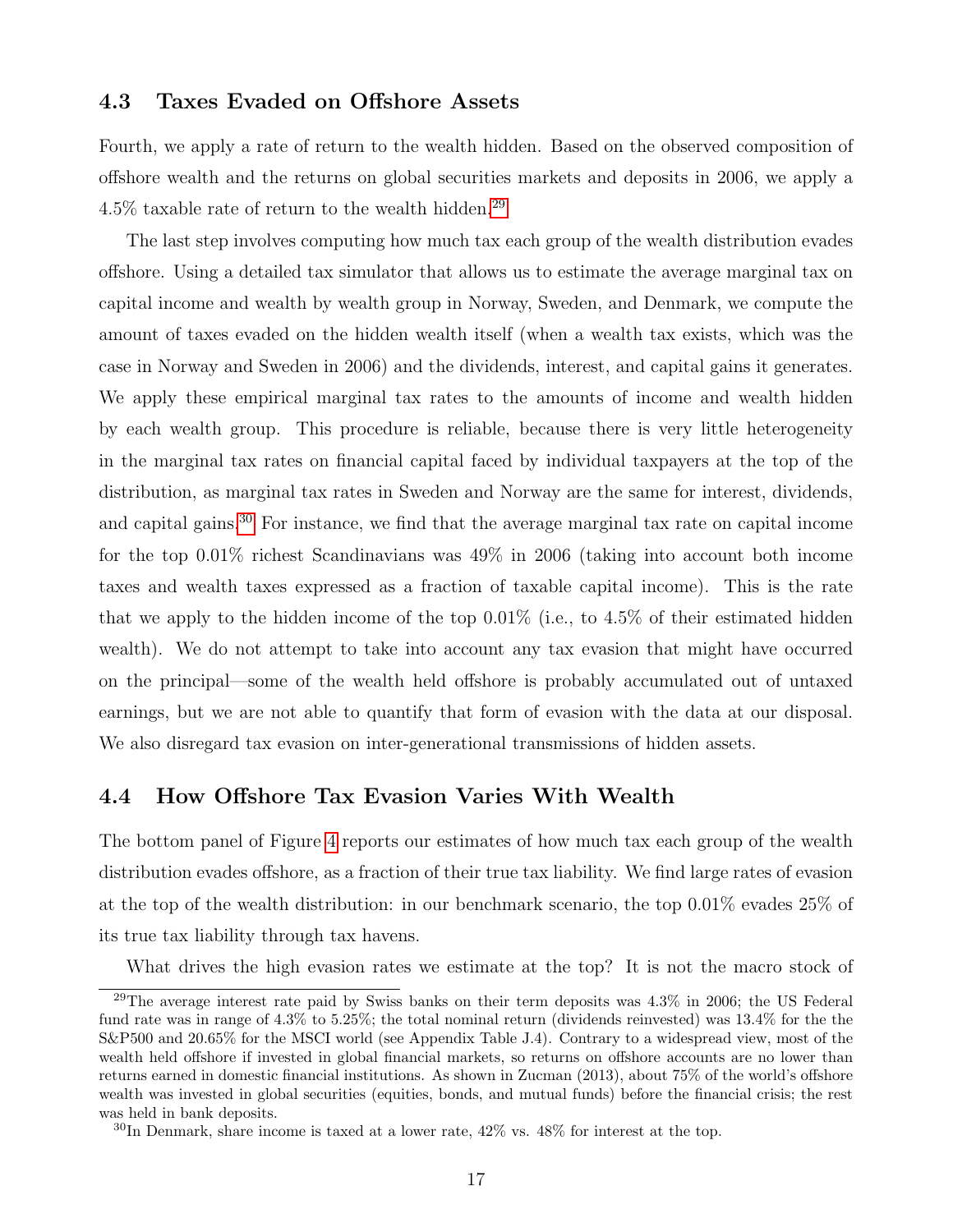#### 4.3 Taxes Evaded on Offshore Assets

Fourth, we apply a rate of return to the wealth hidden. Based on the observed composition of offshore wealth and the returns on global securities markets and deposits in 2006, we apply a  $4.5\%$  taxable rate of return to the wealth hidden.<sup>[29](#page-17-0)</sup>

The last step involves computing how much tax each group of the wealth distribution evades offshore. Using a detailed tax simulator that allows us to estimate the average marginal tax on capital income and wealth by wealth group in Norway, Sweden, and Denmark, we compute the amount of taxes evaded on the hidden wealth itself (when a wealth tax exists, which was the case in Norway and Sweden in 2006) and the dividends, interest, and capital gains it generates. We apply these empirical marginal tax rates to the amounts of income and wealth hidden by each wealth group. This procedure is reliable, because there is very little heterogeneity in the marginal tax rates on financial capital faced by individual taxpayers at the top of the distribution, as marginal tax rates in Sweden and Norway are the same for interest, dividends, and capital gains.[30](#page-17-1) For instance, we find that the average marginal tax rate on capital income for the top 0.01% richest Scandinavians was 49% in 2006 (taking into account both income taxes and wealth taxes expressed as a fraction of taxable capital income). This is the rate that we apply to the hidden income of the top  $0.01\%$  (i.e., to 4.5% of their estimated hidden wealth). We do not attempt to take into account any tax evasion that might have occurred on the principal—some of the wealth held offshore is probably accumulated out of untaxed earnings, but we are not able to quantify that form of evasion with the data at our disposal. We also disregard tax evasion on inter-generational transmissions of hidden assets.

#### 4.4 How Offshore Tax Evasion Varies With Wealth

The bottom panel of Figure [4](#page-35-0) reports our estimates of how much tax each group of the wealth distribution evades offshore, as a fraction of their true tax liability. We find large rates of evasion at the top of the wealth distribution: in our benchmark scenario, the top 0.01% evades 25% of its true tax liability through tax havens.

What drives the high evasion rates we estimate at the top? It is not the macro stock of

<span id="page-17-0"></span><sup>29</sup>The average interest rate paid by Swiss banks on their term deposits was 4.3% in 2006; the US Federal fund rate was in range of 4.3% to 5.25%; the total nominal return (dividends reinvested) was 13.4% for the the S&P500 and 20.65% for the MSCI world (see Appendix Table J.4). Contrary to a widespread view, most of the wealth held offshore if invested in global financial markets, so returns on offshore accounts are no lower than returns earned in domestic financial institutions. As shown in Zucman (2013), about 75% of the world's offshore wealth was invested in global securities (equities, bonds, and mutual funds) before the financial crisis; the rest was held in bank deposits.

<span id="page-17-1"></span> $30\text{In Denmark}$ , share income is taxed at a lower rate,  $42\%$  vs.  $48\%$  for interest at the top.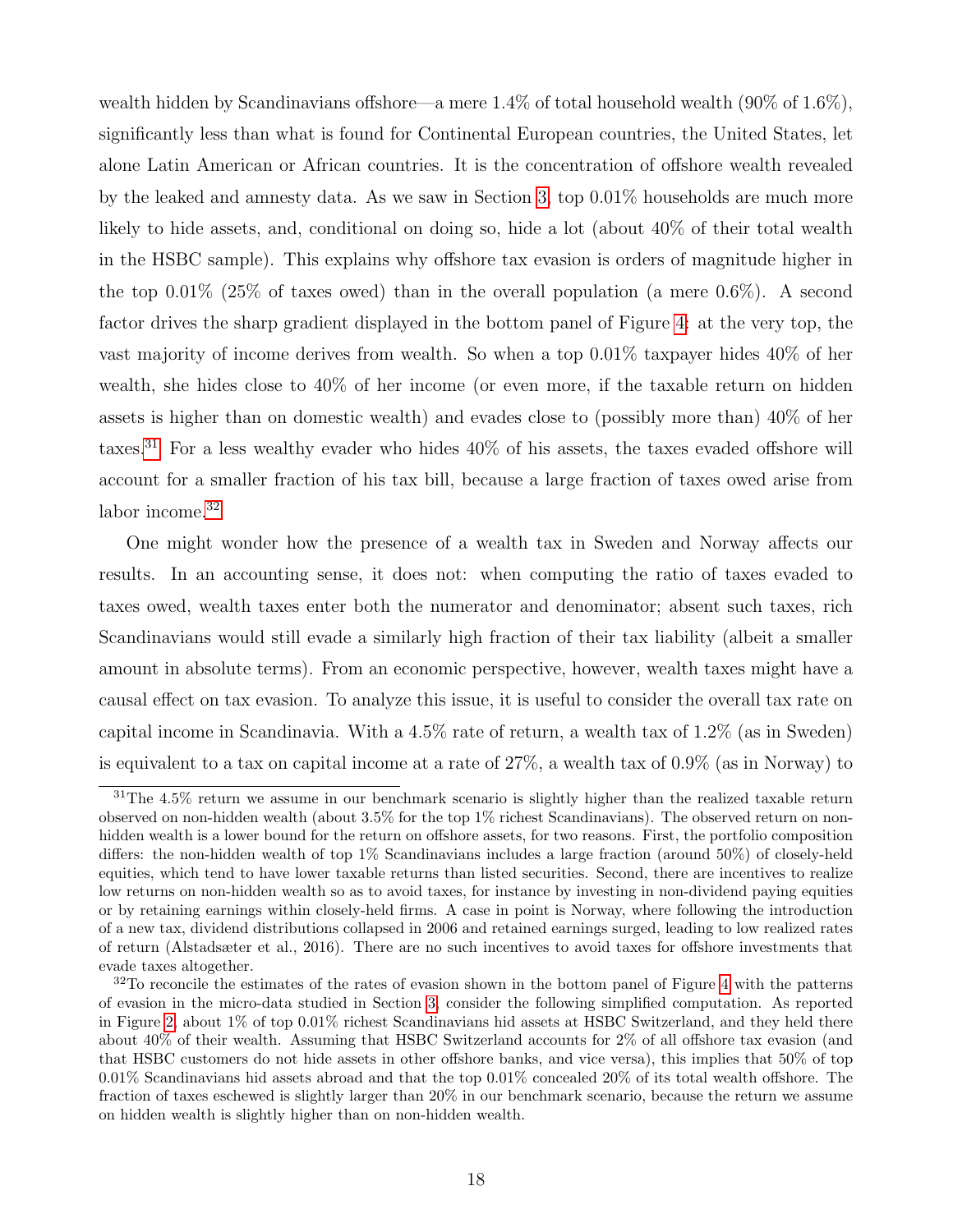wealth hidden by Scandinavians offshore—a mere 1.4% of total household wealth (90% of 1.6%), significantly less than what is found for Continental European countries, the United States, let alone Latin American or African countries. It is the concentration of offshore wealth revealed by the leaked and amnesty data. As we saw in Section [3,](#page-9-0) top 0.01% households are much more likely to hide assets, and, conditional on doing so, hide a lot (about 40% of their total wealth in the HSBC sample). This explains why offshore tax evasion is orders of magnitude higher in the top  $0.01\%$  (25% of taxes owed) than in the overall population (a mere  $0.6\%$ ). A second factor drives the sharp gradient displayed in the bottom panel of Figure [4:](#page-35-0) at the very top, the vast majority of income derives from wealth. So when a top 0.01% taxpayer hides 40% of her wealth, she hides close to 40% of her income (or even more, if the taxable return on hidden assets is higher than on domestic wealth) and evades close to (possibly more than) 40% of her taxes.<sup>[31](#page-18-0)</sup> For a less wealthy evader who hides  $40\%$  of his assets, the taxes evaded offshore will account for a smaller fraction of his tax bill, because a large fraction of taxes owed arise from labor income.<sup>[32](#page-18-1)</sup>

One might wonder how the presence of a wealth tax in Sweden and Norway affects our results. In an accounting sense, it does not: when computing the ratio of taxes evaded to taxes owed, wealth taxes enter both the numerator and denominator; absent such taxes, rich Scandinavians would still evade a similarly high fraction of their tax liability (albeit a smaller amount in absolute terms). From an economic perspective, however, wealth taxes might have a causal effect on tax evasion. To analyze this issue, it is useful to consider the overall tax rate on capital income in Scandinavia. With a 4.5% rate of return, a wealth tax of 1.2% (as in Sweden) is equivalent to a tax on capital income at a rate of 27%, a wealth tax of 0.9% (as in Norway) to

<span id="page-18-0"></span> $31$ The 4.5% return we assume in our benchmark scenario is slightly higher than the realized taxable return observed on non-hidden wealth (about 3.5% for the top 1% richest Scandinavians). The observed return on nonhidden wealth is a lower bound for the return on offshore assets, for two reasons. First, the portfolio composition differs: the non-hidden wealth of top 1% Scandinavians includes a large fraction (around 50%) of closely-held equities, which tend to have lower taxable returns than listed securities. Second, there are incentives to realize low returns on non-hidden wealth so as to avoid taxes, for instance by investing in non-dividend paying equities or by retaining earnings within closely-held firms. A case in point is Norway, where following the introduction of a new tax, dividend distributions collapsed in 2006 and retained earnings surged, leading to low realized rates of return (Alstadsæter et al., 2016). There are no such incentives to avoid taxes for offshore investments that evade taxes altogether.

<span id="page-18-1"></span><sup>&</sup>lt;sup>32</sup>To reconcile the estimates of the rates of evasion shown in the bottom panel of Figure [4](#page-35-0) with the patterns of evasion in the micro-data studied in Section [3,](#page-9-0) consider the following simplified computation. As reported in Figure [2,](#page-33-0) about 1% of top 0.01% richest Scandinavians hid assets at HSBC Switzerland, and they held there about 40% of their wealth. Assuming that HSBC Switzerland accounts for 2% of all offshore tax evasion (and that HSBC customers do not hide assets in other offshore banks, and vice versa), this implies that 50% of top 0.01% Scandinavians hid assets abroad and that the top 0.01% concealed 20% of its total wealth offshore. The fraction of taxes eschewed is slightly larger than 20% in our benchmark scenario, because the return we assume on hidden wealth is slightly higher than on non-hidden wealth.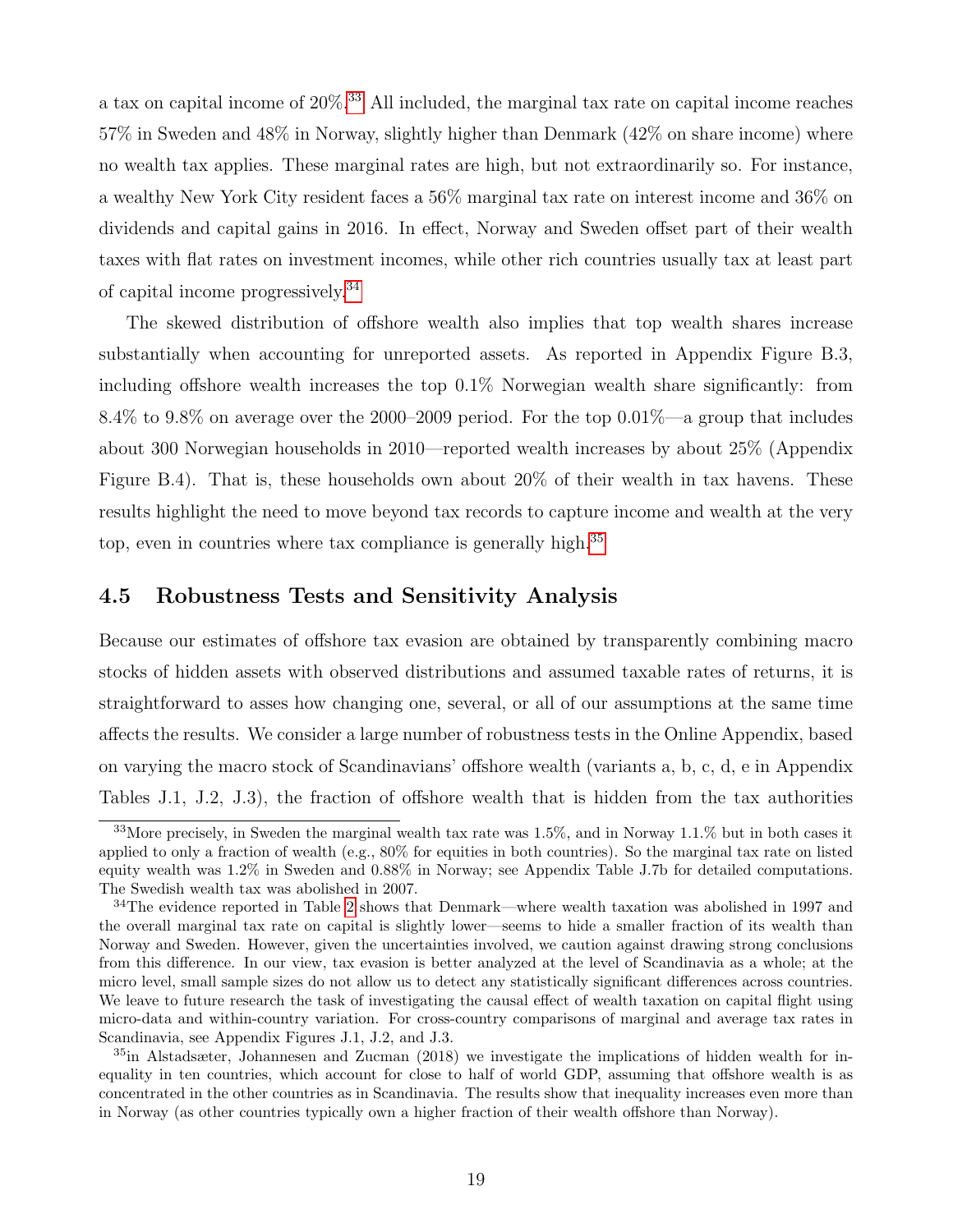a tax on capital income of 20%.[33](#page-19-0) All included, the marginal tax rate on capital income reaches 57% in Sweden and 48% in Norway, slightly higher than Denmark (42% on share income) where no wealth tax applies. These marginal rates are high, but not extraordinarily so. For instance, a wealthy New York City resident faces a 56% marginal tax rate on interest income and 36% on dividends and capital gains in 2016. In effect, Norway and Sweden offset part of their wealth taxes with flat rates on investment incomes, while other rich countries usually tax at least part of capital income progressively.[34](#page-19-1)

The skewed distribution of offshore wealth also implies that top wealth shares increase substantially when accounting for unreported assets. As reported in Appendix Figure B.3, including offshore wealth increases the top 0.1% Norwegian wealth share significantly: from 8.4% to 9.8% on average over the 2000–2009 period. For the top 0.01%—a group that includes about 300 Norwegian households in 2010—reported wealth increases by about 25% (Appendix Figure B.4). That is, these households own about 20% of their wealth in tax havens. These results highlight the need to move beyond tax records to capture income and wealth at the very top, even in countries where tax compliance is generally high.<sup>[35](#page-19-2)</sup>

#### 4.5 Robustness Tests and Sensitivity Analysis

Because our estimates of offshore tax evasion are obtained by transparently combining macro stocks of hidden assets with observed distributions and assumed taxable rates of returns, it is straightforward to asses how changing one, several, or all of our assumptions at the same time affects the results. We consider a large number of robustness tests in the Online Appendix, based on varying the macro stock of Scandinavians' offshore wealth (variants a, b, c, d, e in Appendix Tables J.1, J.2, J.3), the fraction of offshore wealth that is hidden from the tax authorities

<span id="page-19-0"></span><sup>33</sup>More precisely, in Sweden the marginal wealth tax rate was 1.5%, and in Norway 1.1.% but in both cases it applied to only a fraction of wealth (e.g., 80% for equities in both countries). So the marginal tax rate on listed equity wealth was 1.2% in Sweden and 0.88% in Norway; see Appendix Table J.7b for detailed computations. The Swedish wealth tax was abolished in 2007.

<span id="page-19-1"></span><sup>34</sup>The evidence reported in Table [2](#page-31-0) shows that Denmark—where wealth taxation was abolished in 1997 and the overall marginal tax rate on capital is slightly lower—seems to hide a smaller fraction of its wealth than Norway and Sweden. However, given the uncertainties involved, we caution against drawing strong conclusions from this difference. In our view, tax evasion is better analyzed at the level of Scandinavia as a whole; at the micro level, small sample sizes do not allow us to detect any statistically significant differences across countries. We leave to future research the task of investigating the causal effect of wealth taxation on capital flight using micro-data and within-country variation. For cross-country comparisons of marginal and average tax rates in Scandinavia, see Appendix Figures J.1, J.2, and J.3.

<span id="page-19-2"></span><sup>35</sup>in Alstadsæter, Johannesen and Zucman (2018) we investigate the implications of hidden wealth for inequality in ten countries, which account for close to half of world GDP, assuming that offshore wealth is as concentrated in the other countries as in Scandinavia. The results show that inequality increases even more than in Norway (as other countries typically own a higher fraction of their wealth offshore than Norway).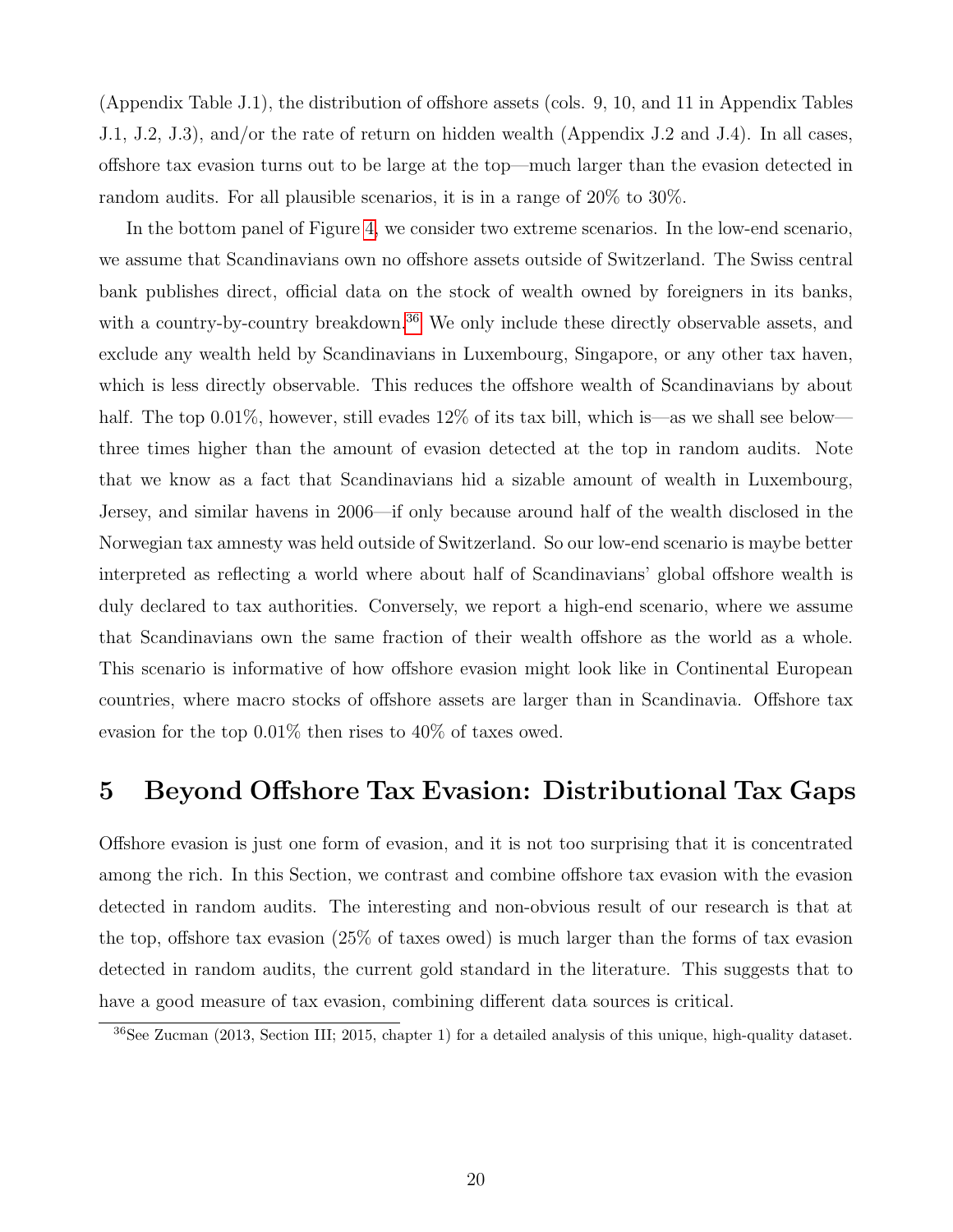(Appendix Table J.1), the distribution of offshore assets (cols. 9, 10, and 11 in Appendix Tables J.1, J.2, J.3), and/or the rate of return on hidden wealth (Appendix J.2 and J.4). In all cases, offshore tax evasion turns out to be large at the top—much larger than the evasion detected in random audits. For all plausible scenarios, it is in a range of 20% to 30%.

In the bottom panel of Figure [4,](#page-35-0) we consider two extreme scenarios. In the low-end scenario, we assume that Scandinavians own no offshore assets outside of Switzerland. The Swiss central bank publishes direct, official data on the stock of wealth owned by foreigners in its banks, with a country-by-country breakdown.<sup>[36](#page-20-1)</sup> We only include these directly observable assets, and exclude any wealth held by Scandinavians in Luxembourg, Singapore, or any other tax haven, which is less directly observable. This reduces the offshore wealth of Scandinavians by about half. The top 0.01%, however, still evades 12% of its tax bill, which is—as we shall see below three times higher than the amount of evasion detected at the top in random audits. Note that we know as a fact that Scandinavians hid a sizable amount of wealth in Luxembourg, Jersey, and similar havens in 2006—if only because around half of the wealth disclosed in the Norwegian tax amnesty was held outside of Switzerland. So our low-end scenario is maybe better interpreted as reflecting a world where about half of Scandinavians' global offshore wealth is duly declared to tax authorities. Conversely, we report a high-end scenario, where we assume that Scandinavians own the same fraction of their wealth offshore as the world as a whole. This scenario is informative of how offshore evasion might look like in Continental European countries, where macro stocks of offshore assets are larger than in Scandinavia. Offshore tax evasion for the top 0.01% then rises to 40% of taxes owed.

### <span id="page-20-0"></span>5 Beyond Offshore Tax Evasion: Distributional Tax Gaps

Offshore evasion is just one form of evasion, and it is not too surprising that it is concentrated among the rich. In this Section, we contrast and combine offshore tax evasion with the evasion detected in random audits. The interesting and non-obvious result of our research is that at the top, offshore tax evasion (25% of taxes owed) is much larger than the forms of tax evasion detected in random audits, the current gold standard in the literature. This suggests that to have a good measure of tax evasion, combining different data sources is critical.

<span id="page-20-1"></span><sup>&</sup>lt;sup>36</sup>See Zucman (2013, Section III; 2015, chapter 1) for a detailed analysis of this unique, high-quality dataset.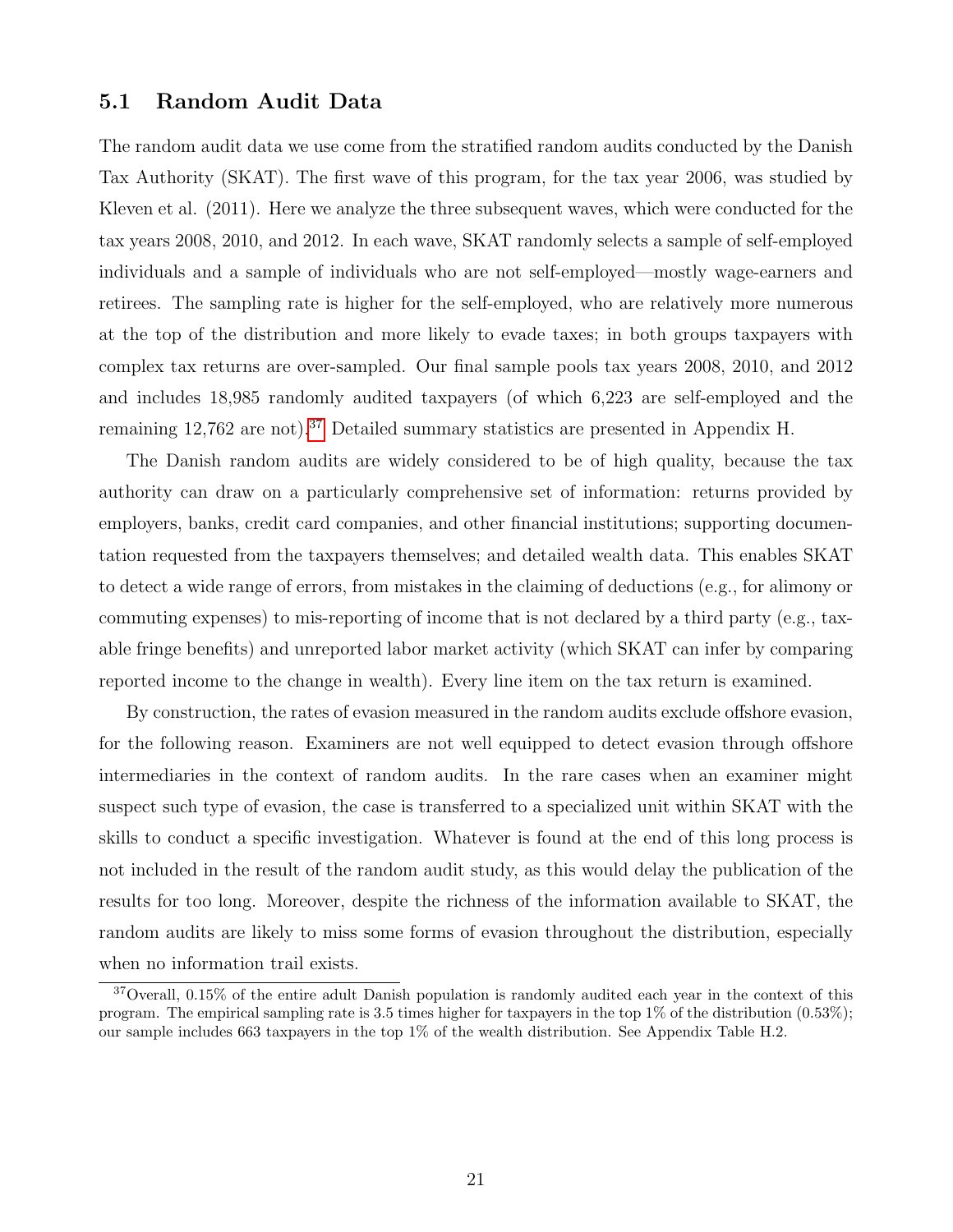#### 5.1 Random Audit Data

The random audit data we use come from the stratified random audits conducted by the Danish Tax Authority (SKAT). The first wave of this program, for the tax year 2006, was studied by Kleven et al. (2011). Here we analyze the three subsequent waves, which were conducted for the tax years 2008, 2010, and 2012. In each wave, SKAT randomly selects a sample of self-employed individuals and a sample of individuals who are not self-employed—mostly wage-earners and retirees. The sampling rate is higher for the self-employed, who are relatively more numerous at the top of the distribution and more likely to evade taxes; in both groups taxpayers with complex tax returns are over-sampled. Our final sample pools tax years 2008, 2010, and 2012 and includes 18,985 randomly audited taxpayers (of which 6,223 are self-employed and the remaining 12,762 are not).<sup>[37](#page-21-0)</sup> Detailed summary statistics are presented in Appendix H.

The Danish random audits are widely considered to be of high quality, because the tax authority can draw on a particularly comprehensive set of information: returns provided by employers, banks, credit card companies, and other financial institutions; supporting documentation requested from the taxpayers themselves; and detailed wealth data. This enables SKAT to detect a wide range of errors, from mistakes in the claiming of deductions (e.g., for alimony or commuting expenses) to mis-reporting of income that is not declared by a third party (e.g., taxable fringe benefits) and unreported labor market activity (which SKAT can infer by comparing reported income to the change in wealth). Every line item on the tax return is examined.

By construction, the rates of evasion measured in the random audits exclude offshore evasion, for the following reason. Examiners are not well equipped to detect evasion through offshore intermediaries in the context of random audits. In the rare cases when an examiner might suspect such type of evasion, the case is transferred to a specialized unit within SKAT with the skills to conduct a specific investigation. Whatever is found at the end of this long process is not included in the result of the random audit study, as this would delay the publication of the results for too long. Moreover, despite the richness of the information available to SKAT, the random audits are likely to miss some forms of evasion throughout the distribution, especially when no information trail exists.

<span id="page-21-0"></span><sup>&</sup>lt;sup>37</sup>Overall, 0.15% of the entire adult Danish population is randomly audited each year in the context of this program. The empirical sampling rate is 3.5 times higher for taxpayers in the top  $1\%$  of the distribution  $(0.53\%);$ our sample includes 663 taxpayers in the top 1% of the wealth distribution. See Appendix Table H.2.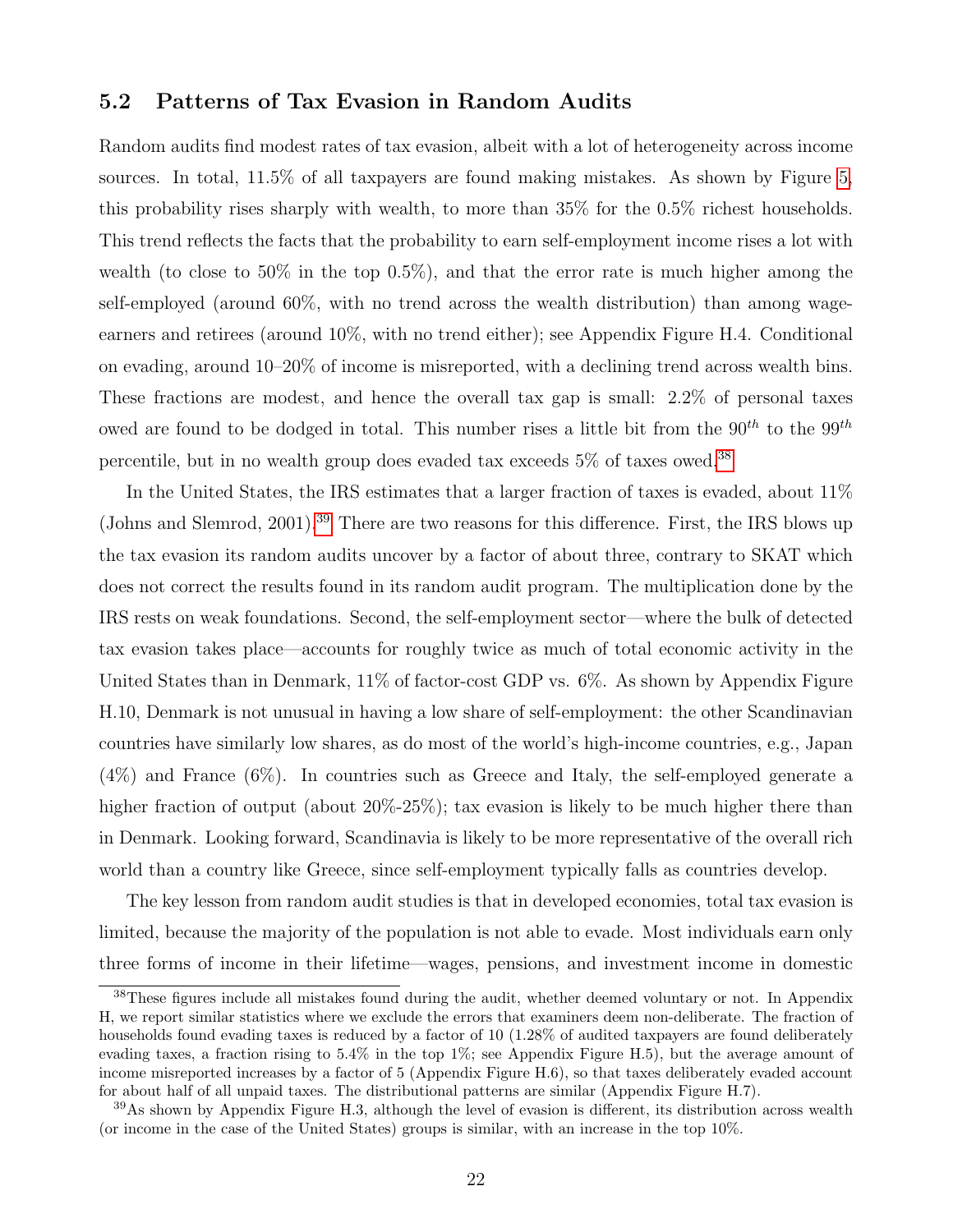#### 5.2 Patterns of Tax Evasion in Random Audits

Random audits find modest rates of tax evasion, albeit with a lot of heterogeneity across income sources. In total, 11.5% of all taxpayers are found making mistakes. As shown by Figure [5,](#page-36-0) this probability rises sharply with wealth, to more than 35% for the 0.5% richest households. This trend reflects the facts that the probability to earn self-employment income rises a lot with wealth (to close to 50% in the top 0.5%), and that the error rate is much higher among the self-employed (around 60%, with no trend across the wealth distribution) than among wageearners and retirees (around 10%, with no trend either); see Appendix Figure H.4. Conditional on evading, around 10–20% of income is misreported, with a declining trend across wealth bins. These fractions are modest, and hence the overall tax gap is small: 2.2% of personal taxes owed are found to be dodged in total. This number rises a little bit from the  $90^{th}$  to the  $99^{th}$ percentile, but in no wealth group does evaded tax exceeds  $5\%$  of taxes owed.  $^{38}$  $^{38}$  $^{38}$ 

In the United States, the IRS estimates that a larger fraction of taxes is evaded, about 11% (Johns and Slemrod, 2001).<sup>[39](#page-22-1)</sup> There are two reasons for this difference. First, the IRS blows up the tax evasion its random audits uncover by a factor of about three, contrary to SKAT which does not correct the results found in its random audit program. The multiplication done by the IRS rests on weak foundations. Second, the self-employment sector—where the bulk of detected tax evasion takes place—accounts for roughly twice as much of total economic activity in the United States than in Denmark, 11% of factor-cost GDP vs. 6%. As shown by Appendix Figure H.10, Denmark is not unusual in having a low share of self-employment: the other Scandinavian countries have similarly low shares, as do most of the world's high-income countries, e.g., Japan (4%) and France (6%). In countries such as Greece and Italy, the self-employed generate a higher fraction of output (about 20%-25%); tax evasion is likely to be much higher there than in Denmark. Looking forward, Scandinavia is likely to be more representative of the overall rich world than a country like Greece, since self-employment typically falls as countries develop.

The key lesson from random audit studies is that in developed economies, total tax evasion is limited, because the majority of the population is not able to evade. Most individuals earn only three forms of income in their lifetime—wages, pensions, and investment income in domestic

<span id="page-22-0"></span><sup>&</sup>lt;sup>38</sup>These figures include all mistakes found during the audit, whether deemed voluntary or not. In Appendix H, we report similar statistics where we exclude the errors that examiners deem non-deliberate. The fraction of households found evading taxes is reduced by a factor of 10 (1.28% of audited taxpayers are found deliberately evading taxes, a fraction rising to 5.4% in the top 1%; see Appendix Figure H.5), but the average amount of income misreported increases by a factor of 5 (Appendix Figure H.6), so that taxes deliberately evaded account for about half of all unpaid taxes. The distributional patterns are similar (Appendix Figure H.7).

<span id="page-22-1"></span><sup>39</sup>As shown by Appendix Figure H.3, although the level of evasion is different, its distribution across wealth (or income in the case of the United States) groups is similar, with an increase in the top 10%.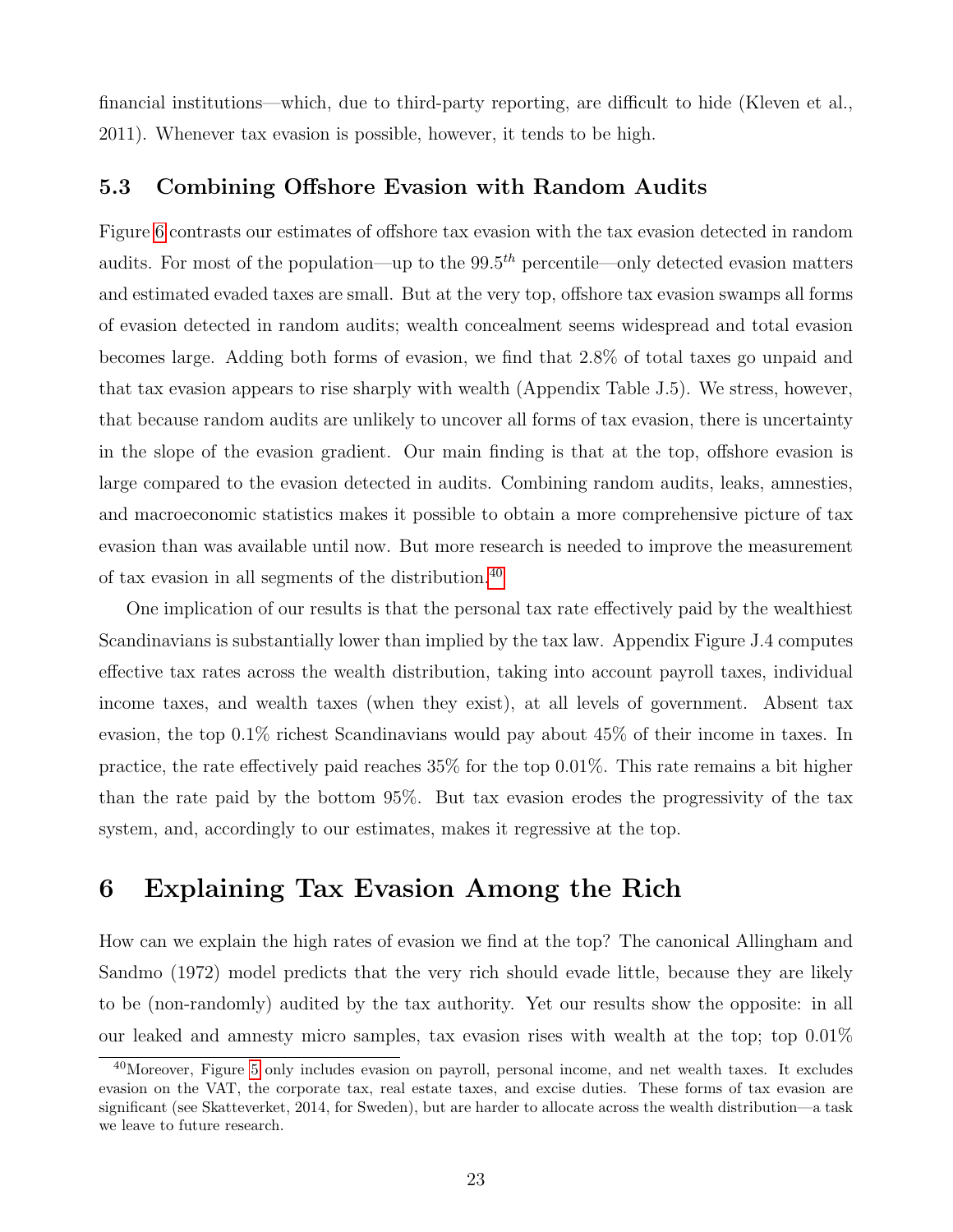financial institutions—which, due to third-party reporting, are difficult to hide (Kleven et al., 2011). Whenever tax evasion is possible, however, it tends to be high.

#### 5.3 Combining Offshore Evasion with Random Audits

Figure [6](#page-37-0) contrasts our estimates of offshore tax evasion with the tax evasion detected in random audits. For most of the population—up to the  $99.5<sup>th</sup>$  percentile—only detected evasion matters and estimated evaded taxes are small. But at the very top, offshore tax evasion swamps all forms of evasion detected in random audits; wealth concealment seems widespread and total evasion becomes large. Adding both forms of evasion, we find that 2.8% of total taxes go unpaid and that tax evasion appears to rise sharply with wealth (Appendix Table J.5). We stress, however, that because random audits are unlikely to uncover all forms of tax evasion, there is uncertainty in the slope of the evasion gradient. Our main finding is that at the top, offshore evasion is large compared to the evasion detected in audits. Combining random audits, leaks, amnesties, and macroeconomic statistics makes it possible to obtain a more comprehensive picture of tax evasion than was available until now. But more research is needed to improve the measurement of tax evasion in all segments of the distribution.[40](#page-23-1)

One implication of our results is that the personal tax rate effectively paid by the wealthiest Scandinavians is substantially lower than implied by the tax law. Appendix Figure J.4 computes effective tax rates across the wealth distribution, taking into account payroll taxes, individual income taxes, and wealth taxes (when they exist), at all levels of government. Absent tax evasion, the top 0.1% richest Scandinavians would pay about 45% of their income in taxes. In practice, the rate effectively paid reaches 35% for the top 0.01%. This rate remains a bit higher than the rate paid by the bottom 95%. But tax evasion erodes the progressivity of the tax system, and, accordingly to our estimates, makes it regressive at the top.

## <span id="page-23-0"></span>6 Explaining Tax Evasion Among the Rich

How can we explain the high rates of evasion we find at the top? The canonical Allingham and Sandmo (1972) model predicts that the very rich should evade little, because they are likely to be (non-randomly) audited by the tax authority. Yet our results show the opposite: in all our leaked and amnesty micro samples, tax evasion rises with wealth at the top; top  $0.01\%$ 

<span id="page-23-1"></span><sup>40</sup>Moreover, Figure [5](#page-36-0) only includes evasion on payroll, personal income, and net wealth taxes. It excludes evasion on the VAT, the corporate tax, real estate taxes, and excise duties. These forms of tax evasion are significant (see Skatteverket, 2014, for Sweden), but are harder to allocate across the wealth distribution—a task we leave to future research.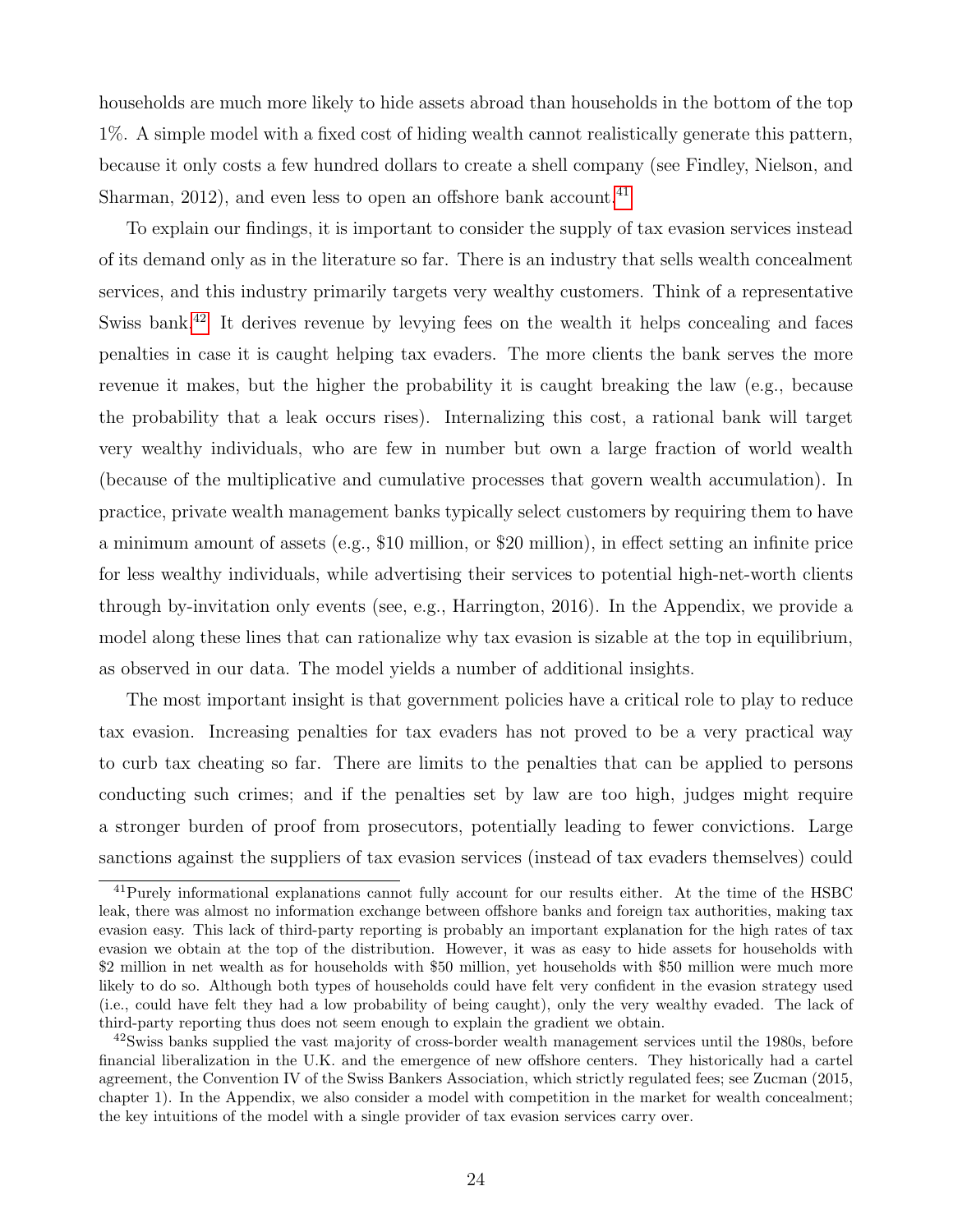households are much more likely to hide assets abroad than households in the bottom of the top 1%. A simple model with a fixed cost of hiding wealth cannot realistically generate this pattern, because it only costs a few hundred dollars to create a shell company (see Findley, Nielson, and Sharman,  $2012$ ), and even less to open an offshore bank account.<sup>[41](#page-24-0)</sup>

To explain our findings, it is important to consider the supply of tax evasion services instead of its demand only as in the literature so far. There is an industry that sells wealth concealment services, and this industry primarily targets very wealthy customers. Think of a representative Swiss bank.<sup>[42](#page-24-1)</sup> It derives revenue by levying fees on the wealth it helps concealing and faces penalties in case it is caught helping tax evaders. The more clients the bank serves the more revenue it makes, but the higher the probability it is caught breaking the law (e.g., because the probability that a leak occurs rises). Internalizing this cost, a rational bank will target very wealthy individuals, who are few in number but own a large fraction of world wealth (because of the multiplicative and cumulative processes that govern wealth accumulation). In practice, private wealth management banks typically select customers by requiring them to have a minimum amount of assets (e.g., \$10 million, or \$20 million), in effect setting an infinite price for less wealthy individuals, while advertising their services to potential high-net-worth clients through by-invitation only events (see, e.g., Harrington, 2016). In the Appendix, we provide a model along these lines that can rationalize why tax evasion is sizable at the top in equilibrium, as observed in our data. The model yields a number of additional insights.

The most important insight is that government policies have a critical role to play to reduce tax evasion. Increasing penalties for tax evaders has not proved to be a very practical way to curb tax cheating so far. There are limits to the penalties that can be applied to persons conducting such crimes; and if the penalties set by law are too high, judges might require a stronger burden of proof from prosecutors, potentially leading to fewer convictions. Large sanctions against the suppliers of tax evasion services (instead of tax evaders themselves) could

<span id="page-24-0"></span><sup>41</sup>Purely informational explanations cannot fully account for our results either. At the time of the HSBC leak, there was almost no information exchange between offshore banks and foreign tax authorities, making tax evasion easy. This lack of third-party reporting is probably an important explanation for the high rates of tax evasion we obtain at the top of the distribution. However, it was as easy to hide assets for households with \$2 million in net wealth as for households with \$50 million, yet households with \$50 million were much more likely to do so. Although both types of households could have felt very confident in the evasion strategy used (i.e., could have felt they had a low probability of being caught), only the very wealthy evaded. The lack of third-party reporting thus does not seem enough to explain the gradient we obtain.

<span id="page-24-1"></span><sup>&</sup>lt;sup>42</sup>Swiss banks supplied the vast majority of cross-border wealth management services until the 1980s, before financial liberalization in the U.K. and the emergence of new offshore centers. They historically had a cartel agreement, the Convention IV of the Swiss Bankers Association, which strictly regulated fees; see Zucman (2015, chapter 1). In the Appendix, we also consider a model with competition in the market for wealth concealment; the key intuitions of the model with a single provider of tax evasion services carry over.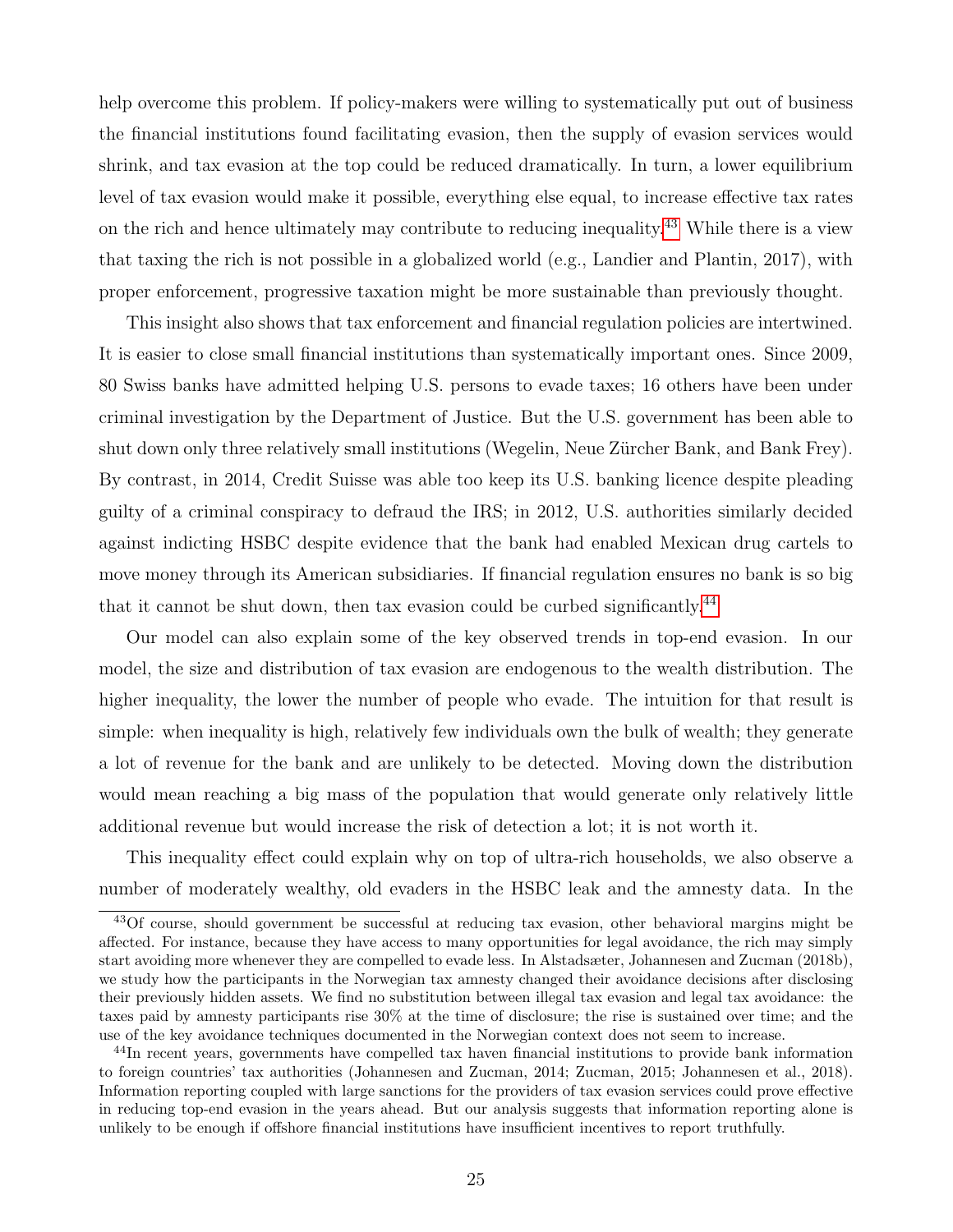help overcome this problem. If policy-makers were willing to systematically put out of business the financial institutions found facilitating evasion, then the supply of evasion services would shrink, and tax evasion at the top could be reduced dramatically. In turn, a lower equilibrium level of tax evasion would make it possible, everything else equal, to increase effective tax rates on the rich and hence ultimately may contribute to reducing inequality.<sup>[43](#page-25-0)</sup> While there is a view that taxing the rich is not possible in a globalized world (e.g., Landier and Plantin, 2017), with proper enforcement, progressive taxation might be more sustainable than previously thought.

This insight also shows that tax enforcement and financial regulation policies are intertwined. It is easier to close small financial institutions than systematically important ones. Since 2009, 80 Swiss banks have admitted helping U.S. persons to evade taxes; 16 others have been under criminal investigation by the Department of Justice. But the U.S. government has been able to shut down only three relatively small institutions (Wegelin, Neue Zürcher Bank, and Bank Frey). By contrast, in 2014, Credit Suisse was able too keep its U.S. banking licence despite pleading guilty of a criminal conspiracy to defraud the IRS; in 2012, U.S. authorities similarly decided against indicting HSBC despite evidence that the bank had enabled Mexican drug cartels to move money through its American subsidiaries. If financial regulation ensures no bank is so big that it cannot be shut down, then tax evasion could be curbed significantly.<sup>[44](#page-25-1)</sup>

Our model can also explain some of the key observed trends in top-end evasion. In our model, the size and distribution of tax evasion are endogenous to the wealth distribution. The higher inequality, the lower the number of people who evade. The intuition for that result is simple: when inequality is high, relatively few individuals own the bulk of wealth; they generate a lot of revenue for the bank and are unlikely to be detected. Moving down the distribution would mean reaching a big mass of the population that would generate only relatively little additional revenue but would increase the risk of detection a lot; it is not worth it.

This inequality effect could explain why on top of ultra-rich households, we also observe a number of moderately wealthy, old evaders in the HSBC leak and the amnesty data. In the

<span id="page-25-0"></span><sup>43</sup>Of course, should government be successful at reducing tax evasion, other behavioral margins might be affected. For instance, because they have access to many opportunities for legal avoidance, the rich may simply start avoiding more whenever they are compelled to evade less. In Alstadsæter, Johannesen and Zucman (2018b), we study how the participants in the Norwegian tax amnesty changed their avoidance decisions after disclosing their previously hidden assets. We find no substitution between illegal tax evasion and legal tax avoidance: the taxes paid by amnesty participants rise 30% at the time of disclosure; the rise is sustained over time; and the use of the key avoidance techniques documented in the Norwegian context does not seem to increase.

<span id="page-25-1"></span><sup>&</sup>lt;sup>44</sup>In recent years, governments have compelled tax haven financial institutions to provide bank information to foreign countries' tax authorities (Johannesen and Zucman, 2014; Zucman, 2015; Johannesen et al., 2018). Information reporting coupled with large sanctions for the providers of tax evasion services could prove effective in reducing top-end evasion in the years ahead. But our analysis suggests that information reporting alone is unlikely to be enough if offshore financial institutions have insufficient incentives to report truthfully.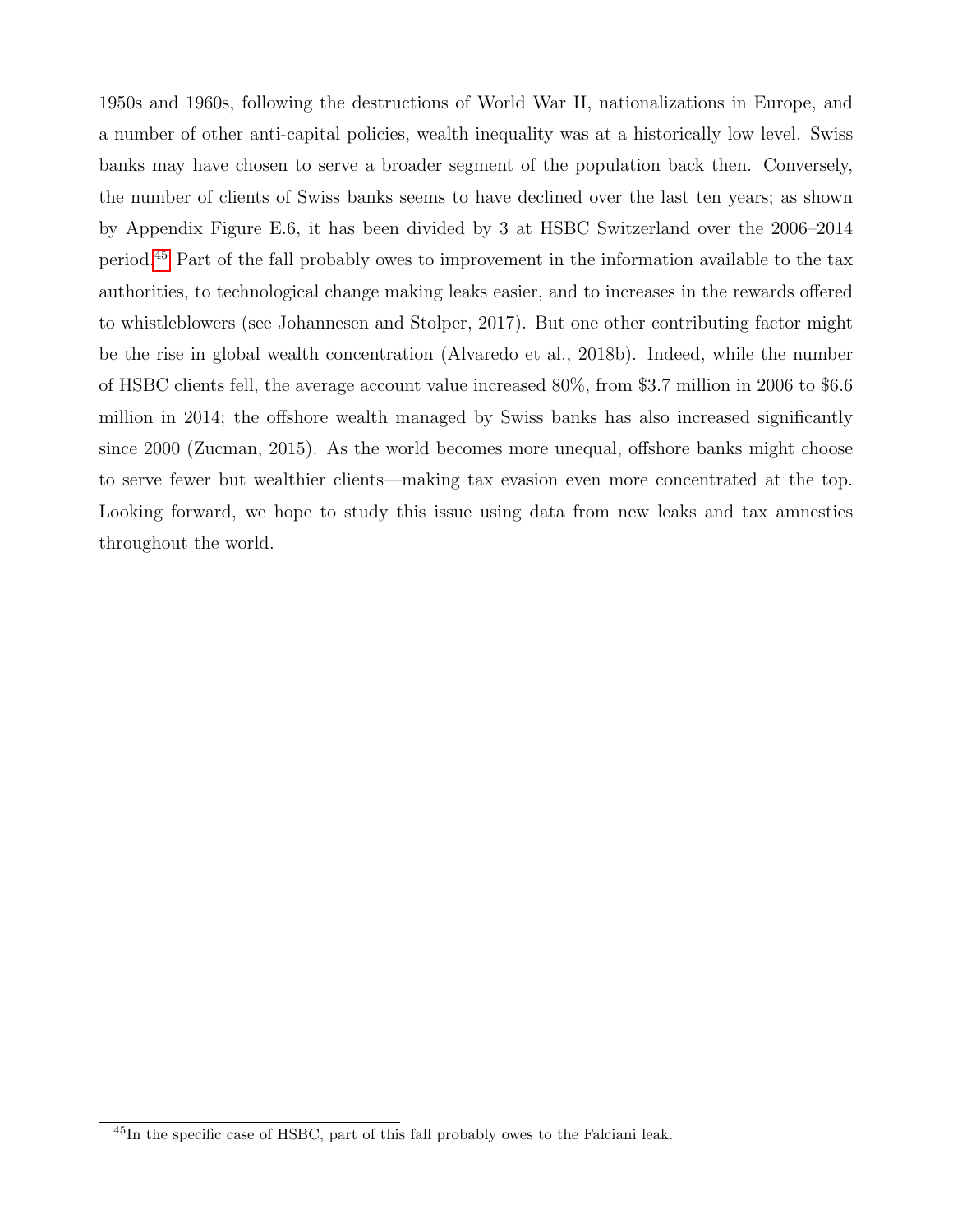1950s and 1960s, following the destructions of World War II, nationalizations in Europe, and a number of other anti-capital policies, wealth inequality was at a historically low level. Swiss banks may have chosen to serve a broader segment of the population back then. Conversely, the number of clients of Swiss banks seems to have declined over the last ten years; as shown by Appendix Figure E.6, it has been divided by 3 at HSBC Switzerland over the 2006–2014 period.[45](#page-26-0) Part of the fall probably owes to improvement in the information available to the tax authorities, to technological change making leaks easier, and to increases in the rewards offered to whistleblowers (see Johannesen and Stolper, 2017). But one other contributing factor might be the rise in global wealth concentration (Alvaredo et al., 2018b). Indeed, while the number of HSBC clients fell, the average account value increased 80%, from \$3.7 million in 2006 to \$6.6 million in 2014; the offshore wealth managed by Swiss banks has also increased significantly since 2000 (Zucman, 2015). As the world becomes more unequal, offshore banks might choose to serve fewer but wealthier clients—making tax evasion even more concentrated at the top. Looking forward, we hope to study this issue using data from new leaks and tax amnesties throughout the world.

<span id="page-26-0"></span><sup>45</sup>In the specific case of HSBC, part of this fall probably owes to the Falciani leak.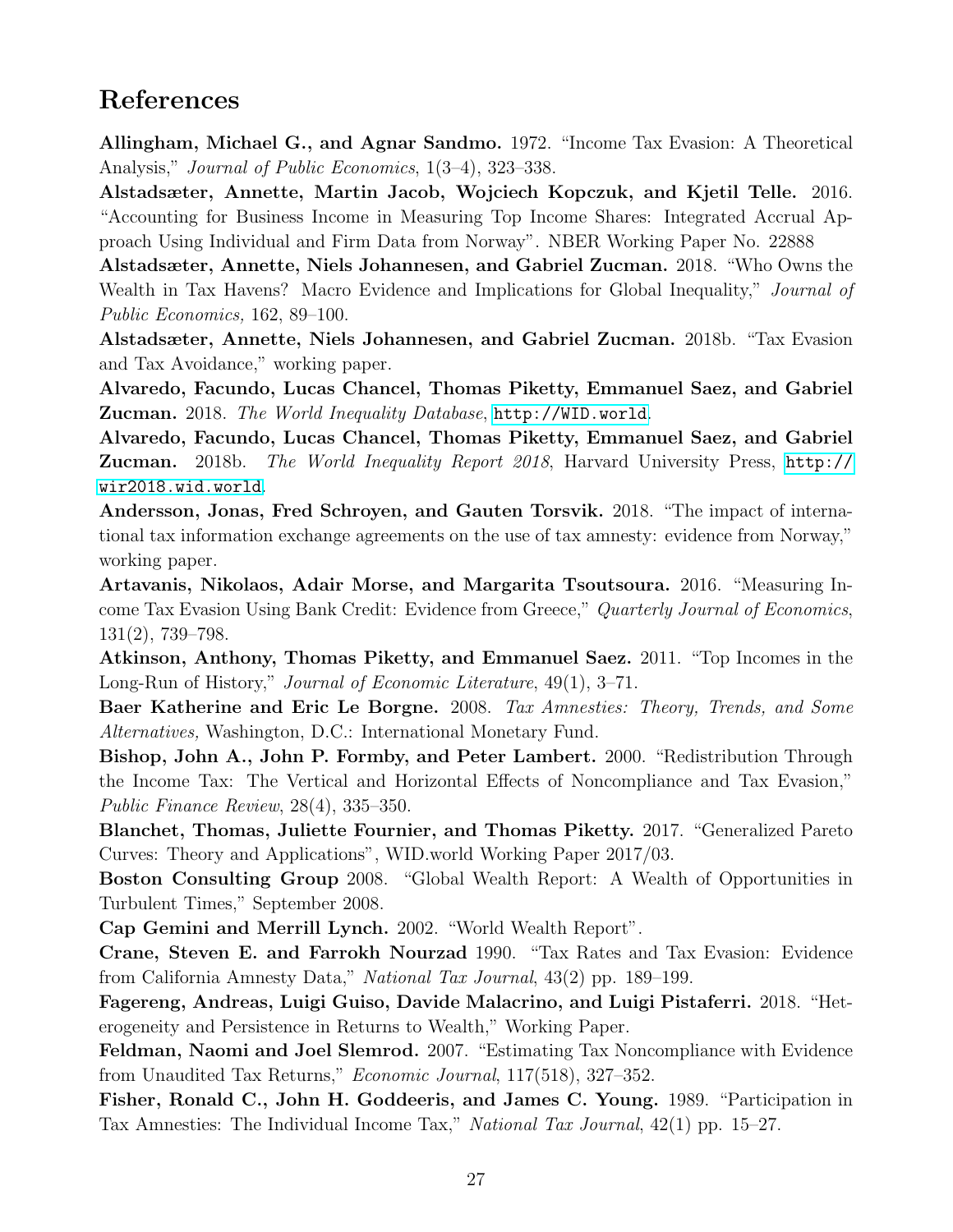## References

Allingham, Michael G., and Agnar Sandmo. 1972. "Income Tax Evasion: A Theoretical Analysis," *Journal of Public Economics*, 1(3–4), 323–338.

Alstadsæter, Annette, Martin Jacob, Wojciech Kopczuk, and Kjetil Telle. 2016. "Accounting for Business Income in Measuring Top Income Shares: Integrated Accrual Approach Using Individual and Firm Data from Norway". NBER Working Paper No. 22888

Alstadsæter, Annette, Niels Johannesen, and Gabriel Zucman. 2018. "Who Owns the Wealth in Tax Havens? Macro Evidence and Implications for Global Inequality," Journal of Public Economics, 162, 89–100.

Alstadsæter, Annette, Niels Johannesen, and Gabriel Zucman. 2018b. "Tax Evasion and Tax Avoidance," working paper.

Alvaredo, Facundo, Lucas Chancel, Thomas Piketty, Emmanuel Saez, and Gabriel Zucman. 2018. The World Inequality Database, <http://WID.world>.

Alvaredo, Facundo, Lucas Chancel, Thomas Piketty, Emmanuel Saez, and Gabriel Zucman. 2018b. The World Inequality Report 2018, Harvard University Press, [http://](http://wir2018.wid.world) [wir2018.wid.world](http://wir2018.wid.world).

Andersson, Jonas, Fred Schroyen, and Gauten Torsvik. 2018. "The impact of international tax information exchange agreements on the use of tax amnesty: evidence from Norway," working paper.

Artavanis, Nikolaos, Adair Morse, and Margarita Tsoutsoura. 2016. "Measuring Income Tax Evasion Using Bank Credit: Evidence from Greece," Quarterly Journal of Economics, 131(2), 739–798.

Atkinson, Anthony, Thomas Piketty, and Emmanuel Saez. 2011. "Top Incomes in the Long-Run of History," Journal of Economic Literature, 49(1), 3–71.

Baer Katherine and Eric Le Borgne. 2008. Tax Amnesties: Theory, Trends, and Some Alternatives, Washington, D.C.: International Monetary Fund.

Bishop, John A., John P. Formby, and Peter Lambert. 2000. "Redistribution Through the Income Tax: The Vertical and Horizontal Effects of Noncompliance and Tax Evasion," Public Finance Review, 28(4), 335–350.

Blanchet, Thomas, Juliette Fournier, and Thomas Piketty. 2017. "Generalized Pareto Curves: Theory and Applications", WID.world Working Paper 2017/03.

Boston Consulting Group 2008. "Global Wealth Report: A Wealth of Opportunities in Turbulent Times," September 2008.

Cap Gemini and Merrill Lynch. 2002. "World Wealth Report".

Crane, Steven E. and Farrokh Nourzad 1990. "Tax Rates and Tax Evasion: Evidence from California Amnesty Data," National Tax Journal, 43(2) pp. 189–199.

Fagereng, Andreas, Luigi Guiso, Davide Malacrino, and Luigi Pistaferri. 2018. "Heterogeneity and Persistence in Returns to Wealth," Working Paper.

Feldman, Naomi and Joel Slemrod. 2007. "Estimating Tax Noncompliance with Evidence from Unaudited Tax Returns," Economic Journal, 117(518), 327–352.

Fisher, Ronald C., John H. Goddeeris, and James C. Young. 1989. "Participation in Tax Amnesties: The Individual Income Tax," National Tax Journal, 42(1) pp. 15–27.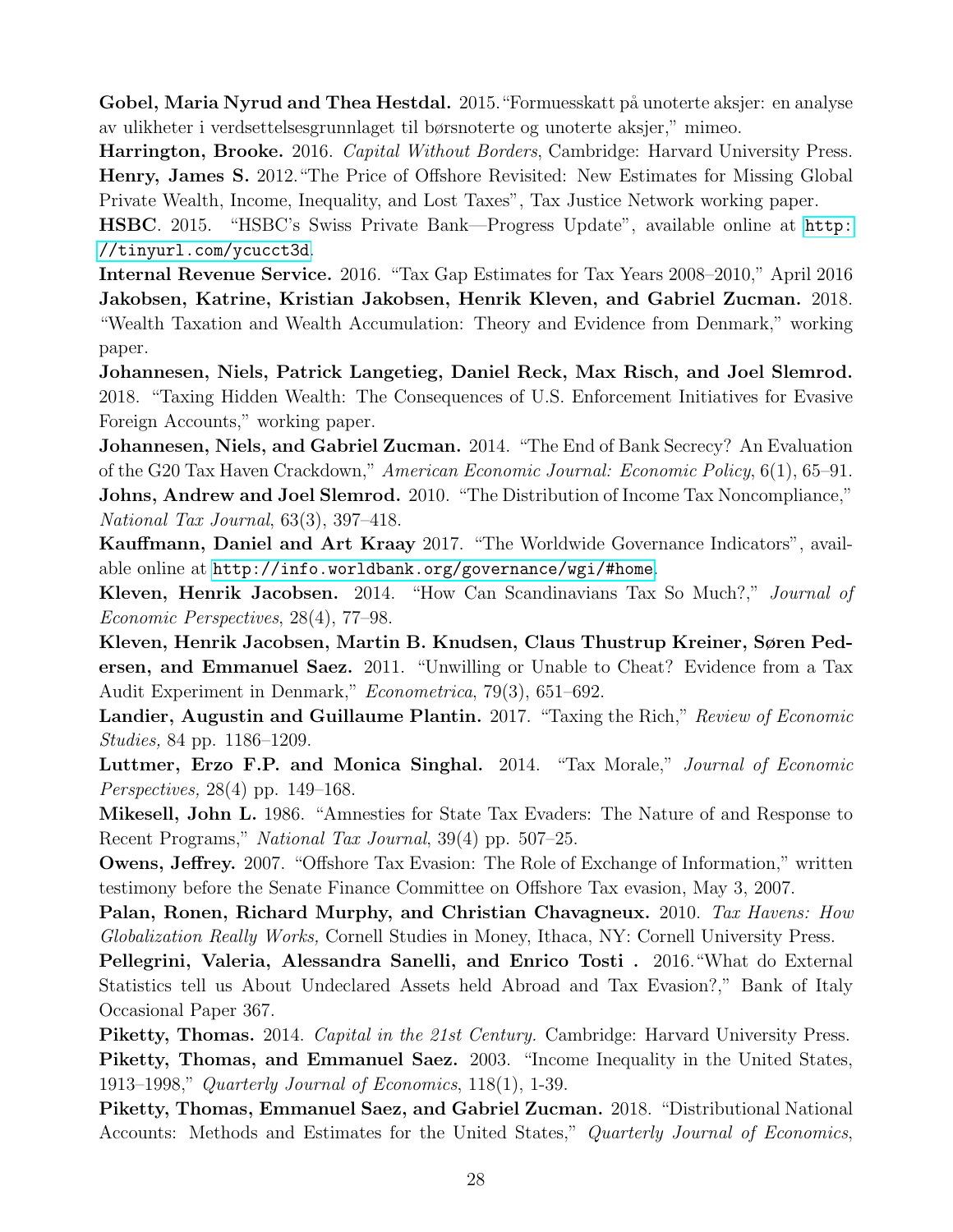Gobel, Maria Nyrud and Thea Hestdal. 2015. "Formuesskatt på unoterte aksjer: en analyse av ulikheter i verdsettelsesgrunnlaget til børsnoterte og unoterte aksjer," mimeo.

Harrington, Brooke. 2016. Capital Without Borders, Cambridge: Harvard University Press. Henry, James S. 2012."The Price of Offshore Revisited: New Estimates for Missing Global Private Wealth, Income, Inequality, and Lost Taxes", Tax Justice Network working paper.

HSBC. 2015. "HSBC's Swiss Private Bank—Progress Update", available online at [http:](http://tinyurl.com/ycucct3d) [//tinyurl.com/ycucct3d](http://tinyurl.com/ycucct3d).

Internal Revenue Service. 2016. "Tax Gap Estimates for Tax Years 2008–2010," April 2016 Jakobsen, Katrine, Kristian Jakobsen, Henrik Kleven, and Gabriel Zucman. 2018. "Wealth Taxation and Wealth Accumulation: Theory and Evidence from Denmark," working paper.

Johannesen, Niels, Patrick Langetieg, Daniel Reck, Max Risch, and Joel Slemrod. 2018. "Taxing Hidden Wealth: The Consequences of U.S. Enforcement Initiatives for Evasive Foreign Accounts," working paper.

Johannesen, Niels, and Gabriel Zucman. 2014. "The End of Bank Secrecy? An Evaluation of the G20 Tax Haven Crackdown," American Economic Journal: Economic Policy, 6(1), 65–91. Johns, Andrew and Joel Slemrod. 2010. "The Distribution of Income Tax Noncompliance," National Tax Journal, 63(3), 397–418.

Kauffmann, Daniel and Art Kraay 2017. "The Worldwide Governance Indicators", available online at <http://info.worldbank.org/governance/wgi/#home>.

Kleven, Henrik Jacobsen. 2014. "How Can Scandinavians Tax So Much?," Journal of Economic Perspectives, 28(4), 77–98.

Kleven, Henrik Jacobsen, Martin B. Knudsen, Claus Thustrup Kreiner, Søren Pedersen, and Emmanuel Saez. 2011. "Unwilling or Unable to Cheat? Evidence from a Tax Audit Experiment in Denmark," Econometrica, 79(3), 651–692.

Landier, Augustin and Guillaume Plantin. 2017. "Taxing the Rich," Review of Economic Studies, 84 pp. 1186–1209.

Luttmer, Erzo F.P. and Monica Singhal. 2014. "Tax Morale," Journal of Economic Perspectives, 28(4) pp. 149–168.

Mikesell, John L. 1986. "Amnesties for State Tax Evaders: The Nature of and Response to Recent Programs," National Tax Journal, 39(4) pp. 507–25.

Owens, Jeffrey. 2007. "Offshore Tax Evasion: The Role of Exchange of Information," written testimony before the Senate Finance Committee on Offshore Tax evasion, May 3, 2007.

Palan, Ronen, Richard Murphy, and Christian Chavagneux. 2010. Tax Havens: How Globalization Really Works, Cornell Studies in Money, Ithaca, NY: Cornell University Press.

Pellegrini, Valeria, Alessandra Sanelli, and Enrico Tosti . 2016."What do External Statistics tell us About Undeclared Assets held Abroad and Tax Evasion?," Bank of Italy Occasional Paper 367.

Piketty, Thomas. 2014. Capital in the 21st Century. Cambridge: Harvard University Press. Piketty, Thomas, and Emmanuel Saez. 2003. "Income Inequality in the United States, 1913–1998," Quarterly Journal of Economics, 118(1), 1-39.

Piketty, Thomas, Emmanuel Saez, and Gabriel Zucman. 2018. "Distributional National Accounts: Methods and Estimates for the United States," Quarterly Journal of Economics,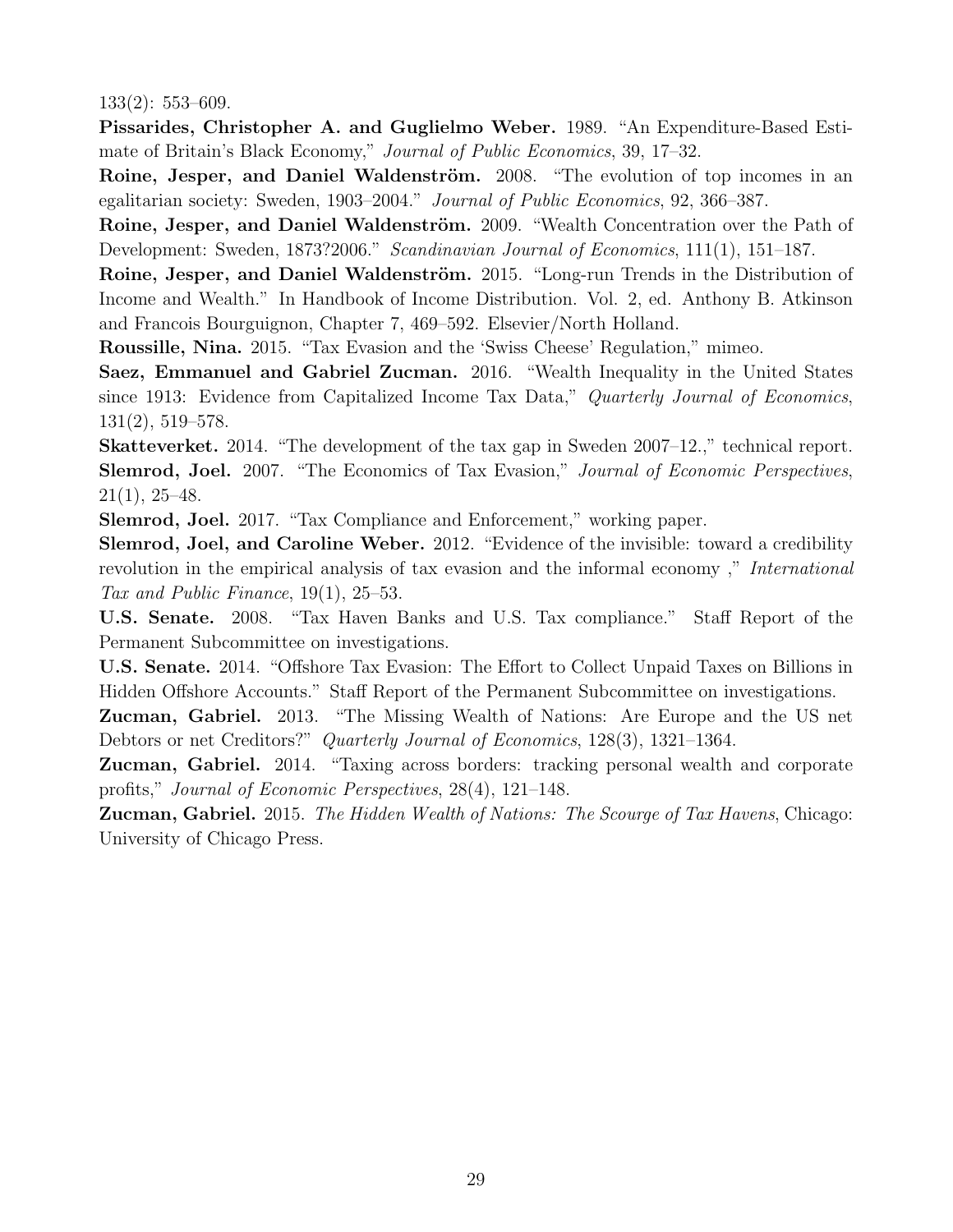133(2): 553–609.

Pissarides, Christopher A. and Guglielmo Weber. 1989. "An Expenditure-Based Estimate of Britain's Black Economy," Journal of Public Economics, 39, 17–32.

Roine, Jesper, and Daniel Waldenström. 2008. "The evolution of top incomes in an egalitarian society: Sweden, 1903–2004." Journal of Public Economics, 92, 366–387.

Roine, Jesper, and Daniel Waldenström. 2009. "Wealth Concentration over the Path of Development: Sweden, 1873?2006." Scandinavian Journal of Economics, 111(1), 151–187.

Roine, Jesper, and Daniel Waldenström. 2015. "Long-run Trends in the Distribution of Income and Wealth." In Handbook of Income Distribution. Vol. 2, ed. Anthony B. Atkinson and Francois Bourguignon, Chapter 7, 469–592. Elsevier/North Holland.

Roussille, Nina. 2015. "Tax Evasion and the 'Swiss Cheese' Regulation," mimeo.

Saez, Emmanuel and Gabriel Zucman. 2016. "Wealth Inequality in the United States since 1913: Evidence from Capitalized Income Tax Data," Quarterly Journal of Economics, 131(2), 519–578.

Skatteverket. 2014. "The development of the tax gap in Sweden 2007–12.," technical report. Slemrod, Joel. 2007. "The Economics of Tax Evasion," Journal of Economic Perspectives,  $21(1), 25-48.$ 

Slemrod, Joel. 2017. "Tax Compliance and Enforcement," working paper.

Slemrod, Joel, and Caroline Weber. 2012. "Evidence of the invisible: toward a credibility revolution in the empirical analysis of tax evasion and the informal economy," *International* Tax and Public Finance, 19(1), 25–53.

U.S. Senate. 2008. "Tax Haven Banks and U.S. Tax compliance." Staff Report of the Permanent Subcommittee on investigations.

U.S. Senate. 2014. "Offshore Tax Evasion: The Effort to Collect Unpaid Taxes on Billions in Hidden Offshore Accounts." Staff Report of the Permanent Subcommittee on investigations.

Zucman, Gabriel. 2013. "The Missing Wealth of Nations: Are Europe and the US net Debtors or net Creditors?" Quarterly Journal of Economics, 128(3), 1321–1364.

Zucman, Gabriel. 2014. "Taxing across borders: tracking personal wealth and corporate profits," Journal of Economic Perspectives, 28(4), 121–148.

**Zucman, Gabriel.** 2015. The Hidden Wealth of Nations: The Scourge of Tax Havens, Chicago: University of Chicago Press.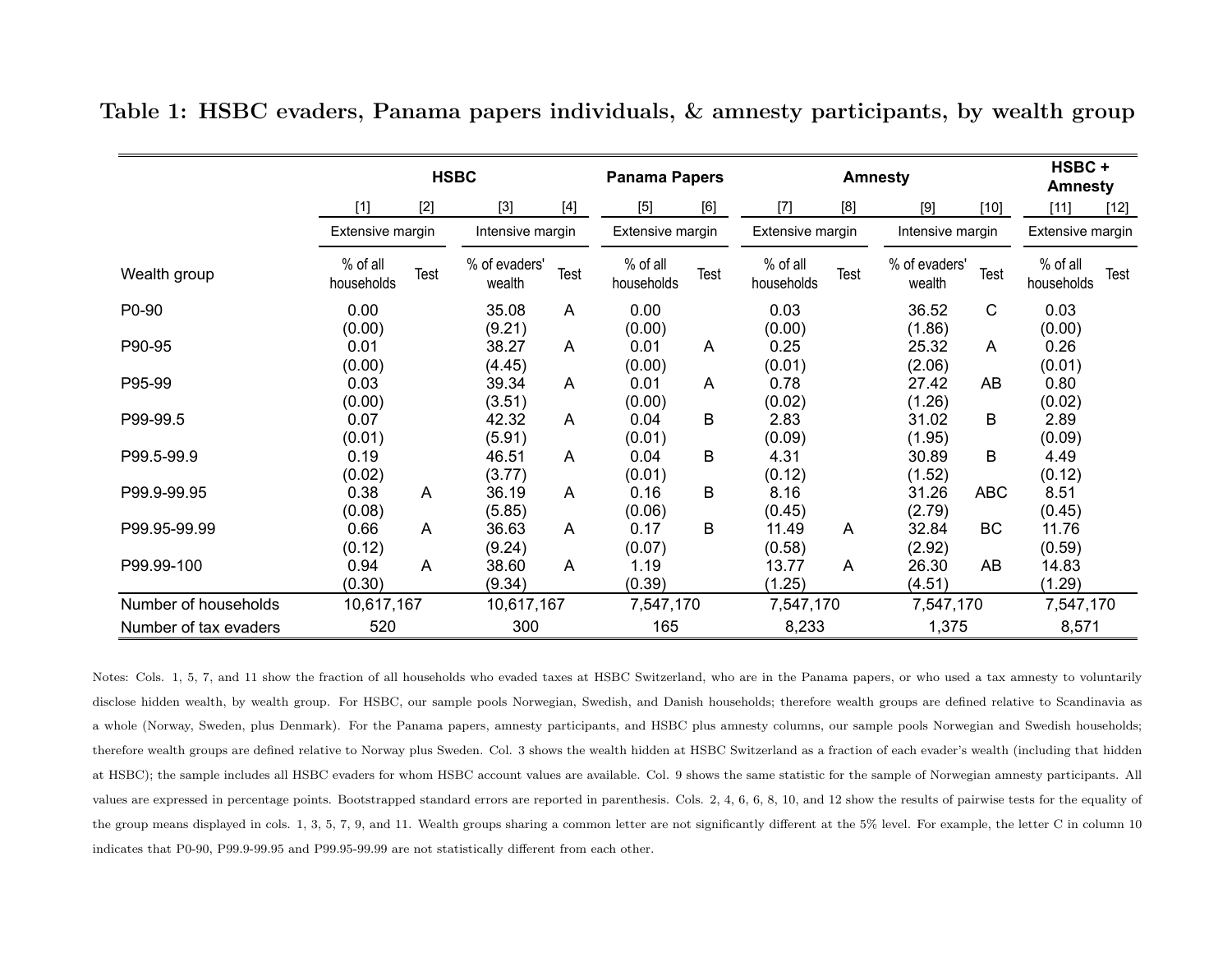|                       | <b>HSBC</b>            |       |                         | <b>Panama Papers</b> |                        | <b>Amnesty</b> |                        |      |                         | HSBC+<br><b>Amnesty</b> |                        |        |
|-----------------------|------------------------|-------|-------------------------|----------------------|------------------------|----------------|------------------------|------|-------------------------|-------------------------|------------------------|--------|
|                       | $[1]$                  | $[2]$ | $[3]$                   | $[4]$                | $[5]$                  | [6]            | $[7]$                  | [8]  | [9]                     | $[10]$                  | [11]                   | $[12]$ |
|                       | Extensive margin       |       | Intensive margin        |                      | Extensive margin       |                | Extensive margin       |      | Intensive margin        |                         | Extensive margin       |        |
| Wealth group          | % of all<br>households | Test  | % of evaders'<br>wealth | Test                 | % of all<br>households | Test           | % of all<br>households | Test | % of evaders'<br>wealth | <b>Test</b>             | % of all<br>households | Test   |
| P0-90                 | 0.00                   |       | 35.08                   | A                    | 0.00                   |                | 0.03                   |      | 36.52                   | $\mathsf C$             | 0.03                   |        |
|                       | (0.00)                 |       | (9.21)                  |                      | (0.00)                 |                | (0.00)                 |      | (1.86)                  |                         | (0.00)                 |        |
| P90-95                | 0.01                   |       | 38.27                   | A                    | 0.01                   | A              | 0.25                   |      | 25.32                   | A                       | 0.26                   |        |
|                       | (0.00)                 |       | (4.45)                  |                      | (0.00)                 |                | (0.01)                 |      | (2.06)                  |                         | (0.01)                 |        |
| P95-99                | 0.03                   |       | 39.34                   | A                    | 0.01                   | A              | 0.78                   |      | 27.42                   | AB                      | 0.80                   |        |
|                       | (0.00)                 |       | (3.51)                  |                      | (0.00)                 |                | (0.02)                 |      | (1.26)                  |                         | (0.02)                 |        |
| P99-99.5              | 0.07                   |       | 42.32                   | A                    | 0.04                   | B              | 2.83                   |      | 31.02                   | B                       | 2.89                   |        |
|                       | (0.01)                 |       | (5.91)                  |                      | (0.01)                 |                | (0.09)                 |      | (1.95)                  |                         | (0.09)                 |        |
| P99.5-99.9            | 0.19                   |       | 46.51                   | A                    | 0.04                   | B              | 4.31                   |      | 30.89                   | B                       | 4.49                   |        |
|                       | (0.02)                 |       | (3.77)                  |                      | (0.01)                 |                | (0.12)                 |      | (1.52)                  |                         | (0.12)                 |        |
| P99.9-99.95           | 0.38                   | A     | 36.19                   | A                    | 0.16                   | B              | 8.16                   |      | 31.26                   | <b>ABC</b>              | 8.51                   |        |
|                       | (0.08)                 |       | (5.85)                  |                      | (0.06)                 |                | (0.45)                 |      | (2.79)                  |                         | (0.45)                 |        |
| P99.95-99.99          | 0.66                   | A     | 36.63                   | A                    | 0.17                   | B              | 11.49                  | A    | 32.84                   | BC                      | 11.76                  |        |
|                       | (0.12)                 |       | (9.24)                  |                      | (0.07)                 |                | (0.58)                 |      | (2.92)                  |                         | (0.59)                 |        |
| P99.99-100            | 0.94                   | A     | 38.60                   | A                    | 1.19                   |                | 13.77                  | A    | 26.30                   | AB                      | 14.83                  |        |
|                       | (0.30)                 |       | (9.34)                  |                      | (0.39)                 |                | (1.25)                 |      | (4.51)                  |                         | (1.29)                 |        |
| Number of households  | 10,617,167             |       | 10,617,167              |                      | 7,547,170              |                | 7,547,170              |      | 7,547,170               |                         | 7,547,170              |        |
| Number of tax evaders | 520                    |       | 300                     |                      | 165                    |                | 8,233                  |      | 1,375                   |                         | 8,571                  |        |

Table 1: HSBC evaders, Panama papers individuals, & amnesty participants, by wealth group

<span id="page-30-0"></span>Notes: Cols. 1, 5, 7, and 11 show the fraction of all households who evaded taxes at HSBC Switzerland, who are in the Panama papers, or who used <sup>a</sup> tax amnesty to voluntarilydisclose hidden wealth, by wealth group. For HSBC, our sample pools Norwegian, Swedish, and Danish households; therefore wealth groups are defined relative to Scandinavia as<sup>a</sup> whole (Norway, Sweden, <sup>p</sup>lus Denmark). For the Panama papers, amnesty participants, and HSBC <sup>p</sup>lus amnesty columns, our sample pools Norwegian and Swedish households;therefore wealth groups are defined relative to Norway <sup>p</sup>lus Sweden. Col. <sup>3</sup> shows the wealth hidden at HSBC Switzerland as <sup>a</sup> fraction of each evader's wealth (including that hiddenat HSBC); the sample includes all HSBC evaders for whom HSBC account values are available. Col. <sup>9</sup> shows the same statistic for the sample of Norwegian amnesty participants. Allvalues are expressed in percentage points. Bootstrapped standard errors are reported in parenthesis. Cols. 2, 4, 6, 6, 8, 10, and 12 show the results of pairwise tests for the equality ofthe group means displayed in cols. 1, 3, 5, 7, 9, and 11. Wealth groups sharing a common letter are not significantly different at the 5% level. For example, the letter C in column 10 indicates that P0-90, P99.9-99.95 and P99.95-99.99 are not statistically different from each other.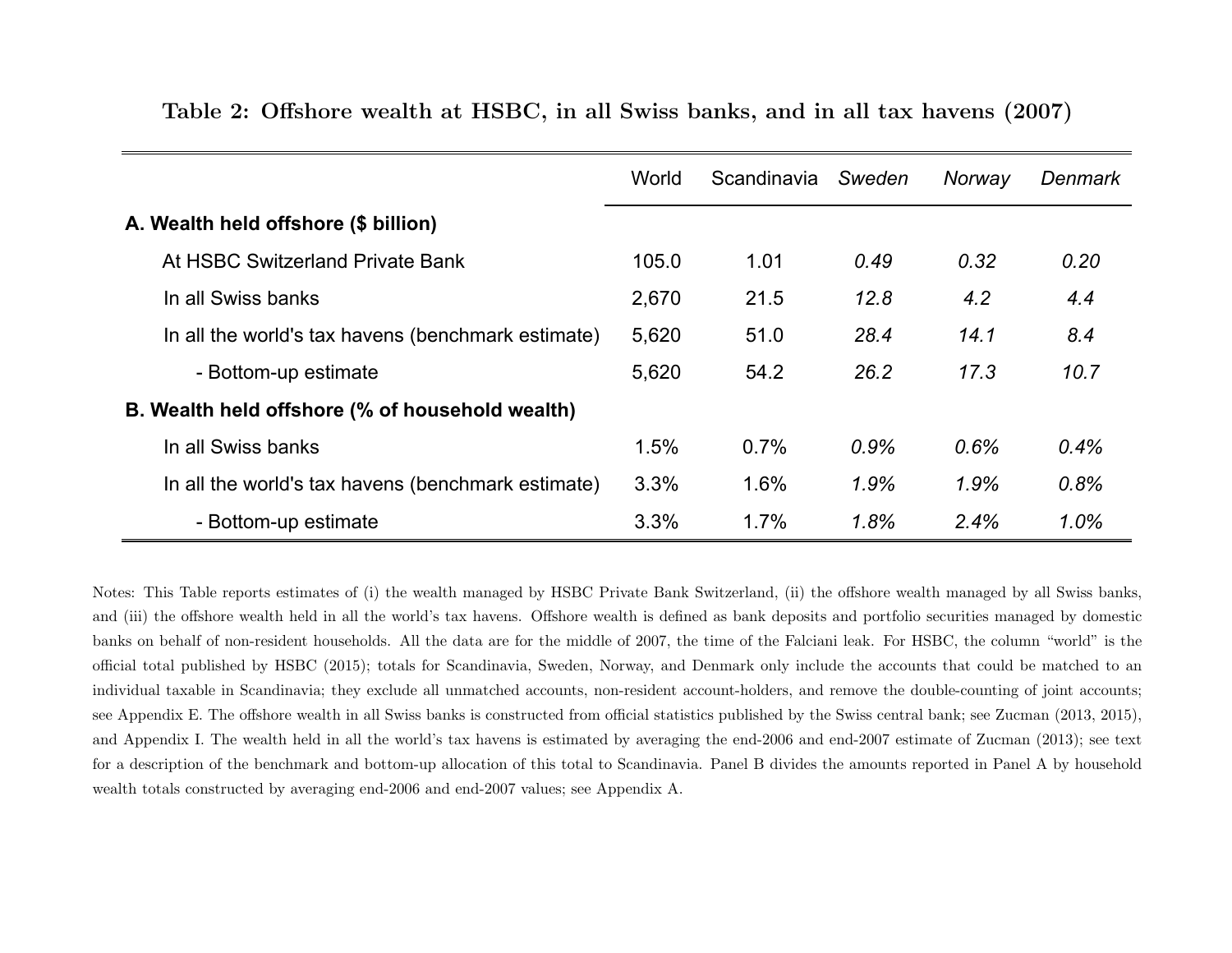|                                                    | World | Scandinavia | Sweden | Norway | Denmark |
|----------------------------------------------------|-------|-------------|--------|--------|---------|
| A. Wealth held offshore (\$ billion)               |       |             |        |        |         |
| At HSBC Switzerland Private Bank                   | 105.0 | 1.01        | 0.49   | 0.32   | 0.20    |
| In all Swiss banks                                 | 2,670 | 21.5        | 12.8   | 4.2    | 4.4     |
| In all the world's tax havens (benchmark estimate) | 5,620 | 51.0        | 28.4   | 14.1   | 8.4     |
| - Bottom-up estimate                               | 5,620 | 54.2        | 26.2   | 17.3   | 10.7    |
| B. Wealth held offshore (% of household wealth)    |       |             |        |        |         |
| In all Swiss banks                                 | 1.5%  | 0.7%        | 0.9%   | 0.6%   | 0.4%    |
| In all the world's tax havens (benchmark estimate) | 3.3%  | 1.6%        | 1.9%   | 1.9%   | 0.8%    |
| - Bottom-up estimate                               | 3.3%  | 1.7%        | 1.8%   | 2.4%   | 1.0%    |

Table 2: Offshore wealth at HSBC, in all Swiss banks, and in all tax havens (2007)

<span id="page-31-0"></span>Notes: This Table reports estimates of (i) the wealth managed by HSBC Private Bank Switzerland, (ii) the offshore wealth managed by all Swiss banks,and (iii) the offshore wealth held in all the world's tax havens. Offshore wealth is defined as bank deposits and portfolio securities managed by domestic banks on behalf of non-resident households. All the data are for the middle of 2007, the time of the Falciani leak. For HSBC, the column "world" is theofficial total published by HSBC (2015); totals for Scandinavia, Sweden, Norway, and Denmark only include the accounts that could be matched to anindividual taxable in Scandinavia; they exclude all unmatched accounts, non-resident account-holders, and remove the double-counting of joint accounts;see Appendix E. The offshore wealth in all Swiss banks is constructed from official statistics published by the Swiss central bank; see Zucman (2013, 2015),and Appendix I. The wealth held in all the world's tax havens is estimated by averaging the end-2006 and end-2007 estimate of Zucman (2013); see textfor <sup>a</sup> description of the benchmark and bottom-up allocation of this total to Scandinavia. Panel B divides the amounts reported in Panel A by householdwealth totals constructed by averaging end-2006 and end-2007 values; see Appendix A.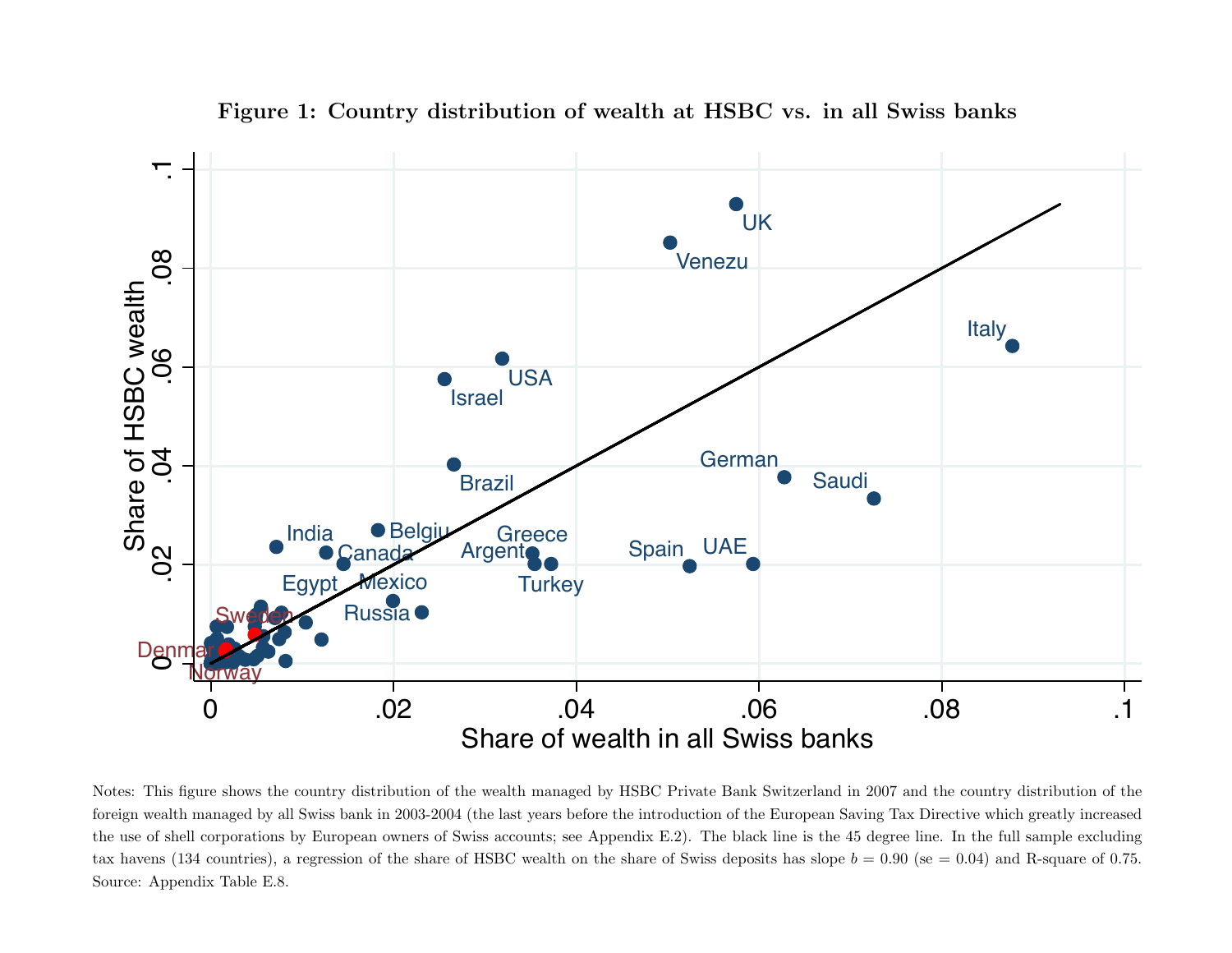

<span id="page-32-0"></span>Notes: This figure shows the country distribution of the wealth managed by HSBC Private Bank Switzerland in 2007 and the country distribution of the foreign wealth managed by all Swiss bank in 2003-2004 (the last years before the introduction of the European Saving Tax Directive which greatly increased the use of shell corporations by European owners of Swiss accounts; see Appendix E.2). The black line is the <sup>45</sup> degree line. In the full sample excludingtax havens (134 countries), a regression of the share of HSBC wealth on the share of Swiss deposits has slope  $b = 0.90$  (se  $= 0.04$ ) and R-square of 0.75. Source: Appendix Table E.8.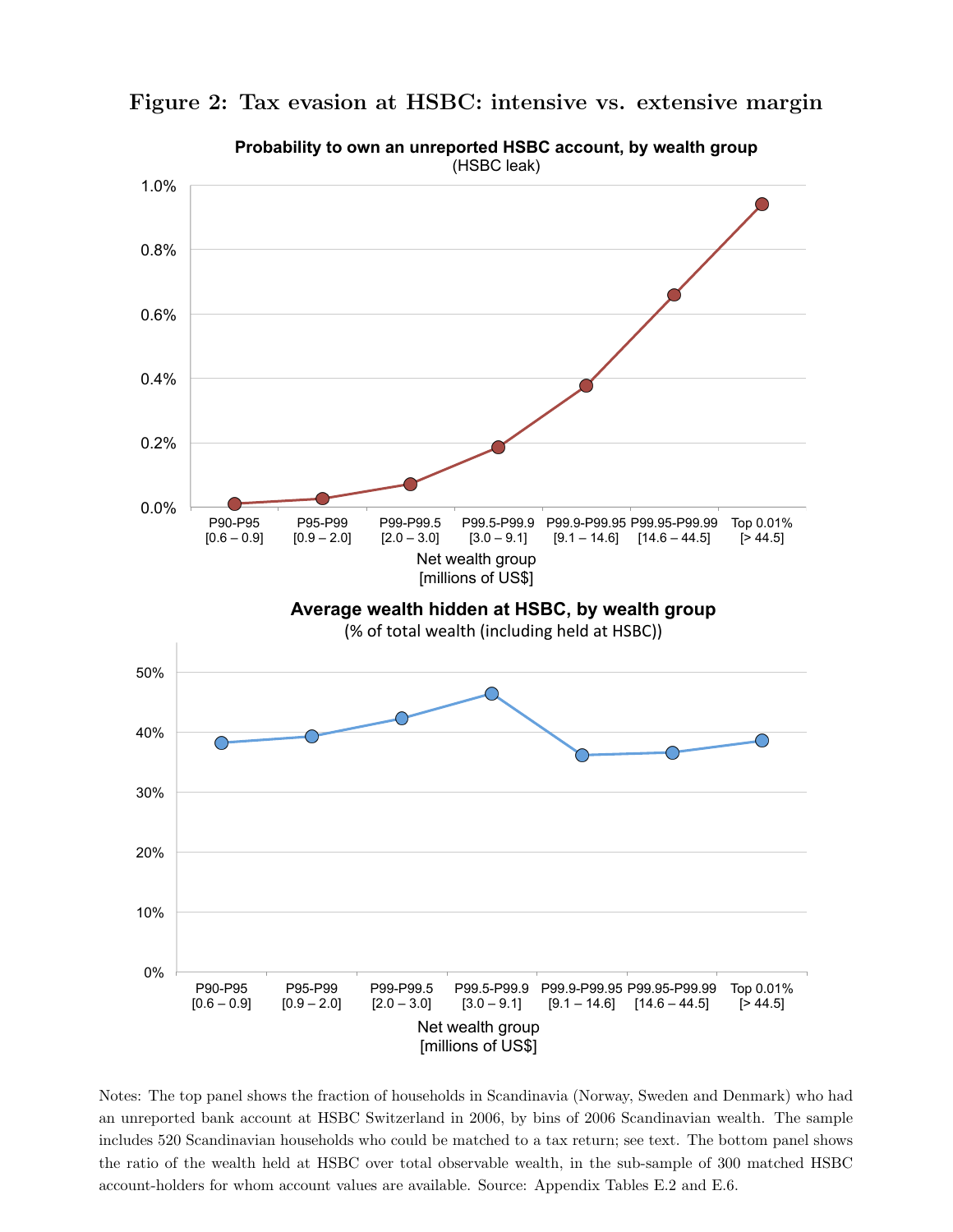

<span id="page-33-0"></span>Figure 2: Tax evasion at HSBC: intensive vs. extensive margin

Notes: The top panel shows the fraction of households in Scandinavia (Norway, Sweden and Denmark) who had an unreported bank account at HSBC Switzerland in 2006, by bins of 2006 Scandinavian wealth. The sample includes 520 Scandinavian households who could be matched to a tax return; see text. The bottom panel shows the ratio of the wealth held at HSBC over total observable wealth, in the sub-sample of 300 matched HSBC account-holders for whom account values are available. Source: Appendix Tables E.2 and E.6.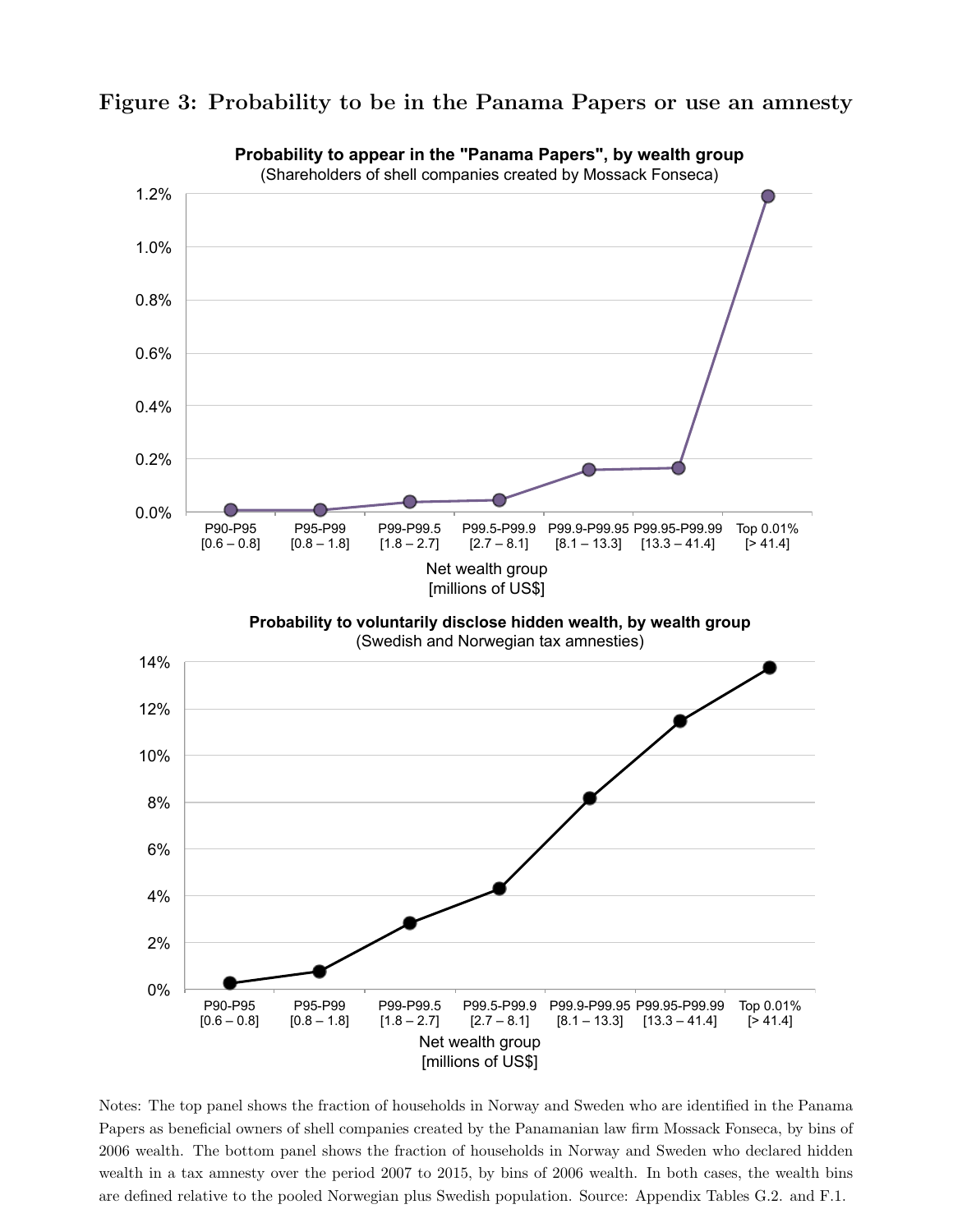

<span id="page-34-0"></span>Figure 3: Probability to be in the Panama Papers or use an amnesty

Notes: The top panel shows the fraction of households in Norway and Sweden who are identified in the Panama Papers as beneficial owners of shell companies created by the Panamanian law firm Mossack Fonseca, by bins of 2006 wealth. The bottom panel shows the fraction of households in Norway and Sweden who declared hidden wealth in a tax amnesty over the period 2007 to 2015, by bins of 2006 wealth. In both cases, the wealth bins are defined relative to the pooled Norwegian plus Swedish population. Source: Appendix Tables G.2. and F.1.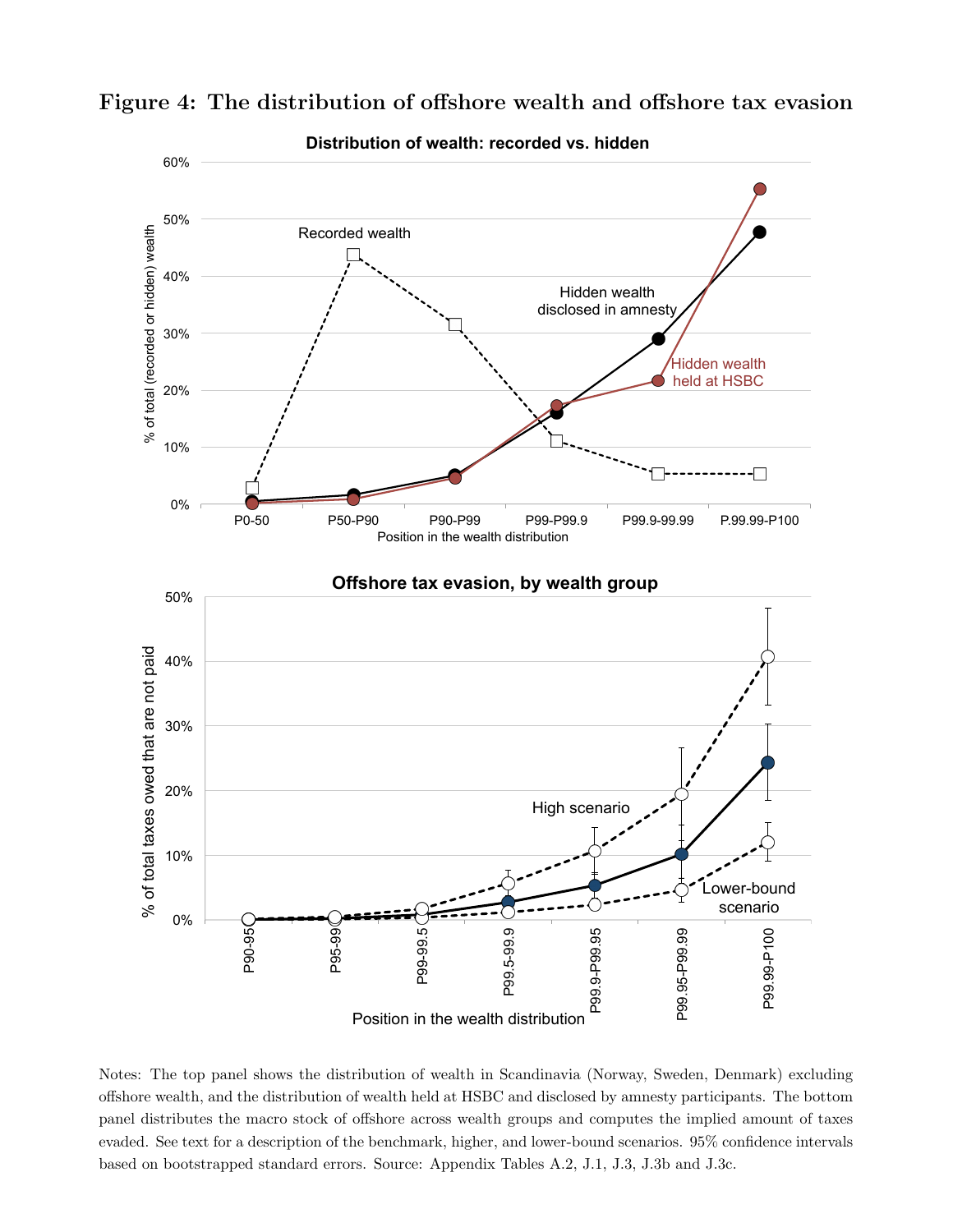<span id="page-35-1"></span>

<span id="page-35-0"></span>Figure 4: The distribution of offshore wealth and offshore tax evasion

Notes: The top panel shows the distribution of wealth in Scandinavia (Norway, Sweden, Denmark) excluding offshore wealth, and the distribution of wealth held at HSBC and disclosed by amnesty participants. The bottom panel distributes the macro stock of offshore across wealth groups and computes the implied amount of taxes evaded. See text for a description of the benchmark, higher, and lower-bound scenarios. 95% confidence intervals based on bootstrapped standard errors. Source: Appendix Tables A.2, J.1, J.3, J.3b and J.3c.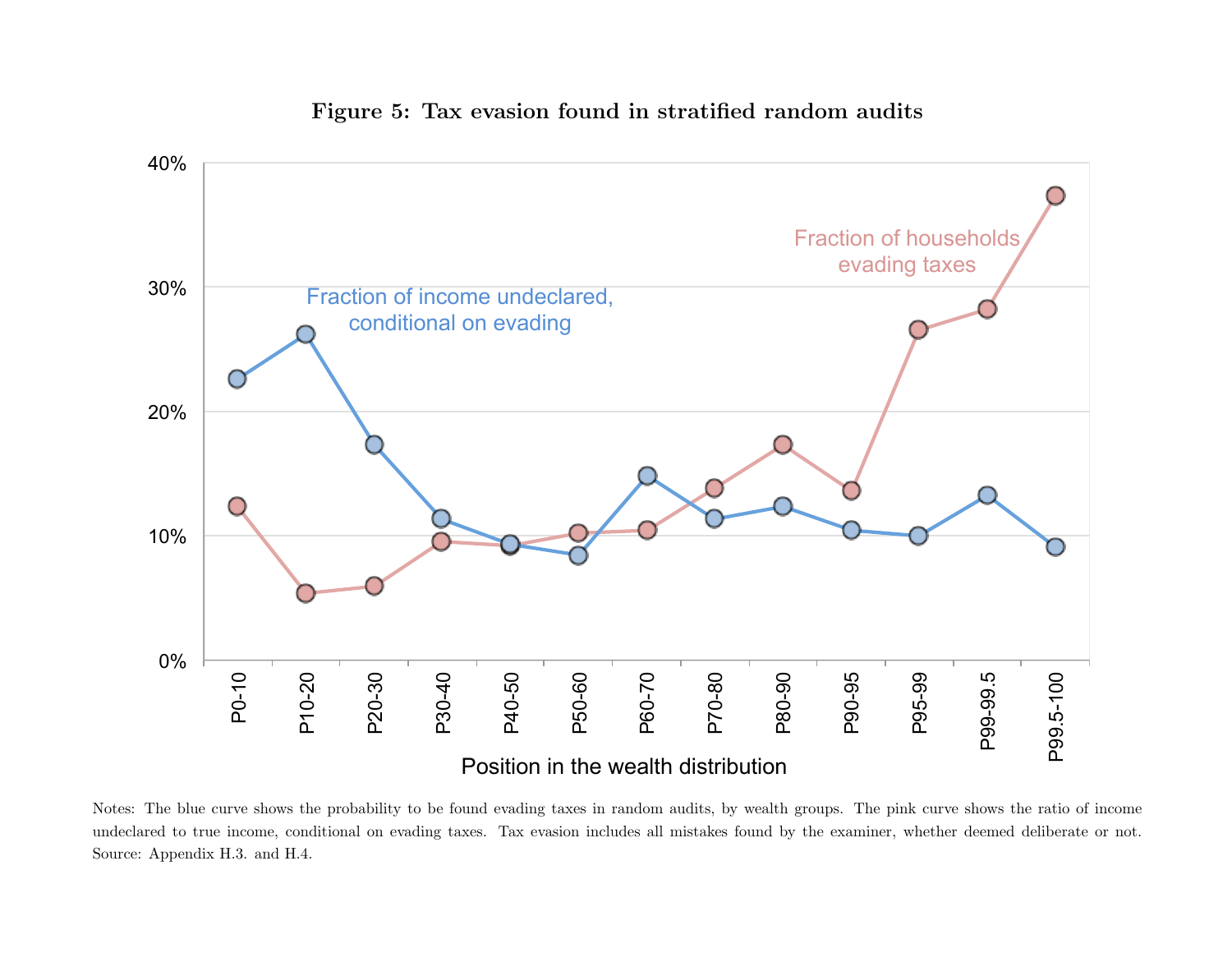

### Figure 5: Tax evasion found in stratified random audits

<span id="page-36-0"></span>Notes: The blue curve shows the probability to be found evading taxes in random audits, by wealth groups. The <sup>p</sup>ink curve shows the ratio of incomeundeclared to true income, conditional on evading taxes. Tax evasion includes all mistakes found by the examiner, whether deemed deliberate or not.Source: Appendix H.3. and H.4.